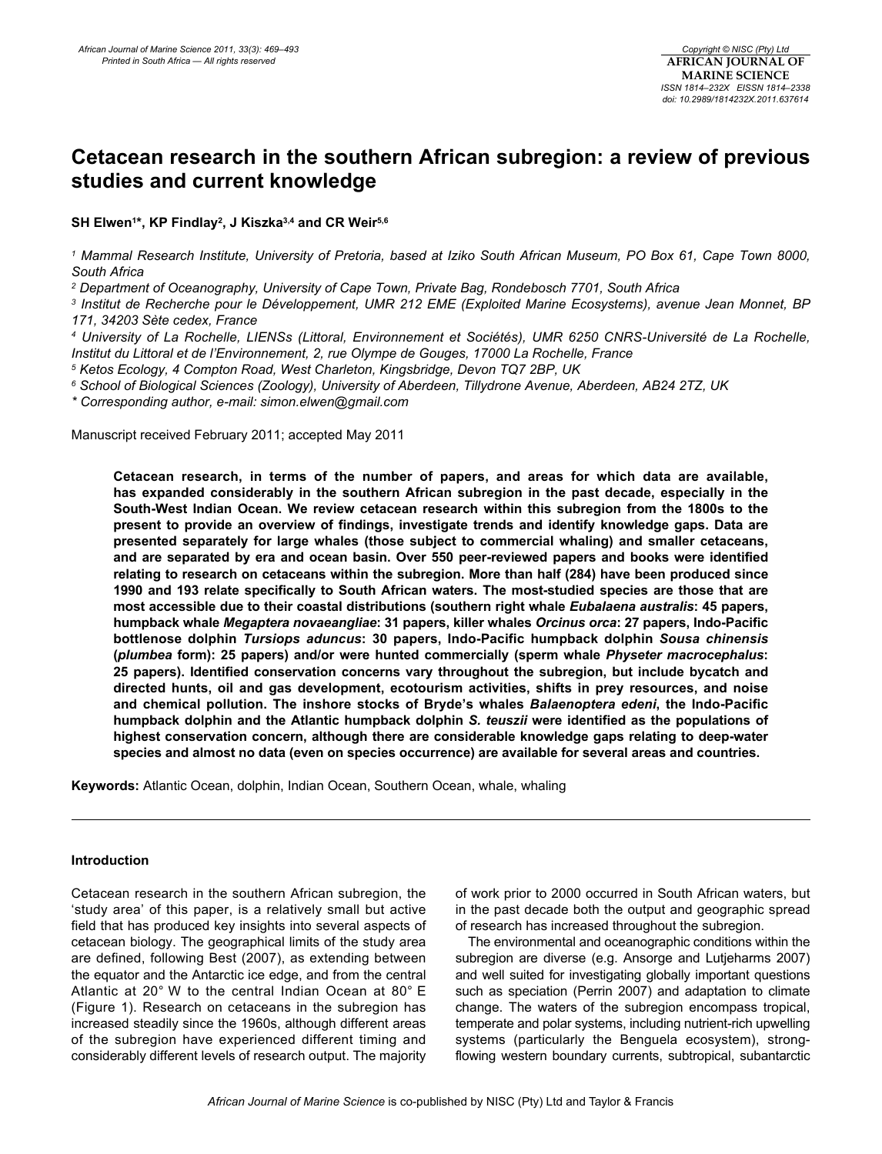# **Cetacean research in the southern African subregion: a review of previous studies and current knowledge**

SH Elwen<sup>1\*</sup>, KP Findlay<sup>2</sup>, J Kiszka<sup>3,4</sup> and CR Weir<sup>5,6</sup>

*1 Mammal Research Institute, University of Pretoria, based at Iziko South African Museum, PO Box 61, Cape Town 8000, South Africa*

*2 Department of Oceanography, University of Cape Town, Private Bag, Rondebosch 7701, South Africa*

*3 Institut de Recherche pour le Développement, UMR 212 EME (Exploited Marine Ecosystems), avenue Jean Monnet, BP 171, 34203 Sète cedex, France* 

*4 University of La Rochelle, LIENSs (Littoral, Environnement et Sociétés), UMR 6250 CNRS-Université de La Rochelle, Institut du Littoral et de l'Environnement, 2, rue Olympe de Gouges, 17000 La Rochelle, France*

*5 Ketos Ecology, 4 Compton Road, West Charleton, Kingsbridge, Devon TQ7 2BP, UK* 

*6 School of Biological Sciences (Zoology), University of Aberdeen, Tillydrone Avenue, Aberdeen, AB24 2TZ, UK*

*\* Corresponding author, e-mail: simon.elwen@gmail.com*

Manuscript received February 2011; accepted May 2011

**Cetacean research, in terms of the number of papers, and areas for which data are available, has expanded considerably in the southern African subregion in the past decade, especially in the South-West Indian Ocean. We review cetacean research within this subregion from the 1800s to the present to provide an overview of findings, investigate trends and identify knowledge gaps. Data are presented separately for large whales (those subject to commercial whaling) and smaller cetaceans, and are separated by era and ocean basin. Over 550 peer-reviewed papers and books were identified relating to research on cetaceans within the subregion. More than half (284) have been produced since 1990 and 193 relate specifically to South African waters. The most-studied species are those that are most accessible due to their coastal distributions (southern right whale** *Eubalaena australis***: 45 papers, humpback whale** *Megaptera novaeangliae***: 31 papers, killer whales** *Orcinus orca***: 27 papers, Indo-Pacific bottlenose dolphin** *Tursiops aduncus***: 30 papers, Indo-Pacific humpback dolphin** *Sousa chinensis* **(***plumbea* **form): 25 papers) and/or were hunted commercially (sperm whale** *Physeter macrocephalus***: 25 papers). Identified conservation concerns vary throughout the subregion, but include bycatch and directed hunts, oil and gas development, ecotourism activities, shifts in prey resources, and noise and chemical pollution. The inshore stocks of Bryde's whales** *Balaenoptera edeni***, the Indo-Pacific humpback dolphin and the Atlantic humpback dolphin** *S. teuszii* **were identified as the populations of highest conservation concern, although there are considerable knowledge gaps relating to deep-water species and almost no data (even on species occurrence) are available for several areas and countries.**

**Keywords:** Atlantic Ocean, dolphin, Indian Ocean, Southern Ocean, whale, whaling

# **Introduction**

Cetacean research in the southern African subregion, the 'study area' of this paper, is a relatively small but active field that has produced key insights into several aspects of cetacean biology. The geographical limits of the study area are defined, following Best (2007), as extending between the equator and the Antarctic ice edge, and from the central Atlantic at 20° W to the central Indian Ocean at 80° E (Figure 1). Research on cetaceans in the subregion has increased steadily since the 1960s, although different areas of the subregion have experienced different timing and considerably different levels of research output. The majority of work prior to 2000 occurred in South African waters, but in the past decade both the output and geographic spread of research has increased throughout the subregion.

The environmental and oceanographic conditions within the subregion are diverse (e.g. Ansorge and Lutjeharms 2007) and well suited for investigating globally important questions such as speciation (Perrin 2007) and adaptation to climate change. The waters of the subregion encompass tropical, temperate and polar systems, including nutrient-rich upwelling systems (particularly the Benguela ecosystem), strongflowing western boundary currents, subtropical, subantarctic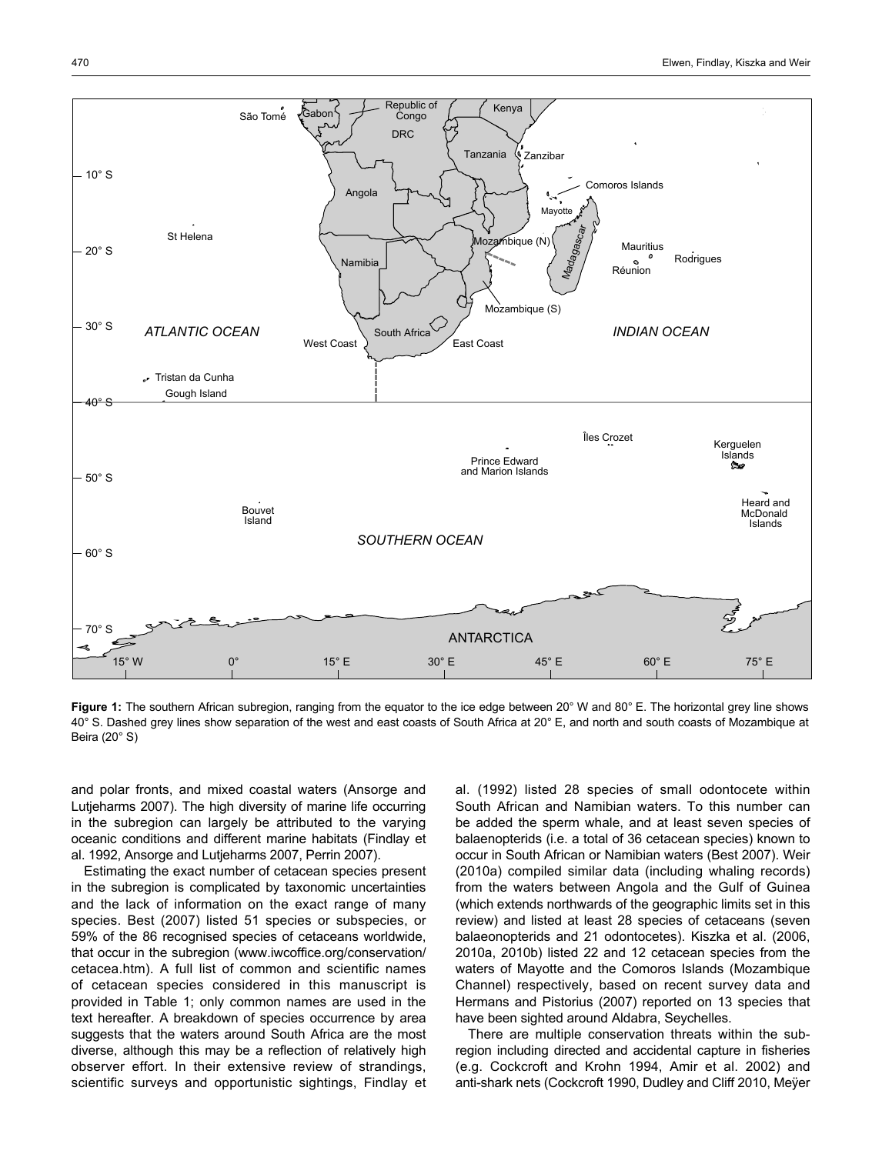

**Figure 1:** The southern African subregion, ranging from the equator to the ice edge between 20° W and 80° E. The horizontal grey line shows 40° S. Dashed grey lines show separation of the west and east coasts of South Africa at 20° E, and north and south coasts of Mozambique at Beira (20° S)

and polar fronts, and mixed coastal waters (Ansorge and Lutjeharms 2007). The high diversity of marine life occurring in the subregion can largely be attributed to the varying oceanic conditions and different marine habitats (Findlay et al. 1992, Ansorge and Lutjeharms 2007, Perrin 2007).

Estimating the exact number of cetacean species present in the subregion is complicated by taxonomic uncertainties and the lack of information on the exact range of many species. Best (2007) listed 51 species or subspecies, or 59% of the 86 recognised species of cetaceans worldwide, that occur in the subregion (www.iwcoffice.org/conservation/ cetacea.htm). A full list of common and scientific names of cetacean species considered in this manuscript is provided in Table 1; only common names are used in the text hereafter. A breakdown of species occurrence by area suggests that the waters around South Africa are the most diverse, although this may be a reflection of relatively high observer effort. In their extensive review of strandings, scientific surveys and opportunistic sightings, Findlay et al. (1992) listed 28 species of small odontocete within South African and Namibian waters. To this number can be added the sperm whale, and at least seven species of balaenopterids (i.e. a total of 36 cetacean species) known to occur in South African or Namibian waters (Best 2007). Weir (2010a) compiled similar data (including whaling records) from the waters between Angola and the Gulf of Guinea (which extends northwards of the geographic limits set in this review) and listed at least 28 species of cetaceans (seven balaeonopterids and 21 odontocetes). Kiszka et al. (2006, 2010a, 2010b) listed 22 and 12 cetacean species from the waters of Mayotte and the Comoros Islands (Mozambique Channel) respectively, based on recent survey data and Hermans and Pistorius (2007) reported on 13 species that have been sighted around Aldabra, Seychelles.

There are multiple conservation threats within the subregion including directed and accidental capture in fisheries (e.g. Cockcroft and Krohn 1994, Amir et al. 2002) and anti-shark nets (Cockcroft 1990, Dudley and Cliff 2010, Meÿer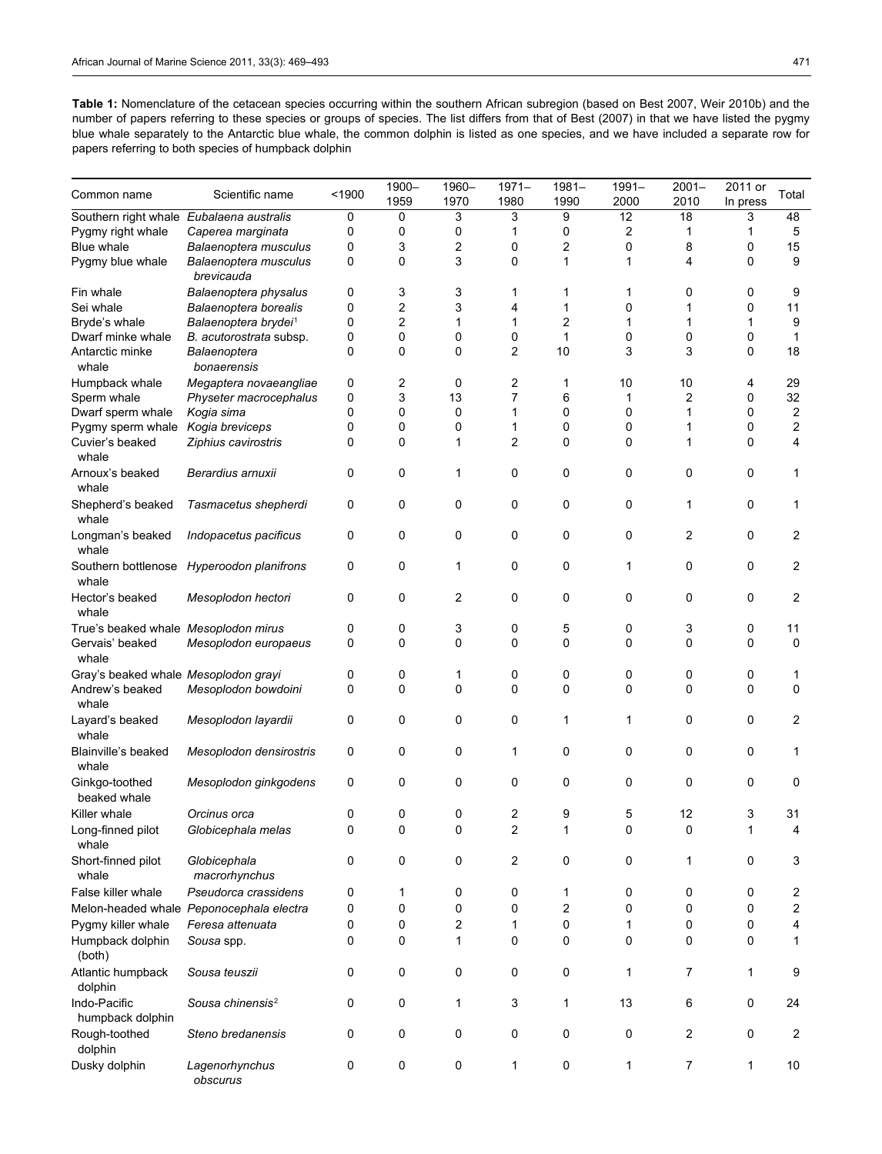**Table 1:** Nomenclature of the cetacean species occurring within the southern African subregion (based on Best 2007, Weir 2010b) and the number of papers referring to these species or groups of species. The list differs from that of Best (2007) in that we have listed the pygmy blue whale separately to the Antarctic blue whale, the common dolphin is listed as one species, and we have included a separate row for papers referring to both species of humpback dolphin

| Common name                              | Scientific name                          | < 1900 | 1900-<br>1959 | 1960-<br>1970  | $1971 -$<br>1980 | $1981 -$<br>1990 | $1991 -$<br>2000 | $2001 -$<br>2010 | 2011 or<br>In press | Total        |
|------------------------------------------|------------------------------------------|--------|---------------|----------------|------------------|------------------|------------------|------------------|---------------------|--------------|
| Southern right whale Eubalaena australis |                                          | 0      | 0             | 3              | 3                | 9                | 12               | 18               | 3                   | 48           |
| Pygmy right whale                        | Caperea marginata                        | 0      | 0             | 0              | 1                | 0                | 2                | 1                | 1                   | 5            |
| Blue whale                               | Balaenoptera musculus                    | 0      | 3             | $\overline{c}$ | 0                | 2                | 0                | 8                | 0                   | 15           |
| Pygmy blue whale                         | Balaenoptera musculus<br>brevicauda      | 0      | 0             | 3              | 0                | 1                | 1                | 4                | $\Omega$            | 9            |
| Fin whale                                | Balaenoptera physalus                    | 0      | 3             | 3              | 1                | 1                | 1                | 0                | 0                   | 9            |
| Sei whale                                | Balaenoptera borealis                    | 0      | 2             | 3              | 4                | 1                | 0                | 1                | 0                   | 11           |
| Bryde's whale                            | Balaenoptera brydei <sup>1</sup>         | 0      | 2             | 1              | 1                | $\overline{c}$   | 1                | 1                | 1                   | 9            |
| Dwarf minke whale                        | B. acutorostrata subsp.                  | 0      | 0             | 0              | 0                | 1                | 0                | 0                | 0                   | 1            |
| Antarctic minke<br>whale                 | Balaenoptera<br>bonaerensis              | 0      | 0             | 0              | 2                | 10               | 3                | 3                | 0                   | 18           |
| Humpback whale                           | Megaptera novaeangliae                   | 0      | 2             | 0              | 2                | 1                | 10               | 10               | 4                   | 29           |
| Sperm whale                              | Physeter macrocephalus                   | 0      | 3             | 13             | 7                | 6                | 1                | 2                | 0                   | 32           |
| Dwarf sperm whale                        | Kogia sima                               | 0      | 0             | 0              | 1                | 0                | 0                | 1                | 0                   | 2            |
| Pygmy sperm whale                        | Kogia breviceps                          | 0      | 0             | 0              | 1                | 0                | 0                | 1                | 0                   | 2            |
| Cuvier's beaked<br>whale                 | Ziphius cavirostris                      | 0      | 0             | $\mathbf{1}$   | 2                | 0                | 0                | 1                | 0                   | 4            |
| Arnoux's beaked<br>whale                 | Berardius arnuxii                        | 0      | 0             | 1              | 0                | 0                | 0                | 0                | 0                   | 1            |
| Shepherd's beaked<br>whale               | Tasmacetus shepherdi                     | 0      | 0             | 0              | 0                | 0                | 0                | 1                | 0                   | $\mathbf{1}$ |
| Longman's beaked<br>whale                | Indopacetus pacificus                    | 0      | 0             | 0              | 0                | 0                | 0                | 2                | 0                   | 2            |
| Southern bottlenose<br>whale             | Hyperoodon planifrons                    | 0      | 0             | 1              | 0                | 0                | 1                | 0                | 0                   | 2            |
| Hector's beaked<br>whale                 | Mesoplodon hectori                       | 0      | 0             | $\overline{c}$ | 0                | 0                | 0                | 0                | 0                   | 2            |
| True's beaked whale Mesoplodon mirus     |                                          | 0      | 0             | 3              | 0                | 5                | 0                | 3                | 0                   | 11           |
| Gervais' beaked<br>whale                 | Mesoplodon europaeus                     | 0      | 0             | 0              | 0                | 0                | 0                | 0                | 0                   | 0            |
| Gray's beaked whale Mesoplodon grayi     |                                          | 0      | 0             | 1              | 0                | 0                | 0                | 0                | 0                   | 1            |
| Andrew's beaked<br>whale                 | Mesoplodon bowdoini                      | 0      | 0             | $\mathbf 0$    | 0                | 0                | 0                | $\mathbf 0$      | 0                   | 0            |
| Layard's beaked<br>whale                 | Mesoplodon layardii                      | 0      | 0             | 0              | 0                | 1                | 1                | $\mathbf 0$      | 0                   | 2            |
| Blainville's beaked<br>whale             | Mesoplodon densirostris                  | 0      | 0             | 0              | 1                | 0                | 0                | 0                | 0                   | 1            |
| Ginkgo-toothed<br>beaked whale           | Mesoplodon ginkgodens                    | 0      | 0             | 0              | 0                | 0                | 0                | 0                | 0                   | 0            |
| Killer whale                             | Orcinus orca                             | 0      | 0             | 0              | 2                | 9                | 5                | 12               | 3                   | 31           |
| Long-finned pilot<br>whale               | Globicephala melas                       | 0      | 0             | $\mathbf 0$    | 2                | 1                | 0                | $\mathbf 0$      | 1                   | 4            |
| Short-finned pilot<br>whale              | Globicephala<br>macrorhynchus            | 0      | 0             | 0              | 2                | 0                | 0                | 1                | 0                   | 3            |
| False killer whale                       | Pseudorca crassidens                     | 0      | 1             | 0              | 0                | 1                | 0                | 0                | 0                   | 2            |
|                                          | Melon-headed whale Peponocephala electra | 0      | 0             | 0              | 0                | 2                | 0                | 0                | 0                   | 2            |
| Pygmy killer whale                       | Feresa attenuata                         | 0      | 0             | $\overline{c}$ | $\mathbf{1}$     | 0                | 1                | 0                | 0                   | 4            |
| Humpback dolphin                         | Sousa spp.                               | 0      | 0             | $\mathbf{1}$   | 0                | 0                | 0                | $\mathbf 0$      | 0                   | 1            |
| (both)                                   |                                          |        |               |                |                  |                  |                  |                  |                     |              |
| Atlantic humpback<br>dolphin             | Sousa teuszii                            | 0      | 0             | 0              | 0                | 0                | 1                | 7                | 1                   | 9            |
| Indo-Pacific<br>humpback dolphin         | Sousa chinensis <sup>2</sup>             | 0      | 0             | 1              | 3                | 1                | 13               | 6                | 0                   | 24           |
| Rough-toothed<br>dolphin                 | Steno bredanensis                        | 0      | 0             | 0              | 0                | 0                | 0                | 2                | 0                   | 2            |
| Dusky dolphin                            | Lagenorhynchus<br>obscurus               | 0      | 0             | 0              | 1                | 0                | $\mathbf{1}$     | $\overline{7}$   | $\mathbf{1}$        | 10           |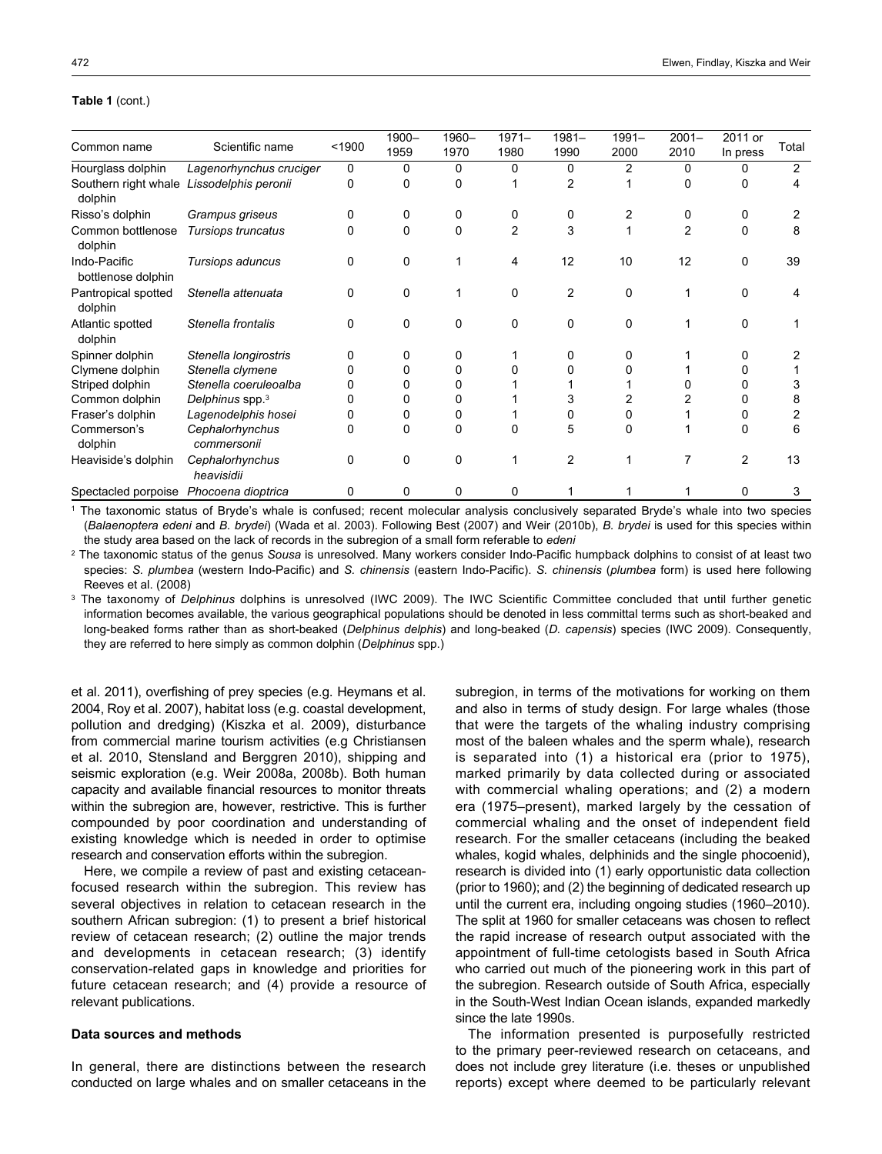#### **Table 1** (cont.)

| Common name                            | Scientific name                           | $1900$ | 1900-<br>1959 | 1960-<br>1970 | $1971 -$<br>1980 | $1981 -$<br>1990 | $1991 -$<br>2000 | $2001 -$<br>2010 | 2011 or        | Total |
|----------------------------------------|-------------------------------------------|--------|---------------|---------------|------------------|------------------|------------------|------------------|----------------|-------|
| Hourglass dolphin                      | Lagenorhynchus cruciger                   | 0      | 0             | 0             | U                | $\Omega$         | 2                | $\Omega$         | In press       | 2     |
|                                        |                                           |        |               |               |                  |                  |                  |                  |                |       |
| dolphin                                | Southern right whale Lissodelphis peronii | 0      | 0             | $\Omega$      |                  | 2                |                  | $\Omega$         |                | 4     |
| Risso's dolphin                        | Grampus griseus                           | 0      | 0             | 0             | 0                | 0                |                  | O                | 0              |       |
| Common bottlenose<br>dolphin           | Tursiops truncatus                        | 0      | 0             | 0             | 2                | 3                |                  | 2                | 0              | 8     |
| Indo-Pacific<br>bottlenose dolphin     | Tursiops aduncus                          | 0      | 0             |               | 4                | 12               | 10               | 12               | 0              | 39    |
| Pantropical spotted<br>dolphin         | Stenella attenuata                        | 0      | 0             |               | 0                | 2                | 0                |                  | 0              | 4     |
| Atlantic spotted<br>dolphin            | Stenella frontalis                        | 0      | 0             | 0             | $\Omega$         | $\Omega$         | 0                |                  | 0              |       |
| Spinner dolphin                        | Stenella longirostris                     | 0      | n             | 0             |                  |                  |                  |                  |                |       |
| Clymene dolphin                        | Stenella clymene                          | U      | ი             | 0             |                  |                  |                  |                  |                |       |
| Striped dolphin                        | Stenella coeruleoalba                     |        |               | 0             |                  |                  |                  |                  |                |       |
| Common dolphin                         | Delphinus spp. <sup>3</sup>               | 0      |               | 0             |                  | 3                |                  |                  |                |       |
| Fraser's dolphin                       | Lagenodelphis hosei                       | O      |               | 0             |                  |                  | ი                |                  |                |       |
| Commerson's<br>dolphin                 | Cephalorhynchus<br>commersonii            | 0      | ი             | 0             |                  | 5                | 0                |                  | ი              | 6     |
| Heaviside's dolphin                    | Cephalorhynchus<br>heavisidii             | 0      | 0             | 0             |                  | $\overline{2}$   |                  |                  | $\overline{2}$ | 13    |
| Spectacled porpoise Phocoena dioptrica |                                           | O      | ი             | 0             |                  |                  |                  |                  | 0              | 3     |

1 The taxonomic status of Bryde's whale is confused; recent molecular analysis conclusively separated Bryde's whale into two species (*Balaenoptera edeni* and *B. brydei*) (Wada et al. 2003). Following Best (2007) and Weir (2010b), *B. brydei* is used for this species within the study area based on the lack of records in the subregion of a small form referable to *edeni*

2 The taxonomic status of the genus *Sousa* is unresolved. Many workers consider Indo-Pacific humpback dolphins to consist of at least two species: *S. plumbea* (western Indo-Pacific) and *S. chinensis* (eastern Indo-Pacific). *S. chinensis* (*plumbea* form) is used here following Reeves et al. (2008)

3 The taxonomy of *Delphinus* dolphins is unresolved (IWC 2009). The IWC Scientific Committee concluded that until further genetic information becomes available, the various geographical populations should be denoted in less committal terms such as short-beaked and long-beaked forms rather than as short-beaked (*Delphinus delphis*) and long-beaked (*D. capensis*) species (IWC 2009). Consequently, they are referred to here simply as common dolphin (*Delphinus* spp.)

et al. 2011), overfishing of prey species (e.g. Heymans et al. 2004, Roy et al. 2007), habitat loss (e.g. coastal development, pollution and dredging) (Kiszka et al. 2009), disturbance from commercial marine tourism activities (e.g Christiansen et al. 2010, Stensland and Berggren 2010), shipping and seismic exploration (e.g. Weir 2008a, 2008b). Both human capacity and available financial resources to monitor threats within the subregion are, however, restrictive. This is further compounded by poor coordination and understanding of existing knowledge which is needed in order to optimise research and conservation efforts within the subregion.

Here, we compile a review of past and existing cetaceanfocused research within the subregion. This review has several objectives in relation to cetacean research in the southern African subregion: (1) to present a brief historical review of cetacean research; (2) outline the major trends and developments in cetacean research; (3) identify conservation-related gaps in knowledge and priorities for future cetacean research; and (4) provide a resource of relevant publications.

## **Data sources and methods**

In general, there are distinctions between the research conducted on large whales and on smaller cetaceans in the

subregion, in terms of the motivations for working on them and also in terms of study design. For large whales (those that were the targets of the whaling industry comprising most of the baleen whales and the sperm whale), research is separated into (1) a historical era (prior to 1975), marked primarily by data collected during or associated with commercial whaling operations; and (2) a modern era (1975–present), marked largely by the cessation of commercial whaling and the onset of independent field research. For the smaller cetaceans (including the beaked whales, kogid whales, delphinids and the single phocoenid), research is divided into (1) early opportunistic data collection (prior to 1960); and (2) the beginning of dedicated research up until the current era, including ongoing studies (1960–2010). The split at 1960 for smaller cetaceans was chosen to reflect the rapid increase of research output associated with the appointment of full-time cetologists based in South Africa who carried out much of the pioneering work in this part of the subregion. Research outside of South Africa, especially in the South-West Indian Ocean islands, expanded markedly since the late 1990s.

The information presented is purposefully restricted to the primary peer-reviewed research on cetaceans, and does not include grey literature (i.e. theses or unpublished reports) except where deemed to be particularly relevant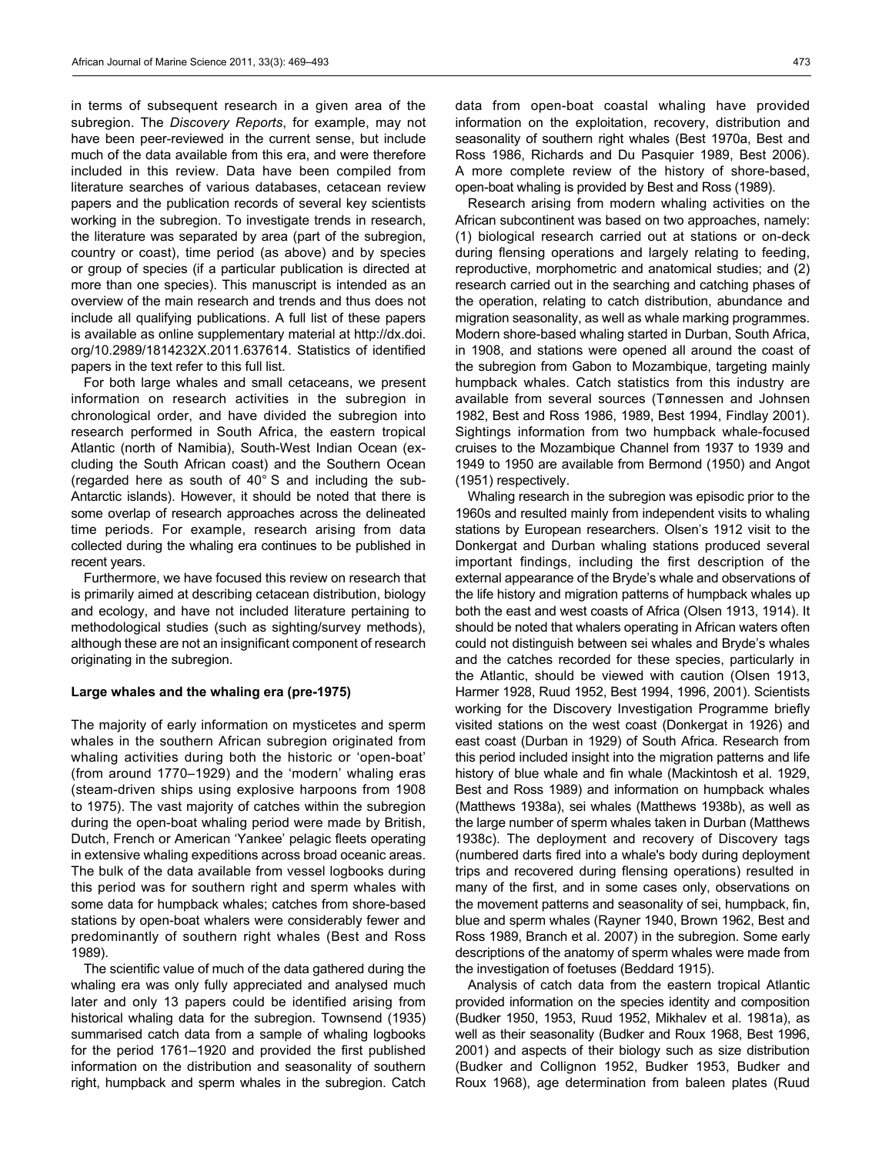in terms of subsequent research in a given area of the subregion. The *Discovery Reports*, for example, may not have been peer-reviewed in the current sense, but include much of the data available from this era, and were therefore included in this review. Data have been compiled from literature searches of various databases, cetacean review papers and the publication records of several key scientists working in the subregion. To investigate trends in research, the literature was separated by area (part of the subregion, country or coast), time period (as above) and by species or group of species (if a particular publication is directed at more than one species). This manuscript is intended as an overview of the main research and trends and thus does not include all qualifying publications. A full list of these papers is available as online supplementary material at http://dx.doi. org/10.2989/1814232X.2011.637614. Statistics of identified papers in the text refer to this full list.

For both large whales and small cetaceans, we present information on research activities in the subregion in chronological order, and have divided the subregion into research performed in South Africa, the eastern tropical Atlantic (north of Namibia), South-West Indian Ocean (excluding the South African coast) and the Southern Ocean (regarded here as south of 40° S and including the sub-Antarctic islands). However, it should be noted that there is some overlap of research approaches across the delineated time periods. For example, research arising from data collected during the whaling era continues to be published in recent years.

Furthermore, we have focused this review on research that is primarily aimed at describing cetacean distribution, biology and ecology, and have not included literature pertaining to methodological studies (such as sighting/survey methods), although these are not an insignificant component of research originating in the subregion.

# **Large whales and the whaling era (pre-1975)**

The majority of early information on mysticetes and sperm whales in the southern African subregion originated from whaling activities during both the historic or 'open-boat' (from around 1770–1929) and the 'modern' whaling eras (steam-driven ships using explosive harpoons from 1908 to 1975). The vast majority of catches within the subregion during the open-boat whaling period were made by British, Dutch, French or American 'Yankee' pelagic fleets operating in extensive whaling expeditions across broad oceanic areas. The bulk of the data available from vessel logbooks during this period was for southern right and sperm whales with some data for humpback whales; catches from shore-based stations by open-boat whalers were considerably fewer and predominantly of southern right whales (Best and Ross 1989).

The scientific value of much of the data gathered during the whaling era was only fully appreciated and analysed much later and only 13 papers could be identified arising from historical whaling data for the subregion. Townsend (1935) summarised catch data from a sample of whaling logbooks for the period 1761–1920 and provided the first published information on the distribution and seasonality of southern right, humpback and sperm whales in the subregion. Catch data from open-boat coastal whaling have provided information on the exploitation, recovery, distribution and seasonality of southern right whales (Best 1970a, Best and Ross 1986, Richards and Du Pasquier 1989, Best 2006). A more complete review of the history of shore-based, open-boat whaling is provided by Best and Ross (1989).

Research arising from modern whaling activities on the African subcontinent was based on two approaches, namely: (1) biological research carried out at stations or on-deck during flensing operations and largely relating to feeding, reproductive, morphometric and anatomical studies; and (2) research carried out in the searching and catching phases of the operation, relating to catch distribution, abundance and migration seasonality, as well as whale marking programmes. Modern shore-based whaling started in Durban, South Africa, in 1908, and stations were opened all around the coast of the subregion from Gabon to Mozambique, targeting mainly humpback whales. Catch statistics from this industry are available from several sources (Tønnessen and Johnsen 1982, Best and Ross 1986, 1989, Best 1994, Findlay 2001). Sightings information from two humpback whale-focused cruises to the Mozambique Channel from 1937 to 1939 and 1949 to 1950 are available from Bermond (1950) and Angot (1951) respectively.

Whaling research in the subregion was episodic prior to the 1960s and resulted mainly from independent visits to whaling stations by European researchers. Olsen's 1912 visit to the Donkergat and Durban whaling stations produced several important findings, including the first description of the external appearance of the Bryde's whale and observations of the life history and migration patterns of humpback whales up both the east and west coasts of Africa (Olsen 1913, 1914). It should be noted that whalers operating in African waters often could not distinguish between sei whales and Bryde's whales and the catches recorded for these species, particularly in the Atlantic, should be viewed with caution (Olsen 1913, Harmer 1928, Ruud 1952, Best 1994, 1996, 2001). Scientists working for the Discovery Investigation Programme briefly visited stations on the west coast (Donkergat in 1926) and east coast (Durban in 1929) of South Africa. Research from this period included insight into the migration patterns and life history of blue whale and fin whale (Mackintosh et al. 1929, Best and Ross 1989) and information on humpback whales (Matthews 1938a), sei whales (Matthews 1938b), as well as the large number of sperm whales taken in Durban (Matthews 1938c). The deployment and recovery of Discovery tags (numbered darts fired into a whale's body during deployment trips and recovered during flensing operations) resulted in many of the first, and in some cases only, observations on the movement patterns and seasonality of sei, humpback, fin, blue and sperm whales (Rayner 1940, Brown 1962, Best and Ross 1989, Branch et al. 2007) in the subregion. Some early descriptions of the anatomy of sperm whales were made from the investigation of foetuses (Beddard 1915).

Analysis of catch data from the eastern tropical Atlantic provided information on the species identity and composition (Budker 1950, 1953, Ruud 1952, Mikhalev et al. 1981a), as well as their seasonality (Budker and Roux 1968, Best 1996, 2001) and aspects of their biology such as size distribution (Budker and Collignon 1952, Budker 1953, Budker and Roux 1968), age determination from baleen plates (Ruud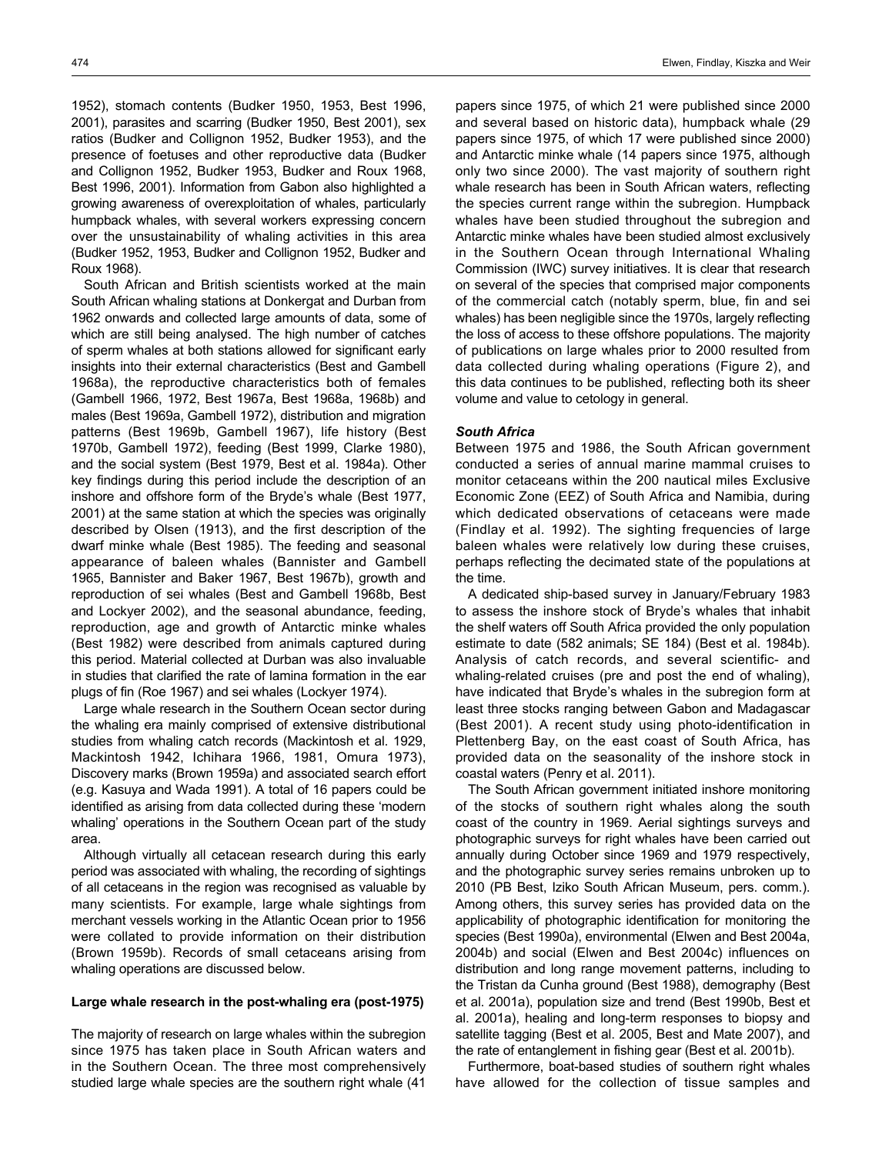1952), stomach contents (Budker 1950, 1953, Best 1996, 2001), parasites and scarring (Budker 1950, Best 2001), sex ratios (Budker and Collignon 1952, Budker 1953), and the presence of foetuses and other reproductive data (Budker and Collignon 1952, Budker 1953, Budker and Roux 1968, Best 1996, 2001). Information from Gabon also highlighted a growing awareness of overexploitation of whales, particularly humpback whales, with several workers expressing concern over the unsustainability of whaling activities in this area (Budker 1952, 1953, Budker and Collignon 1952, Budker and Roux 1968).

South African and British scientists worked at the main South African whaling stations at Donkergat and Durban from 1962 onwards and collected large amounts of data, some of which are still being analysed. The high number of catches of sperm whales at both stations allowed for significant early insights into their external characteristics (Best and Gambell 1968a), the reproductive characteristics both of females (Gambell 1966, 1972, Best 1967a, Best 1968a, 1968b) and males (Best 1969a, Gambell 1972), distribution and migration patterns (Best 1969b, Gambell 1967), life history (Best 1970b, Gambell 1972), feeding (Best 1999, Clarke 1980), and the social system (Best 1979, Best et al. 1984a). Other key findings during this period include the description of an inshore and offshore form of the Bryde's whale (Best 1977, 2001) at the same station at which the species was originally described by Olsen (1913), and the first description of the dwarf minke whale (Best 1985). The feeding and seasonal appearance of baleen whales (Bannister and Gambell 1965, Bannister and Baker 1967, Best 1967b), growth and reproduction of sei whales (Best and Gambell 1968b, Best and Lockyer 2002), and the seasonal abundance, feeding, reproduction, age and growth of Antarctic minke whales (Best 1982) were described from animals captured during this period. Material collected at Durban was also invaluable in studies that clarified the rate of lamina formation in the ear plugs of fin (Roe 1967) and sei whales (Lockyer 1974).

Large whale research in the Southern Ocean sector during the whaling era mainly comprised of extensive distributional studies from whaling catch records (Mackintosh et al. 1929, Mackintosh 1942, Ichihara 1966, 1981, Omura 1973), Discovery marks (Brown 1959a) and associated search effort (e.g. Kasuya and Wada 1991). A total of 16 papers could be identified as arising from data collected during these 'modern whaling' operations in the Southern Ocean part of the study area.

Although virtually all cetacean research during this early period was associated with whaling, the recording of sightings of all cetaceans in the region was recognised as valuable by many scientists. For example, large whale sightings from merchant vessels working in the Atlantic Ocean prior to 1956 were collated to provide information on their distribution (Brown 1959b). Records of small cetaceans arising from whaling operations are discussed below.

#### **Large whale research in the post-whaling era (post-1975)**

The majority of research on large whales within the subregion since 1975 has taken place in South African waters and in the Southern Ocean. The three most comprehensively studied large whale species are the southern right whale (41 papers since 1975, of which 21 were published since 2000 and several based on historic data), humpback whale (29 papers since 1975, of which 17 were published since 2000) and Antarctic minke whale (14 papers since 1975, although only two since 2000). The vast majority of southern right whale research has been in South African waters, reflecting the species current range within the subregion. Humpback whales have been studied throughout the subregion and Antarctic minke whales have been studied almost exclusively in the Southern Ocean through International Whaling Commission (IWC) survey initiatives. It is clear that research on several of the species that comprised major components of the commercial catch (notably sperm, blue, fin and sei whales) has been negligible since the 1970s, largely reflecting the loss of access to these offshore populations. The majority of publications on large whales prior to 2000 resulted from data collected during whaling operations (Figure 2), and this data continues to be published, reflecting both its sheer volume and value to cetology in general.

# *South Africa*

Between 1975 and 1986, the South African government conducted a series of annual marine mammal cruises to monitor cetaceans within the 200 nautical miles Exclusive Economic Zone (EEZ) of South Africa and Namibia, during which dedicated observations of cetaceans were made (Findlay et al. 1992). The sighting frequencies of large baleen whales were relatively low during these cruises, perhaps reflecting the decimated state of the populations at the time.

A dedicated ship-based survey in January/February 1983 to assess the inshore stock of Bryde's whales that inhabit the shelf waters off South Africa provided the only population estimate to date (582 animals; SE 184) (Best et al. 1984b). Analysis of catch records, and several scientific- and whaling-related cruises (pre and post the end of whaling), have indicated that Bryde's whales in the subregion form at least three stocks ranging between Gabon and Madagascar (Best 2001). A recent study using photo-identification in Plettenberg Bay, on the east coast of South Africa, has provided data on the seasonality of the inshore stock in coastal waters (Penry et al. 2011).

The South African government initiated inshore monitoring of the stocks of southern right whales along the south coast of the country in 1969. Aerial sightings surveys and photographic surveys for right whales have been carried out annually during October since 1969 and 1979 respectively, and the photographic survey series remains unbroken up to 2010 (PB Best, Iziko South African Museum, pers. comm.). Among others, this survey series has provided data on the applicability of photographic identification for monitoring the species (Best 1990a), environmental (Elwen and Best 2004a, 2004b) and social (Elwen and Best 2004c) influences on distribution and long range movement patterns, including to the Tristan da Cunha ground (Best 1988), demography (Best et al. 2001a), population size and trend (Best 1990b, Best et al. 2001a), healing and long-term responses to biopsy and satellite tagging (Best et al. 2005, Best and Mate 2007), and the rate of entanglement in fishing gear (Best et al. 2001b).

Furthermore, boat-based studies of southern right whales have allowed for the collection of tissue samples and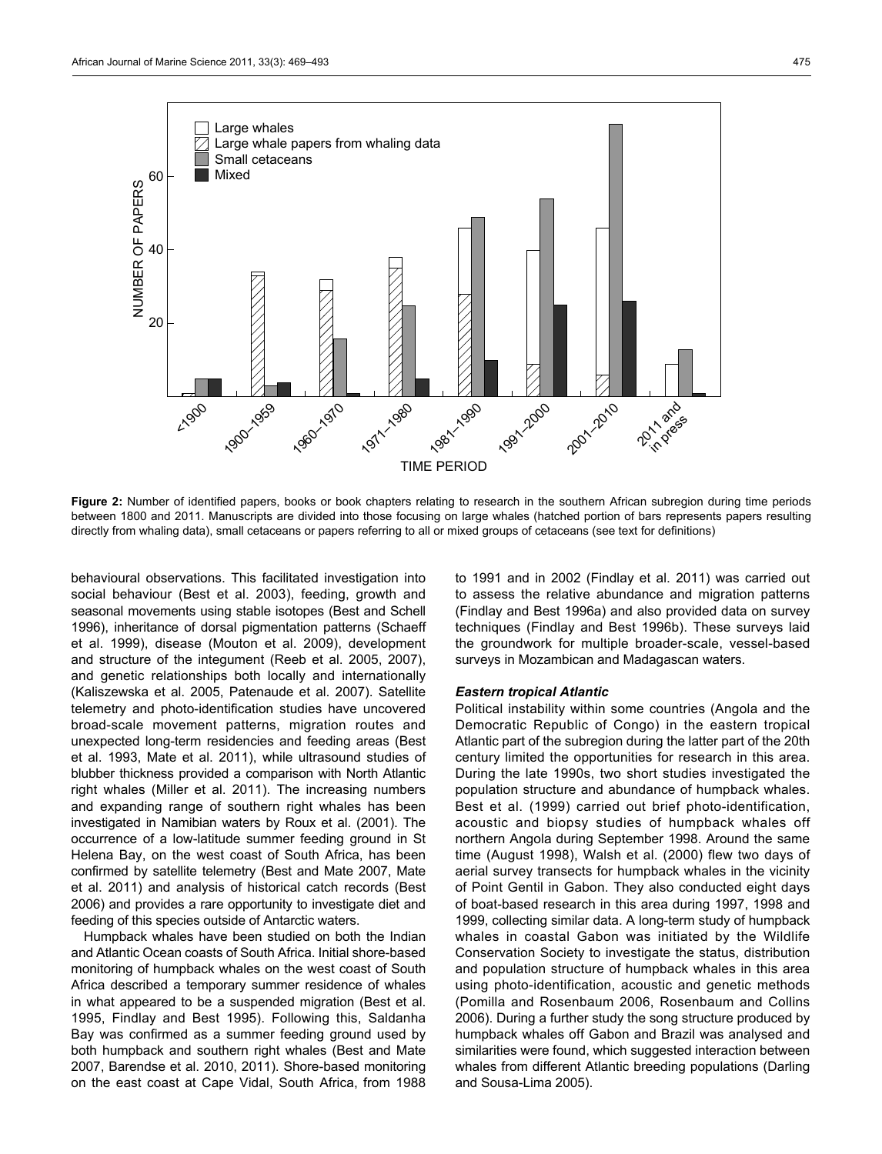

**Figure 2:** Number of identified papers, books or book chapters relating to research in the southern African subregion during time periods between 1800 and 2011. Manuscripts are divided into those focusing on large whales (hatched portion of bars represents papers resulting directly from whaling data), small cetaceans or papers referring to all or mixed groups of cetaceans (see text for definitions)

behavioural observations. This facilitated investigation into social behaviour (Best et al. 2003), feeding, growth and seasonal movements using stable isotopes (Best and Schell 1996), inheritance of dorsal pigmentation patterns (Schaeff et al. 1999), disease (Mouton et al. 2009), development and structure of the integument (Reeb et al. 2005, 2007), and genetic relationships both locally and internationally (Kaliszewska et al. 2005, Patenaude et al. 2007). Satellite telemetry and photo-identification studies have uncovered broad-scale movement patterns, migration routes and unexpected long-term residencies and feeding areas (Best et al. 1993, Mate et al. 2011), while ultrasound studies of blubber thickness provided a comparison with North Atlantic right whales (Miller et al. 2011). The increasing numbers and expanding range of southern right whales has been investigated in Namibian waters by Roux et al. (2001). The occurrence of a low-latitude summer feeding ground in St Helena Bay, on the west coast of South Africa, has been confirmed by satellite telemetry (Best and Mate 2007, Mate et al. 2011) and analysis of historical catch records (Best 2006) and provides a rare opportunity to investigate diet and feeding of this species outside of Antarctic waters.

Humpback whales have been studied on both the Indian and Atlantic Ocean coasts of South Africa. Initial shore-based monitoring of humpback whales on the west coast of South Africa described a temporary summer residence of whales in what appeared to be a suspended migration (Best et al. 1995, Findlay and Best 1995). Following this, Saldanha Bay was confirmed as a summer feeding ground used by both humpback and southern right whales (Best and Mate 2007, Barendse et al. 2010, 2011). Shore-based monitoring on the east coast at Cape Vidal, South Africa, from 1988

to 1991 and in 2002 (Findlay et al. 2011) was carried out to assess the relative abundance and migration patterns (Findlay and Best 1996a) and also provided data on survey techniques (Findlay and Best 1996b). These surveys laid the groundwork for multiple broader-scale, vessel-based surveys in Mozambican and Madagascan waters.

# *Eastern tropical Atlantic*

Political instability within some countries (Angola and the Democratic Republic of Congo) in the eastern tropical Atlantic part of the subregion during the latter part of the 20th century limited the opportunities for research in this area. During the late 1990s, two short studies investigated the population structure and abundance of humpback whales. Best et al. (1999) carried out brief photo-identification, acoustic and biopsy studies of humpback whales off northern Angola during September 1998. Around the same time (August 1998), Walsh et al. (2000) flew two days of aerial survey transects for humpback whales in the vicinity of Point Gentil in Gabon. They also conducted eight days of boat-based research in this area during 1997, 1998 and 1999, collecting similar data. A long-term study of humpback whales in coastal Gabon was initiated by the Wildlife Conservation Society to investigate the status, distribution and population structure of humpback whales in this area using photo-identification, acoustic and genetic methods (Pomilla and Rosenbaum 2006, Rosenbaum and Collins 2006). During a further study the song structure produced by humpback whales off Gabon and Brazil was analysed and similarities were found, which suggested interaction between whales from different Atlantic breeding populations (Darling and Sousa-Lima 2005).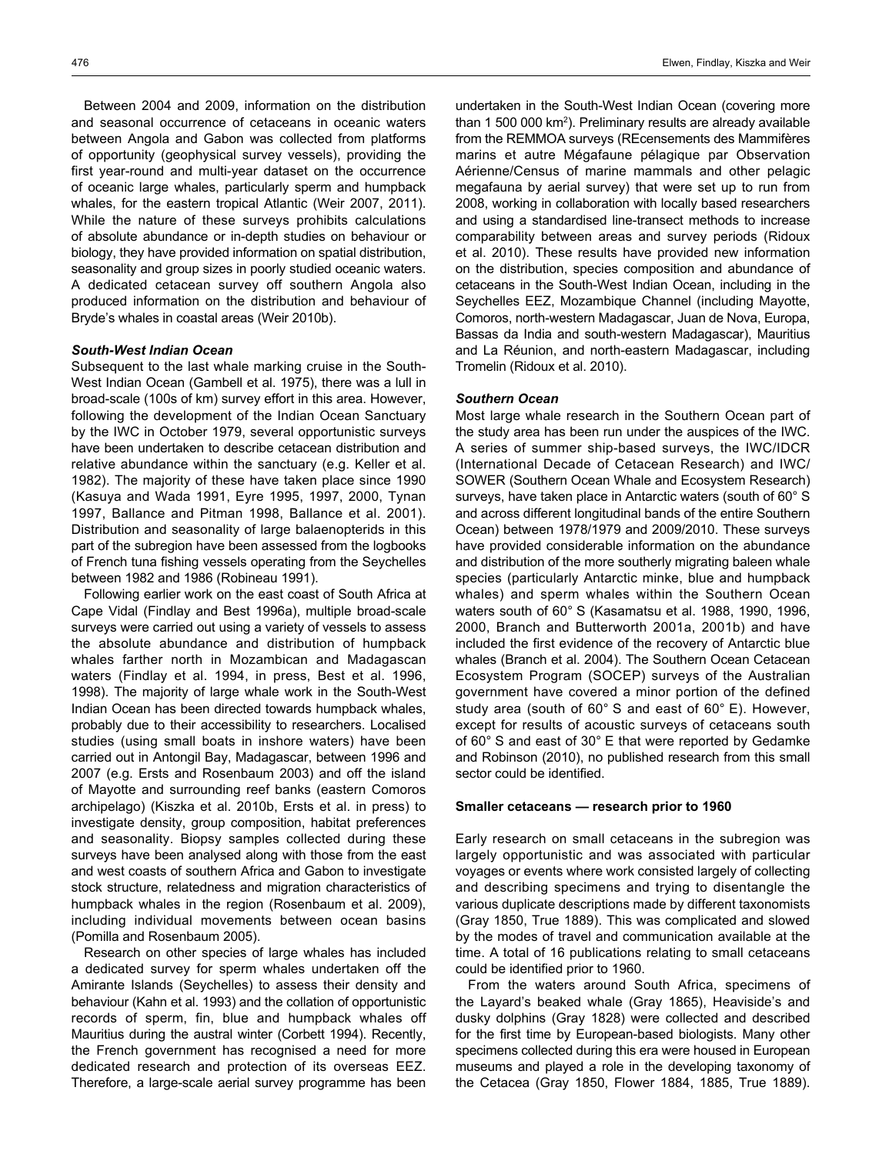Between 2004 and 2009, information on the distribution and seasonal occurrence of cetaceans in oceanic waters between Angola and Gabon was collected from platforms of opportunity (geophysical survey vessels), providing the first year-round and multi-year dataset on the occurrence of oceanic large whales, particularly sperm and humpback whales, for the eastern tropical Atlantic (Weir 2007, 2011). While the nature of these surveys prohibits calculations of absolute abundance or in-depth studies on behaviour or biology, they have provided information on spatial distribution, seasonality and group sizes in poorly studied oceanic waters. A dedicated cetacean survey off southern Angola also produced information on the distribution and behaviour of Bryde's whales in coastal areas (Weir 2010b).

#### *South-West Indian Ocean*

Subsequent to the last whale marking cruise in the South-West Indian Ocean (Gambell et al. 1975), there was a lull in broad-scale (100s of km) survey effort in this area. However, following the development of the Indian Ocean Sanctuary by the IWC in October 1979, several opportunistic surveys have been undertaken to describe cetacean distribution and relative abundance within the sanctuary (e.g. Keller et al. 1982). The majority of these have taken place since 1990 (Kasuya and Wada 1991, Eyre 1995, 1997, 2000, Tynan 1997, Ballance and Pitman 1998, Ballance et al. 2001). Distribution and seasonality of large balaenopterids in this part of the subregion have been assessed from the logbooks of French tuna fishing vessels operating from the Seychelles between 1982 and 1986 (Robineau 1991).

Following earlier work on the east coast of South Africa at Cape Vidal (Findlay and Best 1996a), multiple broad-scale surveys were carried out using a variety of vessels to assess the absolute abundance and distribution of humpback whales farther north in Mozambican and Madagascan waters (Findlay et al. 1994, in press, Best et al. 1996, 1998). The majority of large whale work in the South-West Indian Ocean has been directed towards humpback whales, probably due to their accessibility to researchers. Localised studies (using small boats in inshore waters) have been carried out in Antongil Bay, Madagascar, between 1996 and 2007 (e.g. Ersts and Rosenbaum 2003) and off the island of Mayotte and surrounding reef banks (eastern Comoros archipelago) (Kiszka et al. 2010b, Ersts et al. in press) to investigate density, group composition, habitat preferences and seasonality. Biopsy samples collected during these surveys have been analysed along with those from the east and west coasts of southern Africa and Gabon to investigate stock structure, relatedness and migration characteristics of humpback whales in the region (Rosenbaum et al. 2009), including individual movements between ocean basins (Pomilla and Rosenbaum 2005).

Research on other species of large whales has included a dedicated survey for sperm whales undertaken off the Amirante Islands (Seychelles) to assess their density and behaviour (Kahn et al. 1993) and the collation of opportunistic records of sperm, fin, blue and humpback whales off Mauritius during the austral winter (Corbett 1994). Recently, the French government has recognised a need for more dedicated research and protection of its overseas EEZ. Therefore, a large-scale aerial survey programme has been undertaken in the South-West Indian Ocean (covering more than 1 500 000 km2). Preliminary results are already available from the REMMOA surveys (REcensements des Mammifères marins et autre Mégafaune pélagique par Observation Aérienne/Census of marine mammals and other pelagic megafauna by aerial survey) that were set up to run from 2008, working in collaboration with locally based researchers and using a standardised line-transect methods to increase comparability between areas and survey periods (Ridoux et al. 2010). These results have provided new information on the distribution, species composition and abundance of cetaceans in the South-West Indian Ocean, including in the Seychelles EEZ, Mozambique Channel (including Mayotte, Comoros, north-western Madagascar, Juan de Nova, Europa, Bassas da India and south-western Madagascar), Mauritius and La Réunion, and north-eastern Madagascar, including Tromelin (Ridoux et al. 2010).

#### *Southern Ocean*

Most large whale research in the Southern Ocean part of the study area has been run under the auspices of the IWC. A series of summer ship-based surveys, the IWC/IDCR (International Decade of Cetacean Research) and IWC/ SOWER (Southern Ocean Whale and Ecosystem Research) surveys, have taken place in Antarctic waters (south of 60° S and across different longitudinal bands of the entire Southern Ocean) between 1978/1979 and 2009/2010. These surveys have provided considerable information on the abundance and distribution of the more southerly migrating baleen whale species (particularly Antarctic minke, blue and humpback whales) and sperm whales within the Southern Ocean waters south of 60° S (Kasamatsu et al. 1988, 1990, 1996, 2000, Branch and Butterworth 2001a, 2001b) and have included the first evidence of the recovery of Antarctic blue whales (Branch et al. 2004). The Southern Ocean Cetacean Ecosystem Program (SOCEP) surveys of the Australian government have covered a minor portion of the defined study area (south of 60° S and east of 60° E). However, except for results of acoustic surveys of cetaceans south of 60° S and east of 30° E that were reported by Gedamke and Robinson (2010), no published research from this small sector could be identified.

#### **Smaller cetaceans — research prior to 1960**

Early research on small cetaceans in the subregion was largely opportunistic and was associated with particular voyages or events where work consisted largely of collecting and describing specimens and trying to disentangle the various duplicate descriptions made by different taxonomists (Gray 1850, True 1889). This was complicated and slowed by the modes of travel and communication available at the time. A total of 16 publications relating to small cetaceans could be identified prior to 1960.

From the waters around South Africa, specimens of the Layard's beaked whale (Gray 1865), Heaviside's and dusky dolphins (Gray 1828) were collected and described for the first time by European-based biologists. Many other specimens collected during this era were housed in European museums and played a role in the developing taxonomy of the Cetacea (Gray 1850, Flower 1884, 1885, True 1889).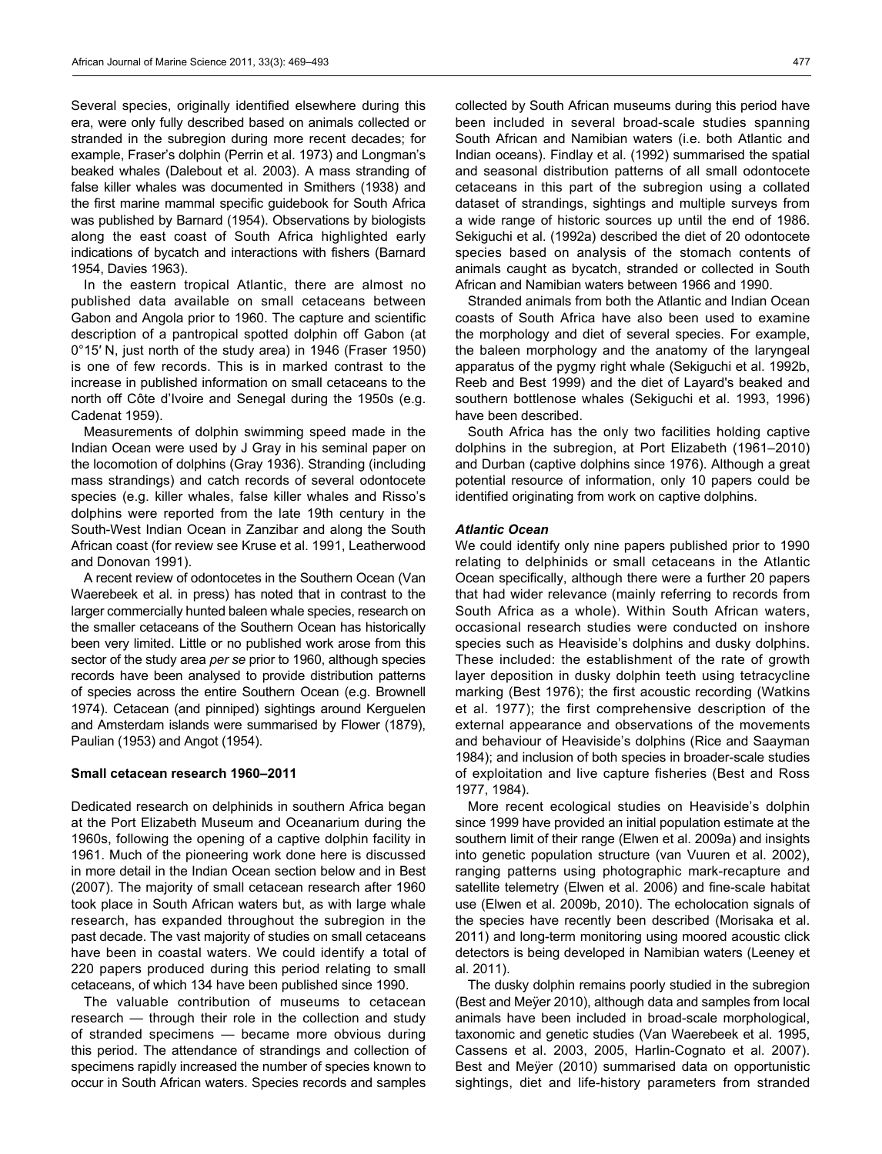Several species, originally identified elsewhere during this era, were only fully described based on animals collected or stranded in the subregion during more recent decades; for example, Fraser's dolphin (Perrin et al. 1973) and Longman's beaked whales (Dalebout et al. 2003). A mass stranding of false killer whales was documented in Smithers (1938) and the first marine mammal specific guidebook for South Africa was published by Barnard (1954). Observations by biologists along the east coast of South Africa highlighted early indications of bycatch and interactions with fishers (Barnard 1954, Davies 1963).

In the eastern tropical Atlantic, there are almost no published data available on small cetaceans between Gabon and Angola prior to 1960. The capture and scientific description of a pantropical spotted dolphin off Gabon (at 0°15′ N, just north of the study area) in 1946 (Fraser 1950) is one of few records. This is in marked contrast to the increase in published information on small cetaceans to the north off Côte d'Ivoire and Senegal during the 1950s (e.g. Cadenat 1959).

Measurements of dolphin swimming speed made in the Indian Ocean were used by J Gray in his seminal paper on the locomotion of dolphins (Gray 1936). Stranding (including mass strandings) and catch records of several odontocete species (e.g. killer whales, false killer whales and Risso's dolphins were reported from the late 19th century in the South-West Indian Ocean in Zanzibar and along the South African coast (for review see Kruse et al. 1991, Leatherwood and Donovan 1991).

A recent review of odontocetes in the Southern Ocean (Van Waerebeek et al. in press) has noted that in contrast to the larger commercially hunted baleen whale species, research on the smaller cetaceans of the Southern Ocean has historically been very limited. Little or no published work arose from this sector of the study area *per se* prior to 1960, although species records have been analysed to provide distribution patterns of species across the entire Southern Ocean (e.g. Brownell 1974). Cetacean (and pinniped) sightings around Kerguelen and Amsterdam islands were summarised by Flower (1879), Paulian (1953) and Angot (1954).

## **Small cetacean research 1960–2011**

Dedicated research on delphinids in southern Africa began at the Port Elizabeth Museum and Oceanarium during the 1960s, following the opening of a captive dolphin facility in 1961. Much of the pioneering work done here is discussed in more detail in the Indian Ocean section below and in Best (2007). The majority of small cetacean research after 1960 took place in South African waters but, as with large whale research, has expanded throughout the subregion in the past decade. The vast majority of studies on small cetaceans have been in coastal waters. We could identify a total of 220 papers produced during this period relating to small cetaceans, of which 134 have been published since 1990.

The valuable contribution of museums to cetacean research — through their role in the collection and study of stranded specimens — became more obvious during this period. The attendance of strandings and collection of specimens rapidly increased the number of species known to occur in South African waters. Species records and samples

collected by South African museums during this period have been included in several broad-scale studies spanning South African and Namibian waters (i.e. both Atlantic and Indian oceans). Findlay et al. (1992) summarised the spatial and seasonal distribution patterns of all small odontocete cetaceans in this part of the subregion using a collated dataset of strandings, sightings and multiple surveys from a wide range of historic sources up until the end of 1986. Sekiguchi et al. (1992a) described the diet of 20 odontocete species based on analysis of the stomach contents of animals caught as bycatch, stranded or collected in South African and Namibian waters between 1966 and 1990.

Stranded animals from both the Atlantic and Indian Ocean coasts of South Africa have also been used to examine the morphology and diet of several species. For example, the baleen morphology and the anatomy of the laryngeal apparatus of the pygmy right whale (Sekiguchi et al. 1992b, Reeb and Best 1999) and the diet of Layard's beaked and southern bottlenose whales (Sekiguchi et al. 1993, 1996) have been described.

South Africa has the only two facilities holding captive dolphins in the subregion, at Port Elizabeth (1961–2010) and Durban (captive dolphins since 1976). Although a great potential resource of information, only 10 papers could be identified originating from work on captive dolphins.

#### *Atlantic Ocean*

We could identify only nine papers published prior to 1990 relating to delphinids or small cetaceans in the Atlantic Ocean specifically, although there were a further 20 papers that had wider relevance (mainly referring to records from South Africa as a whole). Within South African waters, occasional research studies were conducted on inshore species such as Heaviside's dolphins and dusky dolphins. These included: the establishment of the rate of growth layer deposition in dusky dolphin teeth using tetracycline marking (Best 1976); the first acoustic recording (Watkins et al. 1977); the first comprehensive description of the external appearance and observations of the movements and behaviour of Heaviside's dolphins (Rice and Saayman 1984); and inclusion of both species in broader-scale studies of exploitation and live capture fisheries (Best and Ross 1977, 1984).

More recent ecological studies on Heaviside's dolphin since 1999 have provided an initial population estimate at the southern limit of their range (Elwen et al. 2009a) and insights into genetic population structure (van Vuuren et al. 2002), ranging patterns using photographic mark-recapture and satellite telemetry (Elwen et al. 2006) and fine-scale habitat use (Elwen et al. 2009b, 2010). The echolocation signals of the species have recently been described (Morisaka et al. 2011) and long-term monitoring using moored acoustic click detectors is being developed in Namibian waters (Leeney et al. 2011).

The dusky dolphin remains poorly studied in the subregion (Best and Meÿer 2010), although data and samples from local animals have been included in broad-scale morphological, taxonomic and genetic studies (Van Waerebeek et al. 1995, Cassens et al. 2003, 2005, Harlin-Cognato et al. 2007). Best and Meÿer (2010) summarised data on opportunistic sightings, diet and life-history parameters from stranded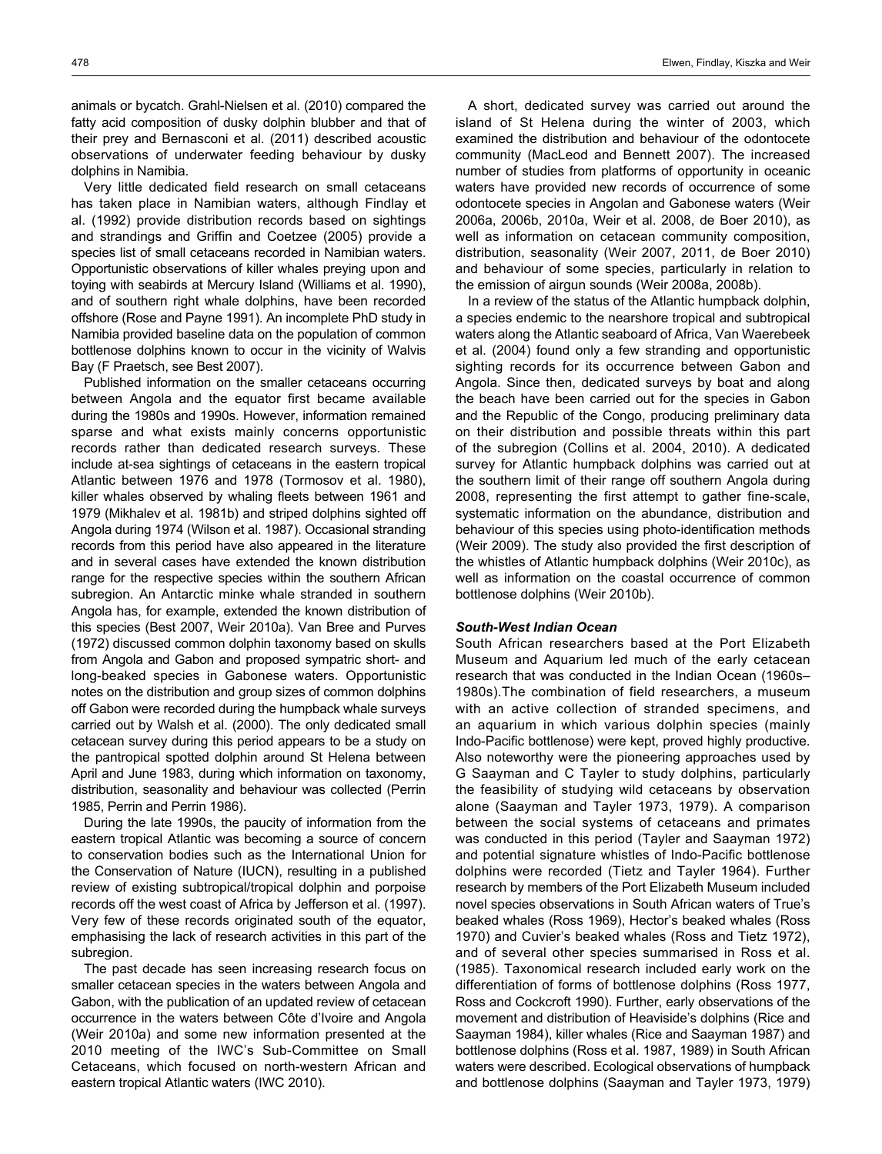animals or bycatch. Grahl-Nielsen et al. (2010) compared the fatty acid composition of dusky dolphin blubber and that of their prey and Bernasconi et al. (2011) described acoustic observations of underwater feeding behaviour by dusky dolphins in Namibia.

Very little dedicated field research on small cetaceans has taken place in Namibian waters, although Findlay et al. (1992) provide distribution records based on sightings and strandings and Griffin and Coetzee (2005) provide a species list of small cetaceans recorded in Namibian waters. Opportunistic observations of killer whales preying upon and toying with seabirds at Mercury Island (Williams et al. 1990), and of southern right whale dolphins, have been recorded offshore (Rose and Payne 1991). An incomplete PhD study in Namibia provided baseline data on the population of common bottlenose dolphins known to occur in the vicinity of Walvis Bay (F Praetsch, see Best 2007).

Published information on the smaller cetaceans occurring between Angola and the equator first became available during the 1980s and 1990s. However, information remained sparse and what exists mainly concerns opportunistic records rather than dedicated research surveys. These include at-sea sightings of cetaceans in the eastern tropical Atlantic between 1976 and 1978 (Tormosov et al. 1980), killer whales observed by whaling fleets between 1961 and 1979 (Mikhalev et al. 1981b) and striped dolphins sighted off Angola during 1974 (Wilson et al. 1987). Occasional stranding records from this period have also appeared in the literature and in several cases have extended the known distribution range for the respective species within the southern African subregion. An Antarctic minke whale stranded in southern Angola has, for example, extended the known distribution of this species (Best 2007, Weir 2010a). Van Bree and Purves (1972) discussed common dolphin taxonomy based on skulls from Angola and Gabon and proposed sympatric short- and long-beaked species in Gabonese waters. Opportunistic notes on the distribution and group sizes of common dolphins off Gabon were recorded during the humpback whale surveys carried out by Walsh et al. (2000). The only dedicated small cetacean survey during this period appears to be a study on the pantropical spotted dolphin around St Helena between April and June 1983, during which information on taxonomy, distribution, seasonality and behaviour was collected (Perrin 1985, Perrin and Perrin 1986).

During the late 1990s, the paucity of information from the eastern tropical Atlantic was becoming a source of concern to conservation bodies such as the International Union for the Conservation of Nature (IUCN), resulting in a published review of existing subtropical/tropical dolphin and porpoise records off the west coast of Africa by Jefferson et al. (1997). Very few of these records originated south of the equator, emphasising the lack of research activities in this part of the subregion.

The past decade has seen increasing research focus on smaller cetacean species in the waters between Angola and Gabon, with the publication of an updated review of cetacean occurrence in the waters between Côte d'Ivoire and Angola (Weir 2010a) and some new information presented at the 2010 meeting of the IWC's Sub-Committee on Small Cetaceans, which focused on north-western African and eastern tropical Atlantic waters (IWC 2010).

A short, dedicated survey was carried out around the island of St Helena during the winter of 2003, which examined the distribution and behaviour of the odontocete community (MacLeod and Bennett 2007). The increased number of studies from platforms of opportunity in oceanic waters have provided new records of occurrence of some odontocete species in Angolan and Gabonese waters (Weir 2006a, 2006b, 2010a, Weir et al. 2008, de Boer 2010), as well as information on cetacean community composition, distribution, seasonality (Weir 2007, 2011, de Boer 2010) and behaviour of some species, particularly in relation to the emission of airgun sounds (Weir 2008a, 2008b).

In a review of the status of the Atlantic humpback dolphin, a species endemic to the nearshore tropical and subtropical waters along the Atlantic seaboard of Africa, Van Waerebeek et al. (2004) found only a few stranding and opportunistic sighting records for its occurrence between Gabon and Angola. Since then, dedicated surveys by boat and along the beach have been carried out for the species in Gabon and the Republic of the Congo, producing preliminary data on their distribution and possible threats within this part of the subregion (Collins et al. 2004, 2010). A dedicated survey for Atlantic humpback dolphins was carried out at the southern limit of their range off southern Angola during 2008, representing the first attempt to gather fine-scale, systematic information on the abundance, distribution and behaviour of this species using photo-identification methods (Weir 2009). The study also provided the first description of the whistles of Atlantic humpback dolphins (Weir 2010c), as well as information on the coastal occurrence of common bottlenose dolphins (Weir 2010b).

# *South-West Indian Ocean*

South African researchers based at the Port Elizabeth Museum and Aquarium led much of the early cetacean research that was conducted in the Indian Ocean (1960s– 1980s).The combination of field researchers, a museum with an active collection of stranded specimens, and an aquarium in which various dolphin species (mainly Indo-Pacific bottlenose) were kept, proved highly productive. Also noteworthy were the pioneering approaches used by G Saayman and C Tayler to study dolphins, particularly the feasibility of studying wild cetaceans by observation alone (Saayman and Tayler 1973, 1979). A comparison between the social systems of cetaceans and primates was conducted in this period (Tayler and Saayman 1972) and potential signature whistles of Indo-Pacific bottlenose dolphins were recorded (Tietz and Tayler 1964). Further research by members of the Port Elizabeth Museum included novel species observations in South African waters of True's beaked whales (Ross 1969), Hector's beaked whales (Ross 1970) and Cuvier's beaked whales (Ross and Tietz 1972), and of several other species summarised in Ross et al. (1985). Taxonomical research included early work on the differentiation of forms of bottlenose dolphins (Ross 1977, Ross and Cockcroft 1990). Further, early observations of the movement and distribution of Heaviside's dolphins (Rice and Saayman 1984), killer whales (Rice and Saayman 1987) and bottlenose dolphins (Ross et al. 1987, 1989) in South African waters were described. Ecological observations of humpback and bottlenose dolphins (Saayman and Tayler 1973, 1979)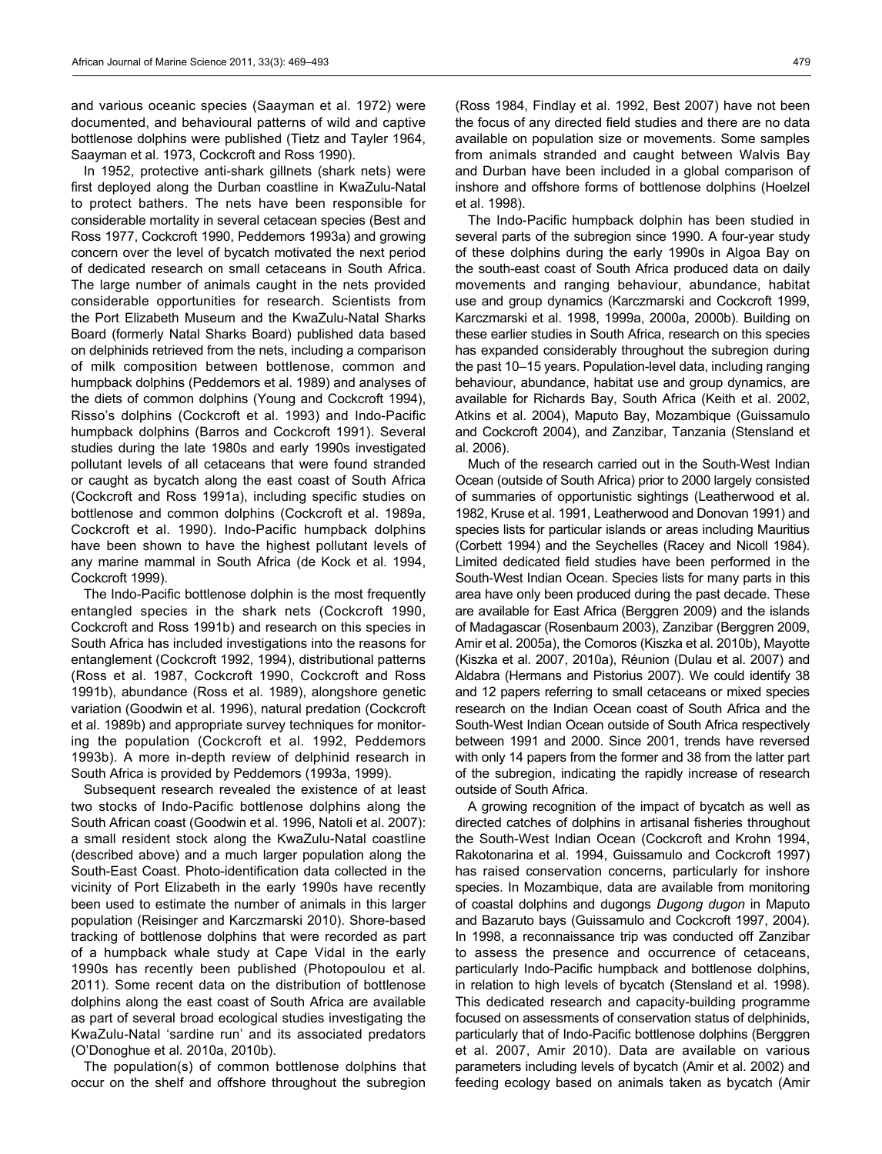and various oceanic species (Saayman et al. 1972) were documented, and behavioural patterns of wild and captive bottlenose dolphins were published (Tietz and Tayler 1964, Saayman et al. 1973, Cockcroft and Ross 1990).

In 1952, protective anti-shark gillnets (shark nets) were first deployed along the Durban coastline in KwaZulu-Natal to protect bathers. The nets have been responsible for considerable mortality in several cetacean species (Best and Ross 1977, Cockcroft 1990, Peddemors 1993a) and growing concern over the level of bycatch motivated the next period of dedicated research on small cetaceans in South Africa. The large number of animals caught in the nets provided considerable opportunities for research. Scientists from the Port Elizabeth Museum and the KwaZulu-Natal Sharks Board (formerly Natal Sharks Board) published data based on delphinids retrieved from the nets, including a comparison of milk composition between bottlenose, common and humpback dolphins (Peddemors et al. 1989) and analyses of the diets of common dolphins (Young and Cockcroft 1994), Risso's dolphins (Cockcroft et al. 1993) and Indo-Pacific humpback dolphins (Barros and Cockcroft 1991). Several studies during the late 1980s and early 1990s investigated pollutant levels of all cetaceans that were found stranded or caught as bycatch along the east coast of South Africa (Cockcroft and Ross 1991a), including specific studies on bottlenose and common dolphins (Cockcroft et al. 1989a, Cockcroft et al. 1990). Indo-Pacific humpback dolphins have been shown to have the highest pollutant levels of any marine mammal in South Africa (de Kock et al. 1994, Cockcroft 1999).

The Indo-Pacific bottlenose dolphin is the most frequently entangled species in the shark nets (Cockcroft 1990, Cockcroft and Ross 1991b) and research on this species in South Africa has included investigations into the reasons for entanglement (Cockcroft 1992, 1994), distributional patterns (Ross et al. 1987, Cockcroft 1990, Cockcroft and Ross 1991b), abundance (Ross et al. 1989), alongshore genetic variation (Goodwin et al. 1996), natural predation (Cockcroft et al. 1989b) and appropriate survey techniques for monitoring the population (Cockcroft et al. 1992, Peddemors 1993b). A more in-depth review of delphinid research in South Africa is provided by Peddemors (1993a, 1999).

Subsequent research revealed the existence of at least two stocks of Indo-Pacific bottlenose dolphins along the South African coast (Goodwin et al. 1996, Natoli et al. 2007): a small resident stock along the KwaZulu-Natal coastline (described above) and a much larger population along the South-East Coast. Photo-identification data collected in the vicinity of Port Elizabeth in the early 1990s have recently been used to estimate the number of animals in this larger population (Reisinger and Karczmarski 2010). Shore-based tracking of bottlenose dolphins that were recorded as part of a humpback whale study at Cape Vidal in the early 1990s has recently been published (Photopoulou et al. 2011). Some recent data on the distribution of bottlenose dolphins along the east coast of South Africa are available as part of several broad ecological studies investigating the KwaZulu-Natal 'sardine run' and its associated predators (O'Donoghue et al. 2010a, 2010b).

The population(s) of common bottlenose dolphins that occur on the shelf and offshore throughout the subregion

(Ross 1984, Findlay et al. 1992, Best 2007) have not been the focus of any directed field studies and there are no data available on population size or movements. Some samples from animals stranded and caught between Walvis Bay and Durban have been included in a global comparison of inshore and offshore forms of bottlenose dolphins (Hoelzel et al. 1998).

The Indo-Pacific humpback dolphin has been studied in several parts of the subregion since 1990. A four-year study of these dolphins during the early 1990s in Algoa Bay on the south-east coast of South Africa produced data on daily movements and ranging behaviour, abundance, habitat use and group dynamics (Karczmarski and Cockcroft 1999, Karczmarski et al. 1998, 1999a, 2000a, 2000b). Building on these earlier studies in South Africa, research on this species has expanded considerably throughout the subregion during the past 10–15 years. Population-level data, including ranging behaviour, abundance, habitat use and group dynamics, are available for Richards Bay, South Africa (Keith et al. 2002, Atkins et al. 2004), Maputo Bay, Mozambique (Guissamulo and Cockcroft 2004), and Zanzibar, Tanzania (Stensland et al. 2006).

Much of the research carried out in the South-West Indian Ocean (outside of South Africa) prior to 2000 largely consisted of summaries of opportunistic sightings (Leatherwood et al. 1982, Kruse et al. 1991, Leatherwood and Donovan 1991) and species lists for particular islands or areas including Mauritius (Corbett 1994) and the Seychelles (Racey and Nicoll 1984). Limited dedicated field studies have been performed in the South-West Indian Ocean. Species lists for many parts in this area have only been produced during the past decade. These are available for East Africa (Berggren 2009) and the islands of Madagascar (Rosenbaum 2003), Zanzibar (Berggren 2009, Amir et al. 2005a), the Comoros (Kiszka et al. 2010b), Mayotte (Kiszka et al. 2007, 2010a), Réunion (Dulau et al. 2007) and Aldabra (Hermans and Pistorius 2007). We could identify 38 and 12 papers referring to small cetaceans or mixed species research on the Indian Ocean coast of South Africa and the South-West Indian Ocean outside of South Africa respectively between 1991 and 2000. Since 2001, trends have reversed with only 14 papers from the former and 38 from the latter part of the subregion, indicating the rapidly increase of research outside of South Africa.

A growing recognition of the impact of bycatch as well as directed catches of dolphins in artisanal fisheries throughout the South-West Indian Ocean (Cockcroft and Krohn 1994, Rakotonarina et al. 1994, Guissamulo and Cockcroft 1997) has raised conservation concerns, particularly for inshore species. In Mozambique, data are available from monitoring of coastal dolphins and dugongs *Dugong dugon* in Maputo and Bazaruto bays (Guissamulo and Cockcroft 1997, 2004). In 1998, a reconnaissance trip was conducted off Zanzibar to assess the presence and occurrence of cetaceans, particularly Indo-Pacific humpback and bottlenose dolphins, in relation to high levels of bycatch (Stensland et al. 1998). This dedicated research and capacity-building programme focused on assessments of conservation status of delphinids, particularly that of Indo-Pacific bottlenose dolphins (Berggren et al. 2007, Amir 2010). Data are available on various parameters including levels of bycatch (Amir et al. 2002) and feeding ecology based on animals taken as bycatch (Amir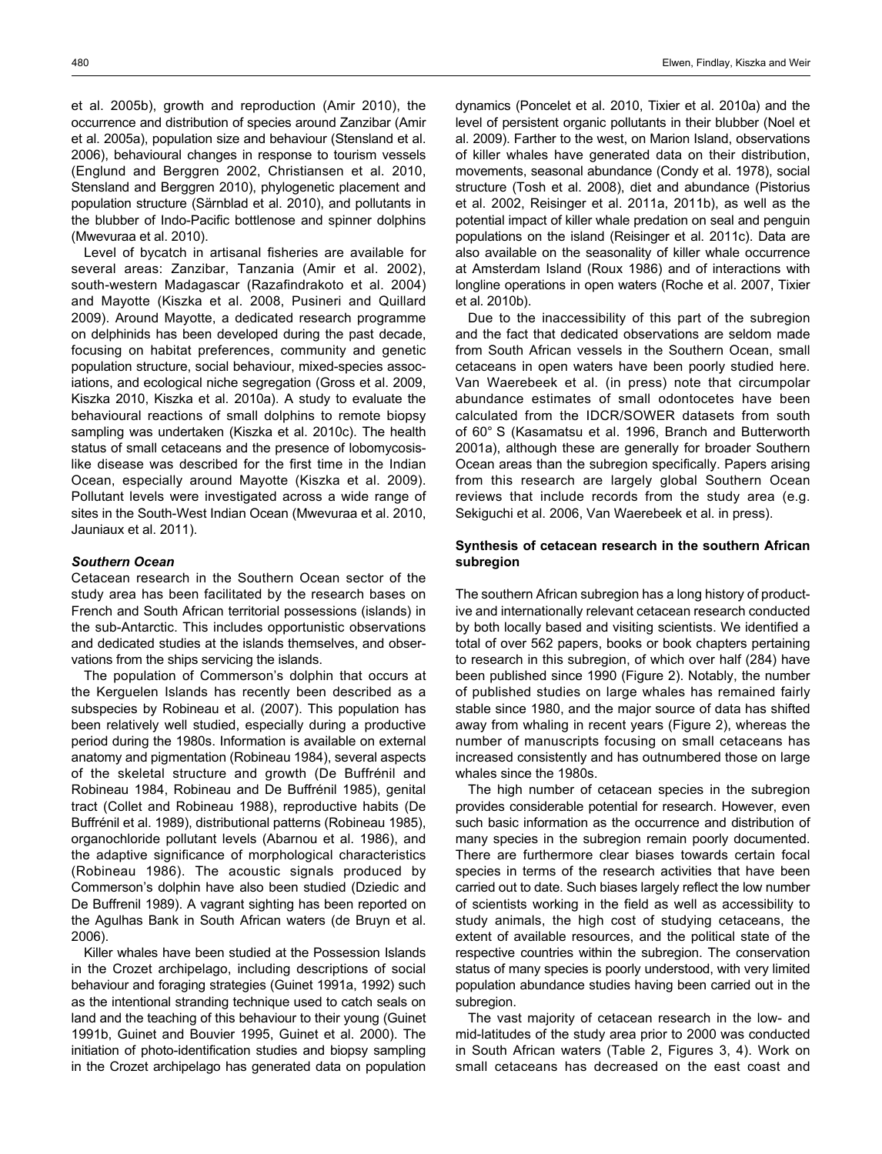et al. 2005b), growth and reproduction (Amir 2010), the occurrence and distribution of species around Zanzibar (Amir et al. 2005a), population size and behaviour (Stensland et al. 2006), behavioural changes in response to tourism vessels (Englund and Berggren 2002, Christiansen et al. 2010, Stensland and Berggren 2010), phylogenetic placement and population structure (Särnblad et al. 2010), and pollutants in the blubber of Indo-Pacific bottlenose and spinner dolphins (Mwevuraa et al. 2010).

Level of bycatch in artisanal fisheries are available for several areas: Zanzibar, Tanzania (Amir et al. 2002), south-western Madagascar (Razafindrakoto et al. 2004) and Mayotte (Kiszka et al. 2008, Pusineri and Quillard 2009). Around Mayotte, a dedicated research programme on delphinids has been developed during the past decade, focusing on habitat preferences, community and genetic population structure, social behaviour, mixed-species associations, and ecological niche segregation (Gross et al. 2009, Kiszka 2010, Kiszka et al. 2010a). A study to evaluate the behavioural reactions of small dolphins to remote biopsy sampling was undertaken (Kiszka et al. 2010c). The health status of small cetaceans and the presence of lobomycosislike disease was described for the first time in the Indian Ocean, especially around Mayotte (Kiszka et al. 2009). Pollutant levels were investigated across a wide range of sites in the South-West Indian Ocean (Mwevuraa et al. 2010, Jauniaux et al. 2011).

# *Southern Ocean*

Cetacean research in the Southern Ocean sector of the study area has been facilitated by the research bases on French and South African territorial possessions (islands) in the sub-Antarctic. This includes opportunistic observations and dedicated studies at the islands themselves, and obser vations from the ships servicing the islands.

The population of Commerson's dolphin that occurs at the Kerguelen Islands has recently been described as a subspecies by Robineau et al. (2007). This population has been relatively well studied, especially during a productive period during the 1980s. Information is available on external anatomy and pigmentation (Robineau 1984), several aspects of the skeletal structure and growth (De Buffrénil and Robineau 1984, Robineau and De Buffrénil 1985), genital tract (Collet and Robineau 1988), reproductive habits (De Buffrénil et al. 1989), distributional patterns (Robineau 1985), organochloride pollutant levels (Abarnou et al. 1986), and the adaptive significance of morphological characteristics (Robineau 1986). The acoustic signals produced by Commerson's dolphin have also been studied (Dziedic and De Buffrenil 1989). A vagrant sighting has been reported on the Agulhas Bank in South African waters (de Bruyn et al. 2006).

Killer whales have been studied at the Possession Islands in the Crozet archipelago, including descriptions of social behaviour and foraging strategies (Guinet 1991a, 1992) such as the intentional stranding technique used to catch seals on land and the teaching of this behaviour to their young (Guinet 1991b, Guinet and Bouvier 1995, Guinet et al. 2000). The initiation of photo-identification studies and biopsy sampling in the Crozet archipelago has generated data on population

dynamics (Poncelet et al. 2010, Tixier et al. 2010a) and the level of persistent organic pollutants in their blubber (Noel et al. 2009). Farther to the west, on Marion Island, observations of killer whales have generated data on their distribution, movements, seasonal abundance (Condy et al. 1978), social structure (Tosh et al. 2008), diet and abundance (Pistorius et al. 2002, Reisinger et al. 2011a, 2011b), as well as the potential impact of killer whale predation on seal and penguin populations on the island (Reisinger et al. 2011c). Data are also available on the seasonality of killer whale occurrence at Amsterdam Island (Roux 1986) and of interactions with longline operations in open waters (Roche et al. 2007, Tixier et al. 2010b).

Due to the inaccessibility of this part of the subregion and the fact that dedicated observations are seldom made from South African vessels in the Southern Ocean, small cetaceans in open waters have been poorly studied here. Van Waerebeek et al. (in press) note that circumpolar abundance estimates of small odontocetes have been calculated from the IDCR/SOWER datasets from south of 60° S (Kasamatsu et al. 1996, Branch and Butterworth 2001a), although these are generally for broader Southern Ocean areas than the subregion specifically. Papers arising from this research are largely global Southern Ocean reviews that include records from the study area (e.g. Sekiguchi et al. 2006, Van Waerebeek et al. in press).

# **Synthesis of cetacean research in the southern African subregion**

The southern African subregion has a long history of productive and internationally relevant cetacean research conducted by both locally based and visiting scientists. We identified a total of over 562 papers, books or book chapters pertaining to research in this subregion, of which over half (284) have been published since 1990 (Figure 2). Notably, the number of published studies on large whales has remained fairly stable since 1980, and the major source of data has shifted away from whaling in recent years (Figure 2), whereas the number of manuscripts focusing on small cetaceans has increased consistently and has outnumbered those on large whales since the 1980s.

The high number of cetacean species in the subregion provides considerable potential for research. However, even such basic information as the occurrence and distribution of many species in the subregion remain poorly documented. There are furthermore clear biases towards certain focal species in terms of the research activities that have been carried out to date. Such biases largely reflect the low number of scientists working in the field as well as accessibility to study animals, the high cost of studying cetaceans, the extent of available resources, and the political state of the respective countries within the subregion. The conservation status of many species is poorly understood, with very limited population abundance studies having been carried out in the subregion.

The vast majority of cetacean research in the low- and mid-latitudes of the study area prior to 2000 was conducted in South African waters (Table 2, Figures 3, 4). Work on small cetaceans has decreased on the east coast and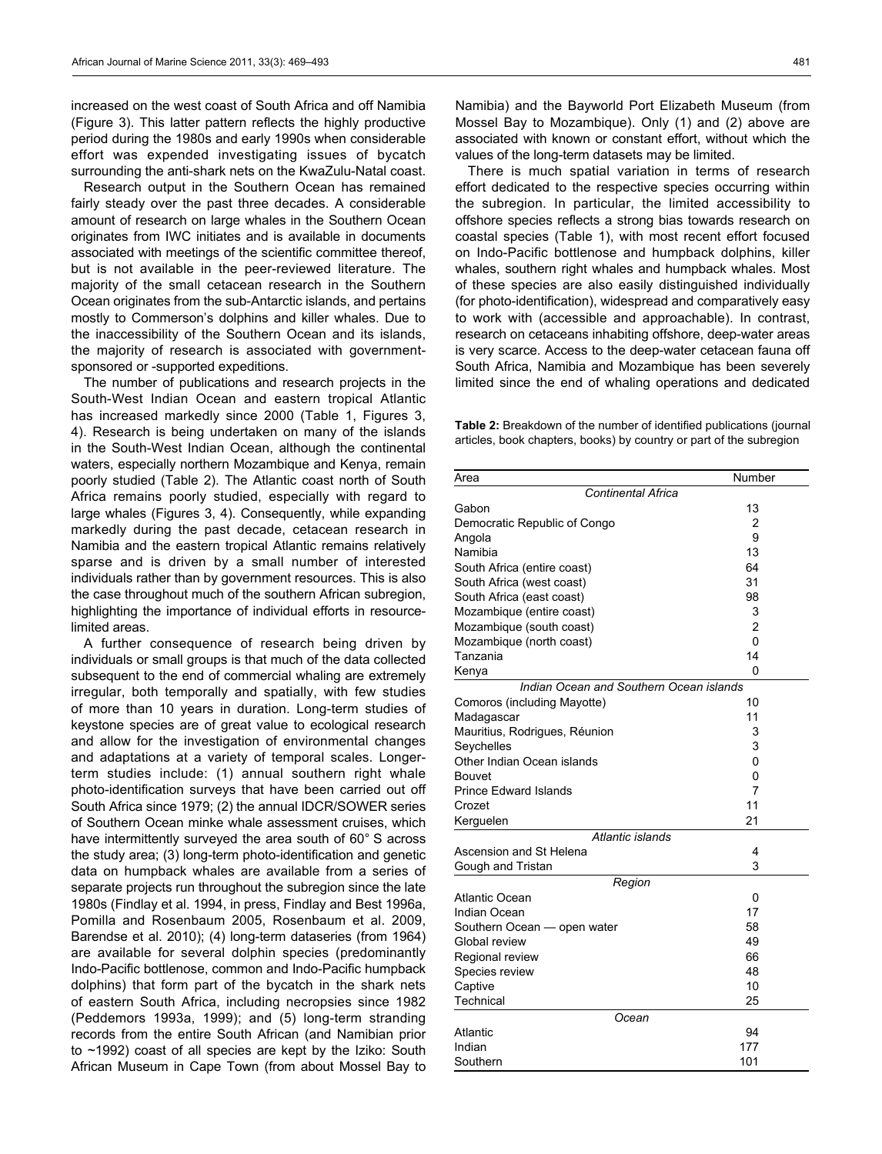increased on the west coast of South Africa and off Namibia (Figure 3). This latter pattern reflects the highly productive period during the 1980s and early 1990s when considerable effort was expended investigating issues of bycatch surrounding the anti-shark nets on the KwaZulu-Natal coast.

Research output in the Southern Ocean has remained fairly steady over the past three decades. A considerable amount of research on large whales in the Southern Ocean originates from IWC initiates and is available in documents associated with meetings of the scientific committee thereof, but is not available in the peer-reviewed literature. The majority of the small cetacean research in the Southern Ocean originates from the sub-Antarctic islands, and pertains mostly to Commerson's dolphins and killer whales. Due to the inaccessibility of the Southern Ocean and its islands, the majority of research is associated with governmentsponsored or -supported expeditions.

The number of publications and research projects in the South-West Indian Ocean and eastern tropical Atlantic has increased markedly since 2000 (Table 1, Figures 3, 4). Research is being undertaken on many of the islands in the South-West Indian Ocean, although the continental waters, especially northern Mozambique and Kenya, remain poorly studied (Table 2). The Atlantic coast north of South Africa remains poorly studied, especially with regard to large whales (Figures 3, 4). Consequently, while expanding markedly during the past decade, cetacean research in Namibia and the eastern tropical Atlantic remains relatively sparse and is driven by a small number of interested individuals rather than by government resources. This is also the case throughout much of the southern African subregion, highlighting the importance of individual efforts in resourcelimited areas.

A further consequence of research being driven by individuals or small groups is that much of the data collected subsequent to the end of commercial whaling are extremely irregular, both temporally and spatially, with few studies of more than 10 years in duration. Long-term studies of keystone species are of great value to ecological research and allow for the investigation of environmental changes and adaptations at a variety of temporal scales. Longerterm studies include: (1) annual southern right whale photo-identification surveys that have been carried out off South Africa since 1979; (2) the annual IDCR/SOWER series of Southern Ocean minke whale assessment cruises, which have intermittently surveyed the area south of 60° S across the study area; (3) long-term photo-identification and genetic data on humpback whales are available from a series of separate projects run throughout the subregion since the late 1980s (Findlay et al. 1994, in press, Findlay and Best 1996a, Pomilla and Rosenbaum 2005, Rosenbaum et al. 2009, Barendse et al. 2010); (4) long-term dataseries (from 1964) are available for several dolphin species (predominantly Indo-Pacific bottlenose, common and Indo-Pacific humpback dolphins) that form part of the bycatch in the shark nets of eastern South Africa, including necropsies since 1982 (Peddemors 1993a, 1999); and (5) long-term stranding records from the entire South African (and Namibian prior to ~1992) coast of all species are kept by the Iziko: South African Museum in Cape Town (from about Mossel Bay to

Namibia) and the Bayworld Port Elizabeth Museum (from Mossel Bay to Mozambique). Only (1) and (2) above are associated with known or constant effort, without which the values of the long-term datasets may be limited.

There is much spatial variation in terms of research effort dedicated to the respective species occurring within the subregion. In particular, the limited accessibility to offshore species reflects a strong bias towards research on coastal species (Table 1), with most recent effort focused on Indo-Pacific bottlenose and humpback dolphins, killer whales, southern right whales and humpback whales. Most of these species are also easily distinguished individually (for photo-identification), widespread and comparatively easy to work with (accessible and approachable). In contrast, research on cetaceans inhabiting offshore, deep-water areas is very scarce. Access to the deep-water cetacean fauna off South Africa, Namibia and Mozambique has been severely limited since the end of whaling operations and dedicated

**Table 2:** Breakdown of the number of identified publications (journal articles, book chapters, books) by country or part of the subregion

| Area                                    | Number         |
|-----------------------------------------|----------------|
| Continental Africa                      |                |
| Gabon                                   | 13             |
| Democratic Republic of Congo            | 2              |
| Angola                                  | 9              |
| Namibia                                 | 13             |
| South Africa (entire coast)             | 64             |
| South Africa (west coast)               | 31             |
| South Africa (east coast)               | 98             |
| Mozambique (entire coast)               | 3              |
| Mozambique (south coast)                | $\overline{2}$ |
| Mozambique (north coast)                | 0              |
| Tanzania                                | 14             |
| Kenya                                   | 0              |
| Indian Ocean and Southern Ocean islands |                |
| Comoros (including Mayotte)             | 10             |
| Madagascar                              | 11             |
| Mauritius, Rodrigues, Réunion           | 3              |
| Seychelles                              | 3              |
| Other Indian Ocean islands              | 0              |
| <b>Bouvet</b>                           | 0              |
| <b>Prince Edward Islands</b>            | 7              |
| Crozet                                  | 11             |
| Kerguelen                               | 21             |
| Atlantic islands                        |                |
| Ascension and St Helena                 | 4              |
| Gough and Tristan                       | 3              |
| Region                                  |                |
| Atlantic Ocean                          | 0              |
| Indian Ocean                            | 17             |
| Southern Ocean - open water             | 58             |
| Global review                           | 49             |
| Regional review                         | 66             |
| Species review                          | 48             |
| Captive                                 | 10             |
| Technical                               | 25             |
| Ocean                                   |                |
| Atlantic                                | 94             |
| Indian                                  | 177            |
| Southern                                | 101            |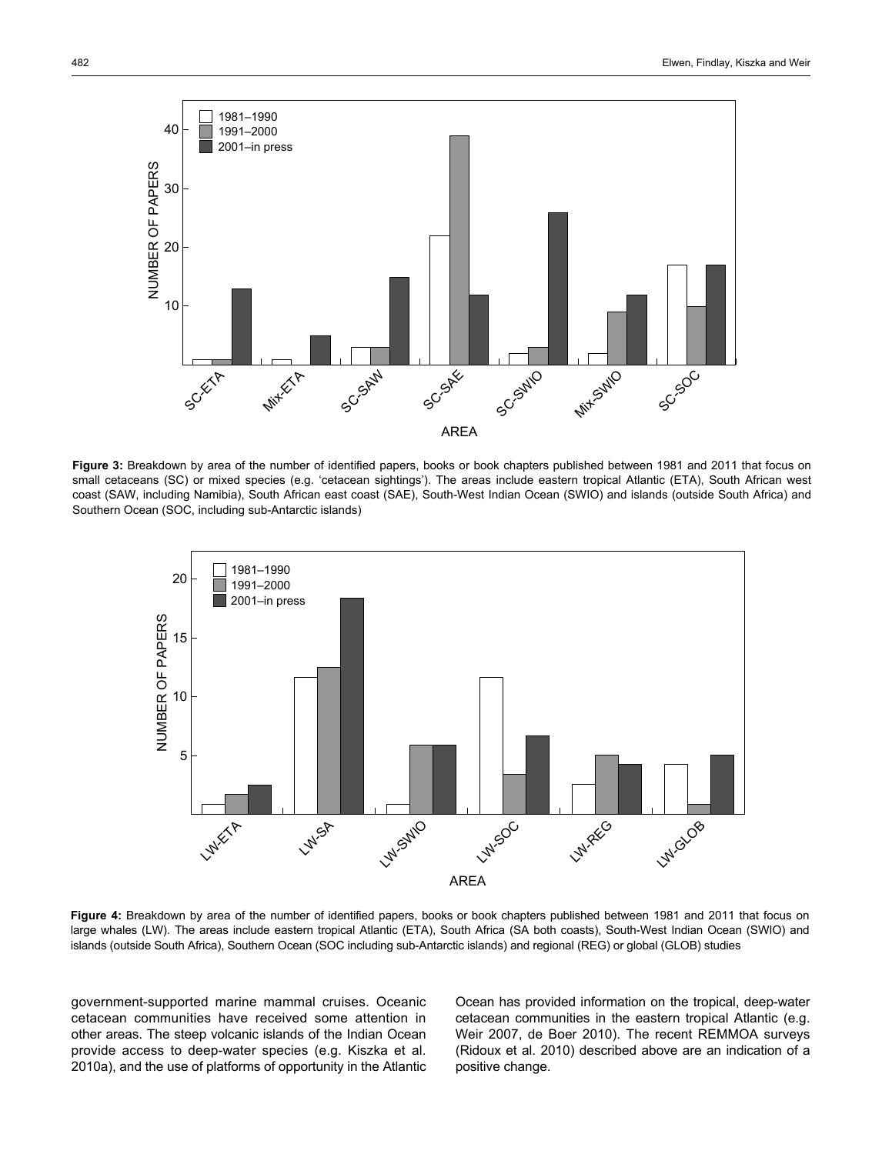

**Figure 3:** Breakdown by area of the number of identified papers, books or book chapters published between 1981 and 2011 that focus on small cetaceans (SC) or mixed species (e.g. 'cetacean sightings'). The areas include eastern tropical Atlantic (ETA), South African west coast (SAW, including Namibia), South African east coast (SAE), South-West Indian Ocean (SWIO) and islands (outside South Africa) and Southern Ocean (SOC, including sub-Antarctic islands)



**Figure 4:** Breakdown by area of the number of identified papers, books or book chapters published between 1981 and 2011 that focus on large whales (LW). The areas include eastern tropical Atlantic (ETA), South Africa (SA both coasts), South-West Indian Ocean (SWIO) and islands (outside South Africa), Southern Ocean (SOC including sub-Antarctic islands) and regional (REG) or global (GLOB) studies

government-supported marine mammal cruises. Oceanic cetacean communities have received some attention in other areas. The steep volcanic islands of the Indian Ocean provide access to deep-water species (e.g. Kiszka et al. 2010a), and the use of platforms of opportunity in the Atlantic Ocean has provided information on the tropical, deep-water cetacean communities in the eastern tropical Atlantic (e.g. Weir 2007, de Boer 2010). The recent REMMOA surveys (Ridoux et al. 2010) described above are an indication of a positive change.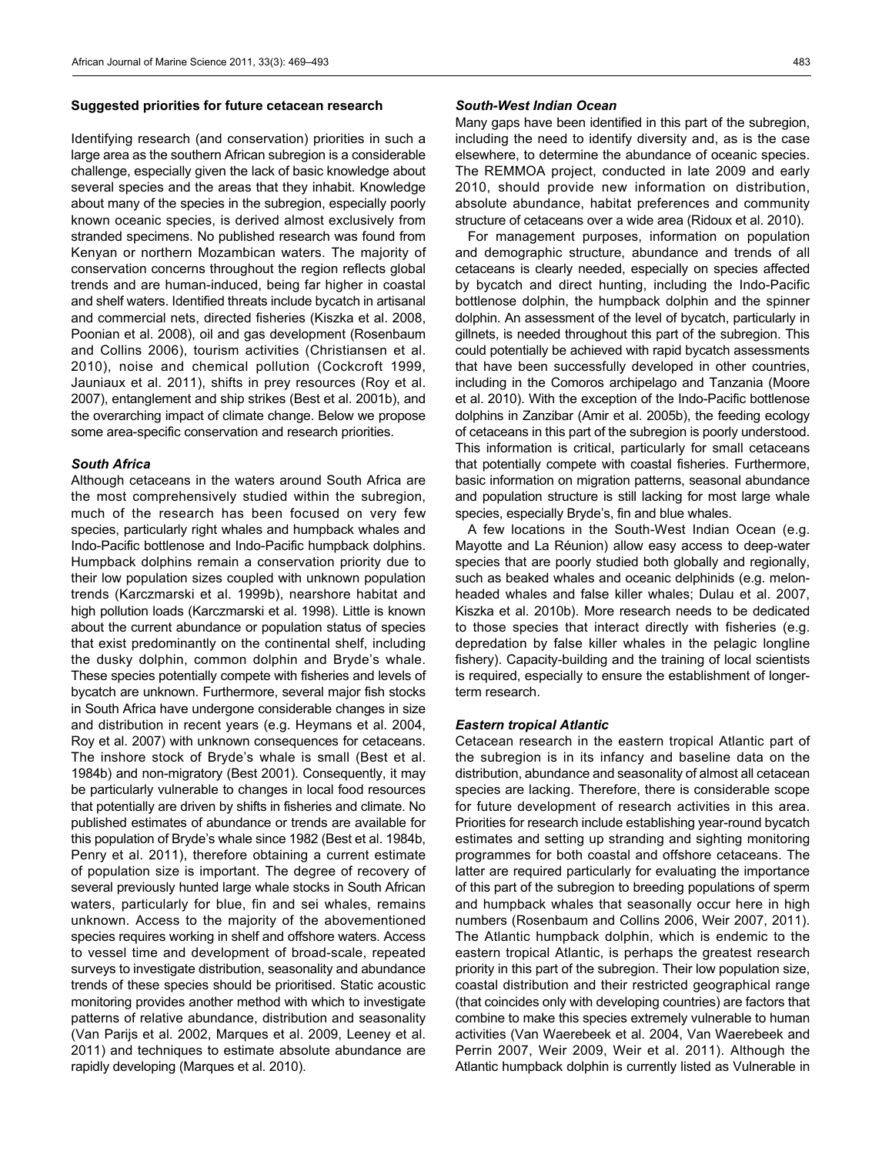#### **Suggested priorities for future cetacean research**

Identifying research (and conservation) priorities in such a large area as the southern African subregion is a considerable challenge, especially given the lack of basic knowledge about several species and the areas that they inhabit. Knowledge about many of the species in the subregion, especially poorly known oceanic species, is derived almost exclusively from stranded specimens. No published research was found from Kenyan or northern Mozambican waters. The majority of conservation concerns throughout the region reflects global trends and are human-induced, being far higher in coastal and shelf waters. Identified threats include bycatch in artisanal and commercial nets, directed fisheries (Kiszka et al. 2008, Poonian et al. 2008), oil and gas development (Rosenbaum and Collins 2006), tourism activities (Christiansen et al. 2010), noise and chemical pollution (Cockcroft 1999, Jauniaux et al. 2011), shifts in prey resources (Roy et al. 2007), entanglement and ship strikes (Best et al. 2001b), and the overarching impact of climate change. Below we propose some area-specific conservation and research priorities.

## *South Africa*

Although cetaceans in the waters around South Africa are the most comprehensively studied within the subregion, much of the research has been focused on very few species, particularly right whales and humpback whales and Indo-Pacific bottlenose and Indo-Pacific humpback dolphins. Humpback dolphins remain a conservation priority due to their low population sizes coupled with unknown population trends (Karczmarski et al. 1999b), nearshore habitat and high pollution loads (Karczmarski et al. 1998). Little is known about the current abundance or population status of species that exist predominantly on the continental shelf, including the dusky dolphin, common dolphin and Bryde's whale. These species potentially compete with fisheries and levels of bycatch are unknown. Furthermore, several major fish stocks in South Africa have undergone considerable changes in size and distribution in recent years (e.g. Heymans et al. 2004, Roy et al. 2007) with unknown consequences for cetaceans. The inshore stock of Bryde's whale is small (Best et al. 1984b) and non-migratory (Best 2001). Consequently, it may be particularly vulnerable to changes in local food resources that potentially are driven by shifts in fisheries and climate. No published estimates of abundance or trends are available for this population of Bryde's whale since 1982 (Best et al. 1984b, Penry et al. 2011), therefore obtaining a current estimate of population size is important. The degree of recovery of several previously hunted large whale stocks in South African waters, particularly for blue, fin and sei whales, remains unknown. Access to the majority of the abovementioned species requires working in shelf and offshore waters. Access to vessel time and development of broad-scale, repeated surveys to investigate distribution, seasonality and abundance trends of these species should be prioritised. Static acoustic monitoring provides another method with which to investigate patterns of relative abundance, distribution and seasonality (Van Parijs et al. 2002, Marques et al. 2009, Leeney et al. 2011) and techniques to estimate absolute abundance are rapidly developing (Marques et al. 2010).

#### *South-West Indian Ocean*

Many gaps have been identified in this part of the subregion, including the need to identify diversity and, as is the case elsewhere, to determine the abundance of oceanic species. The REMMOA project, conducted in late 2009 and early 2010, should provide new information on distribution, absolute abundance, habitat preferences and community structure of cetaceans over a wide area (Ridoux et al. 2010).

For management purposes, information on population and demographic structure, abundance and trends of all cetaceans is clearly needed, especially on species affected by bycatch and direct hunting, including the Indo-Pacific bottlenose dolphin, the humpback dolphin and the spinner dolphin. An assessment of the level of bycatch, particularly in gillnets, is needed throughout this part of the subregion. This could potentially be achieved with rapid bycatch assessments that have been successfully developed in other countries, including in the Comoros archipelago and Tanzania (Moore et al. 2010). With the exception of the Indo-Pacific bottlenose dolphins in Zanzibar (Amir et al. 2005b), the feeding ecology of cetaceans in this part of the subregion is poorly understood. This information is critical, particularly for small cetaceans that potentially compete with coastal fisheries. Furthermore, basic information on migration patterns, seasonal abundance and population structure is still lacking for most large whale species, especially Bryde's, fin and blue whales.

A few locations in the South-West Indian Ocean (e.g. Mayotte and La Réunion) allow easy access to deep-water species that are poorly studied both globally and regionally, such as beaked whales and oceanic delphinids (e.g. melonheaded whales and false killer whales; Dulau et al. 2007, Kiszka et al. 2010b). More research needs to be dedicated to those species that interact directly with fisheries (e.g. depredation by false killer whales in the pelagic longline fishery). Capacity-building and the training of local scientists is required, especially to ensure the establishment of longerterm research.

# *Eastern tropical Atlantic*

Cetacean research in the eastern tropical Atlantic part of the subregion is in its infancy and baseline data on the distribution, abundance and seasonality of almost all cetacean species are lacking. Therefore, there is considerable scope for future development of research activities in this area. Priorities for research include establishing year-round bycatch estimates and setting up stranding and sighting monitoring programmes for both coastal and offshore cetaceans. The latter are required particularly for evaluating the importance of this part of the subregion to breeding populations of sperm and humpback whales that seasonally occur here in high numbers (Rosenbaum and Collins 2006, Weir 2007, 2011). The Atlantic humpback dolphin, which is endemic to the eastern tropical Atlantic, is perhaps the greatest research priority in this part of the subregion. Their low population size, coastal distribution and their restricted geographical range (that coincides only with developing countries) are factors that combine to make this species extremely vulnerable to human activities (Van Waerebeek et al. 2004, Van Waerebeek and Perrin 2007, Weir 2009, Weir et al. 2011). Although the Atlantic humpback dolphin is currently listed as Vulnerable in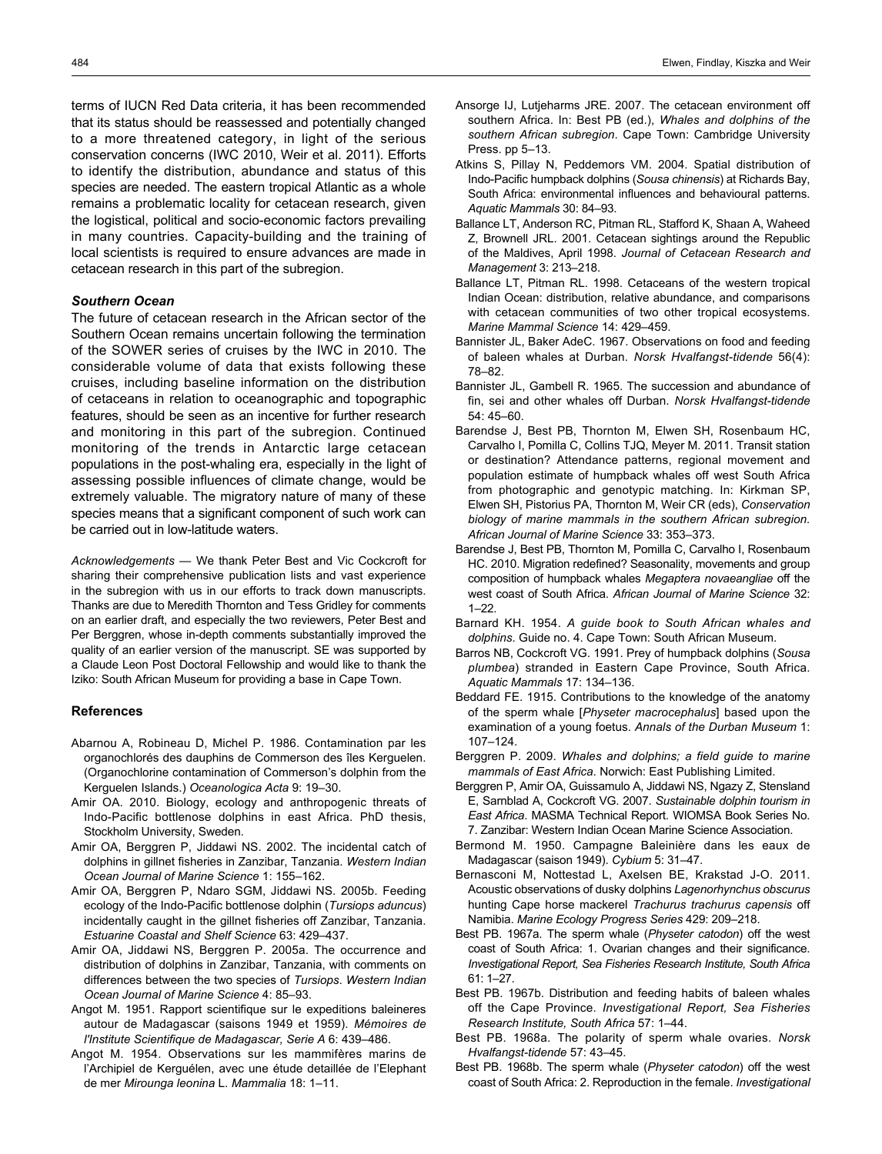terms of IUCN Red Data criteria, it has been recommended that its status should be reassessed and potentially changed to a more threatened category, in light of the serious conservation concerns (IWC 2010, Weir et al. 2011). Efforts to identify the distribution, abundance and status of this species are needed. The eastern tropical Atlantic as a whole remains a problematic locality for cetacean research, given the logistical, political and socio-economic factors prevailing in many countries. Capacity-building and the training of local scientists is required to ensure advances are made in cetacean research in this part of the subregion.

## *Southern Ocean*

The future of cetacean research in the African sector of the Southern Ocean remains uncertain following the termination of the SOWER series of cruises by the IWC in 2010. The considerable volume of data that exists following these cruises, including baseline information on the distribution of cetaceans in relation to oceanographic and topographic features, should be seen as an incentive for further research and monitoring in this part of the subregion. Continued monitoring of the trends in Antarctic large cetacean populations in the post-whaling era, especially in the light of assessing possible influences of climate change, would be extremely valuable. The migratory nature of many of these species means that a significant component of such work can be carried out in low-latitude waters.

*Acknowledgements* — We thank Peter Best and Vic Cockcroft for sharing their comprehensive publication lists and vast experience in the subregion with us in our efforts to track down manuscripts. Thanks are due to Meredith Thornton and Tess Gridley for comments on an earlier draft, and especially the two reviewers, Peter Best and Per Berggren, whose in-depth comments substantially improved the quality of an earlier version of the manuscript. SE was supported by a Claude Leon Post Doctoral Fellowship and would like to thank the Iziko: South African Museum for providing a base in Cape Town.

#### **References**

- Abarnou A, Robineau D, Michel P. 1986. Contamination par les organochlorés des dauphins de Commerson des îles Kerguelen. (Organochlorine contamination of Commerson's dolphin from the Kerguelen Islands.) *Oceanologica Acta* 9: 19–30.
- Amir OA. 2010. Biology, ecology and anthropogenic threats of Indo-Pacific bottlenose dolphins in east Africa. PhD thesis, Stockholm University, Sweden.
- Amir OA, Berggren P, Jiddawi NS. 2002. The incidental catch of dolphins in gillnet fisheries in Zanzibar, Tanzania. *Western Indian Ocean Journal of Marine Science* 1: 155–162.
- Amir OA, Berggren P, Ndaro SGM, Jiddawi NS. 2005b. Feeding ecology of the Indo-Pacific bottlenose dolphin (*Tursiops aduncus*) incidentally caught in the gillnet fisheries off Zanzibar, Tanzania. *Estuarine Coastal and Shelf Science* 63: 429–437.
- Amir OA, Jiddawi NS, Berggren P. 2005a. The occurrence and distribution of dolphins in Zanzibar, Tanzania, with comments on differences between the two species of *Tursiops*. *Western Indian Ocean Journal of Marine Science* 4: 85–93.
- Angot M. 1951. Rapport scientifique sur le expeditions baleineres autour de Madagascar (saisons 1949 et 1959). *Mémoires de l'Institute Scientifique de Madagascar, Serie A* 6: 439–486.
- Angot M. 1954. Observations sur les mammifères marins de l'Archipiel de Kerguélen, avec une étude detaillée de l'Elephant de mer *Mirounga leonina* L. *Mammalia* 18: 1–11.
- Ansorge IJ, Lutjeharms JRE. 2007. The cetacean environment off southern Africa. In: Best PB (ed.), *Whales and dolphins of the southern African subregion*. Cape Town: Cambridge University Press. pp 5–13.
- Atkins S, Pillay N, Peddemors VM. 2004. Spatial distribution of Indo-Pacific humpback dolphins (*Sousa chinensis*) at Richards Bay, South Africa: environmental influences and behavioural patterns. *Aquatic Mammals* 30: 84–93.
- Ballance LT, Anderson RC, Pitman RL, Stafford K, Shaan A, Waheed Z, Brownell JRL. 2001. Cetacean sightings around the Republic of the Maldives, April 1998. *Journal of Cetacean Research and Management* 3: 213–218.
- Ballance LT, Pitman RL. 1998. Cetaceans of the western tropical Indian Ocean: distribution, relative abundance, and comparisons with cetacean communities of two other tropical ecosystems. *Marine Mammal Science* 14: 429–459.
- Bannister JL, Baker AdeC. 1967. Observations on food and feeding of baleen whales at Durban. *Norsk Hvalfangst-tidende* 56(4): 78–82.
- Bannister JL, Gambell R. 1965. The succession and abundance of fin, sei and other whales off Durban. *Norsk Hvalfangst-tidende* 54: 45–60.
- Barendse J, Best PB, Thornton M, Elwen SH, Rosenbaum HC, Carvalho I, Pomilla C, Collins TJQ, Meyer M. 2011. Transit station or destination? Attendance patterns, regional movement and population estimate of humpback whales off west South Africa from photographic and genotypic matching. In: Kirkman SP, Elwen SH, Pistorius PA, Thornton M, Weir CR (eds), *Conservation biology of marine mammals in the southern African subregion. African Journal of Marine Science* 33: 353–373.
- Barendse J, Best PB, Thornton M, Pomilla C, Carvalho I, Rosenbaum HC. 2010. Migration redefined? Seasonality, movements and group composition of humpback whales *Megaptera novaeangliae* off the west coast of South Africa. *African Journal of Marine Science* 32:  $1 - 22$ .
- Barnard KH. 1954. *A guide book to South African whales and dolphins*. Guide no. 4. Cape Town: South African Museum.
- Barros NB, Cockcroft VG. 1991. Prey of humpback dolphins (*Sousa plumbea*) stranded in Eastern Cape Province, South Africa. *Aquatic Mammals* 17: 134–136.
- Beddard FE. 1915. Contributions to the knowledge of the anatomy of the sperm whale [*Physeter macrocephalus*] based upon the examination of a young foetus. *Annals of the Durban Museum* 1: 107–124.
- Berggren P. 2009. *Whales and dolphins; a field guide to marine mammals of East Africa*. Norwich: East Publishing Limited.
- Berggren P, Amir OA, Guissamulo A, Jiddawi NS, Ngazy Z, Stensland E, Sarnblad A, Cockcroft VG. 2007. *Sustainable dolphin tourism in East Africa*. MASMA Technical Report. WIOMSA Book Series No. 7. Zanzibar: Western Indian Ocean Marine Science Association.
- Bermond M. 1950. Campagne Baleinière dans les eaux de Madagascar (saison 1949). *Cybium* 5: 31–47.
- Bernasconi M, Nottestad L, Axelsen BE, Krakstad J-O. 2011. Acoustic observations of dusky dolphins *Lagenorhynchus obscurus* hunting Cape horse mackerel *Trachurus trachurus capensis* off Namibia. *Marine Ecology Progress Series* 429: 209–218.
- Best PB. 1967a. The sperm whale (*Physeter catodon*) off the west coast of South Africa: 1. Ovarian changes and their significance. *Investigational Report, Sea Fisheries Research Institute, South Africa*   $61:1 - 27$
- Best PB. 1967b. Distribution and feeding habits of baleen whales off the Cape Province. *Investigational Report, Sea Fisheries Research Institute, South Africa* 57: 1–44.
- Best PB. 1968a. The polarity of sperm whale ovaries. *Norsk Hvalfangst-tidende* 57: 43–45.
- Best PB. 1968b. The sperm whale (*Physeter catodon*) off the west coast of South Africa: 2. Reproduction in the female. *Investigational*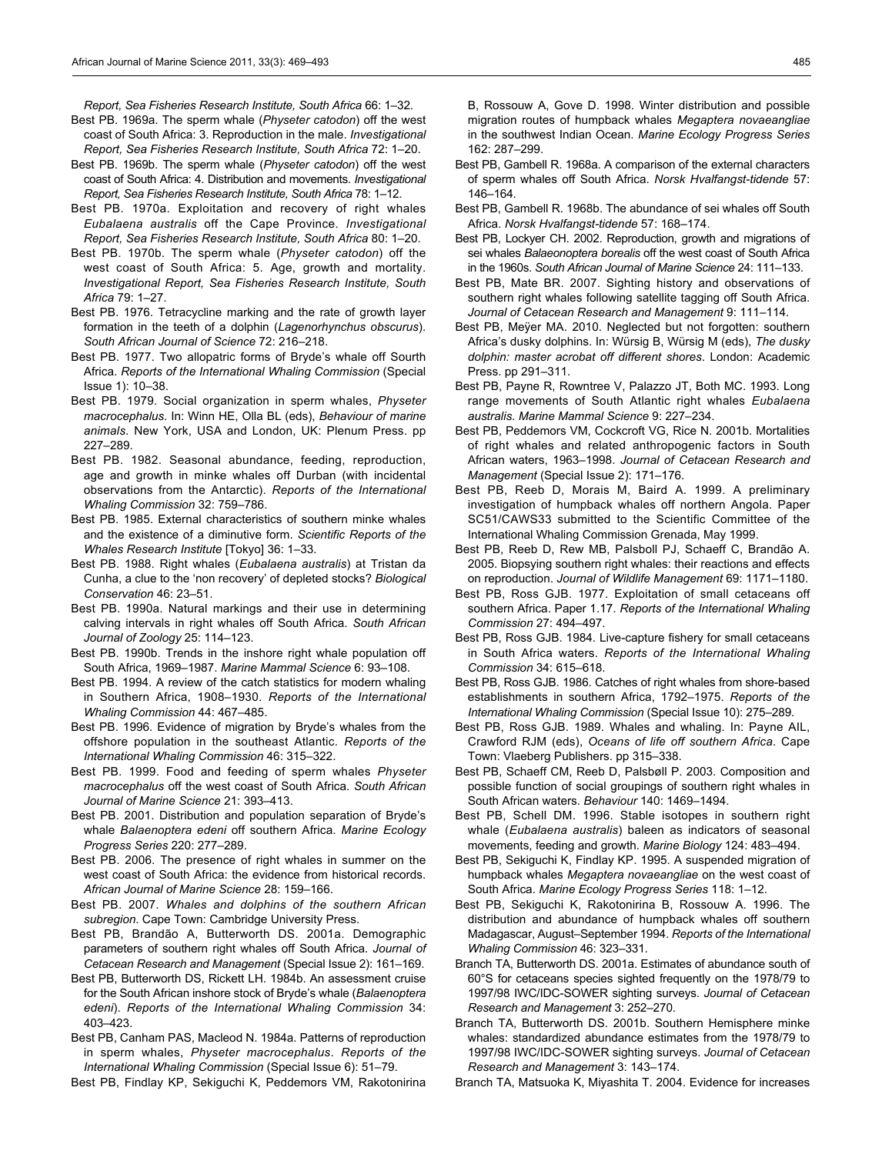*Report, Sea Fisheries Research Institute, South Africa* 66: 1–32.

- Best PB. 1969a. The sperm whale (*Physeter catodon*) off the west coast of South Africa: 3. Reproduction in the male. *Investigational Report, Sea Fisheries Research Institute, South Africa* 72: 1–20.
- Best PB. 1969b. The sperm whale (*Physeter catodon*) off the west coast of South Africa: 4. Distribution and movements. *Investigational Report, Sea Fisheries Research Institute, South Africa* 78: 1–12.
- Best PB. 1970a. Exploitation and recovery of right whales *Eubalaena australis* off the Cape Province. *Investigational Report, Sea Fisheries Research Institute, South Africa* 80: 1–20.
- Best PB. 1970b. The sperm whale (*Physeter catodon*) off the west coast of South Africa: 5. Age, growth and mortality. *Investigational Report, Sea Fisheries Research Institute, South Africa* 79: 1–27.
- Best PB. 1976. Tetracycline marking and the rate of growth layer formation in the teeth of a dolphin (*Lagenorhynchus obscurus*). *South African Journal of Science* 72: 216–218.
- Best PB. 1977. Two allopatric forms of Bryde's whale off Sourth Africa. *Reports of the International Whaling Commission* (Special Issue 1): 10–38.
- Best PB. 1979. Social organization in sperm whales, *Physeter macrocephalus*. In: Winn HE, Olla BL (eds), *Behaviour of marine animals*. New York, USA and London, UK: Plenum Press. pp 227–289.
- Best PB. 1982. Seasonal abundance, feeding, reproduction, age and growth in minke whales off Durban (with incidental observations from the Antarctic). *Reports of the International Whaling Commission* 32: 759–786.
- Best PB. 1985. External characteristics of southern minke whales and the existence of a diminutive form. *Scientific Reports of the Whales Research Institute* [Tokyo] 36: 1–33.
- Best PB. 1988. Right whales (*Eubalaena australis*) at Tristan da Cunha, a clue to the 'non recovery' of depleted stocks? *Biological Conservation* 46: 23–51.
- Best PB. 1990a. Natural markings and their use in determining calving intervals in right whales off South Africa. *South African Journal of Zoology* 25: 114–123.
- Best PB. 1990b. Trends in the inshore right whale population off South Africa, 1969–1987. *Marine Mammal Science* 6: 93–108.
- Best PB. 1994. A review of the catch statistics for modern whaling in Southern Africa, 1908–1930. *Reports of the International Whaling Commission* 44: 467–485.
- Best PB. 1996. Evidence of migration by Bryde's whales from the offshore population in the southeast Atlantic. *Reports of the International Whaling Commission* 46: 315–322.
- Best PB. 1999. Food and feeding of sperm whales *Physeter macrocephalus* off the west coast of South Africa. *South African Journal of Marine Science* 21: 393–413.
- Best PB. 2001. Distribution and population separation of Bryde's whale *Balaenoptera edeni* off southern Africa. *Marine Ecology Progress Series* 220: 277–289.
- Best PB. 2006. The presence of right whales in summer on the west coast of South Africa: the evidence from historical records. *African Journal of Marine Science* 28: 159–166.
- Best PB. 2007. *Whales and dolphins of the southern African subregion*. Cape Town: Cambridge University Press.
- Best PB, Brandão A, Butterworth DS. 2001a. Demographic parameters of southern right whales off South Africa. *Journal of Cetacean Research and Management* (Special Issue 2): 161–169.
- Best PB, Butterworth DS, Rickett LH. 1984b. An assessment cruise for the South African inshore stock of Bryde's whale (*Balaenoptera edeni*). *Reports of the International Whaling Commission* 34: 403–423.
- Best PB, Canham PAS, Macleod N. 1984a. Patterns of reproduction in sperm whales, *Physeter macrocephalus*. *Reports of the International Whaling Commission* (Special Issue 6): 51–79.

Best PB, Findlay KP, Sekiguchi K, Peddemors VM, Rakotonirina

B, Rossouw A, Gove D. 1998. Winter distribution and possible migration routes of humpback whales *Megaptera novaeangliae* in the southwest Indian Ocean. *Marine Ecology Progress Series*  162: 287–299.

- Best PB, Gambell R. 1968a. A comparison of the external characters of sperm whales off South Africa. *Norsk Hvalfangst-tidende* 57: 146–164.
- Best PB, Gambell R. 1968b. The abundance of sei whales off South Africa. *Norsk Hvalfangst-tidende* 57: 168–174.
- Best PB, Lockyer CH. 2002. Reproduction, growth and migrations of sei whales *Balaeonoptera borealis* off the west coast of South Africa in the 1960s. *South African Journal of Marine Science* 24: 111–133.
- Best PB, Mate BR. 2007. Sighting history and observations of southern right whales following satellite tagging off South Africa. *Journal of Cetacean Research and Management* 9: 111–114.
- Best PB, Meÿer MA. 2010. Neglected but not forgotten: southern Africa's dusky dolphins. In: Würsig B, Würsig M (eds), *The dusky dolphin: master acrobat off different shores*. London: Academic Press. pp 291–311.
- Best PB, Payne R, Rowntree V, Palazzo JT, Both MC. 1993. Long range movements of South Atlantic right whales *Eubalaena australis*. *Marine Mammal Science* 9: 227–234.
- Best PB, Peddemors VM, Cockcroft VG, Rice N. 2001b. Mortalities of right whales and related anthropogenic factors in South African waters, 1963–1998. *Journal of Cetacean Research and Management* (Special Issue 2): 171–176.
- Best PB, Reeb D, Morais M, Baird A. 1999. A preliminary investigation of humpback whales off northern Angola. Paper SC51/CAWS33 submitted to the Scientific Committee of the International Whaling Commission Grenada, May 1999.
- Best PB, Reeb D, Rew MB, Palsboll PJ, Schaeff C, Brandão A. 2005. Biopsying southern right whales: their reactions and effects on reproduction. *Journal of Wildlife Management* 69: 1171–1180.
- Best PB, Ross GJB. 1977. Exploitation of small cetaceans off southern Africa. Paper 1.17. *Reports of the International Whaling Commission* 27: 494–497.
- Best PB, Ross GJB. 1984. Live-capture fishery for small cetaceans in South Africa waters. *Reports of the International Whaling Commission* 34: 615–618.
- Best PB, Ross GJB. 1986. Catches of right whales from shore-based establishments in southern Africa, 1792–1975. *Reports of the International Whaling Commission* (Special Issue 10): 275–289.
- Best PB, Ross GJB. 1989. Whales and whaling. In: Payne AIL, Crawford RJM (eds), *Oceans of life off southern Africa*. Cape Town: Vlaeberg Publishers. pp 315–338.
- Best PB, Schaeff CM, Reeb D, Palsbøll P. 2003. Composition and possible function of social groupings of southern right whales in South African waters. *Behaviour* 140: 1469–1494.
- Best PB, Schell DM. 1996. Stable isotopes in southern right whale (*Eubalaena australis*) baleen as indicators of seasonal movements, feeding and growth. *Marine Biology* 124: 483–494.
- Best PB, Sekiguchi K, Findlay KP. 1995. A suspended migration of humpback whales *Megaptera novaeangliae* on the west coast of South Africa. *Marine Ecology Progress Series* 118: 1–12.
- Best PB, Sekiguchi K, Rakotonirina B, Rossouw A. 1996. The distribution and abundance of humpback whales off southern Madagascar, August–September 1994. *Reports of the International Whaling Commission* 46: 323–331.
- Branch TA, Butterworth DS. 2001a. Estimates of abundance south of 60°S for cetaceans species sighted frequently on the 1978/79 to 1997/98 IWC/IDC-SOWER sighting surveys. *Journal of Cetacean Research and Management* 3: 252–270.
- Branch TA, Butterworth DS. 2001b. Southern Hemisphere minke whales: standardized abundance estimates from the 1978/79 to 1997/98 IWC/IDC-SOWER sighting surveys. *Journal of Cetacean Research and Management* 3: 143–174.

Branch TA, Matsuoka K, Miyashita T. 2004. Evidence for increases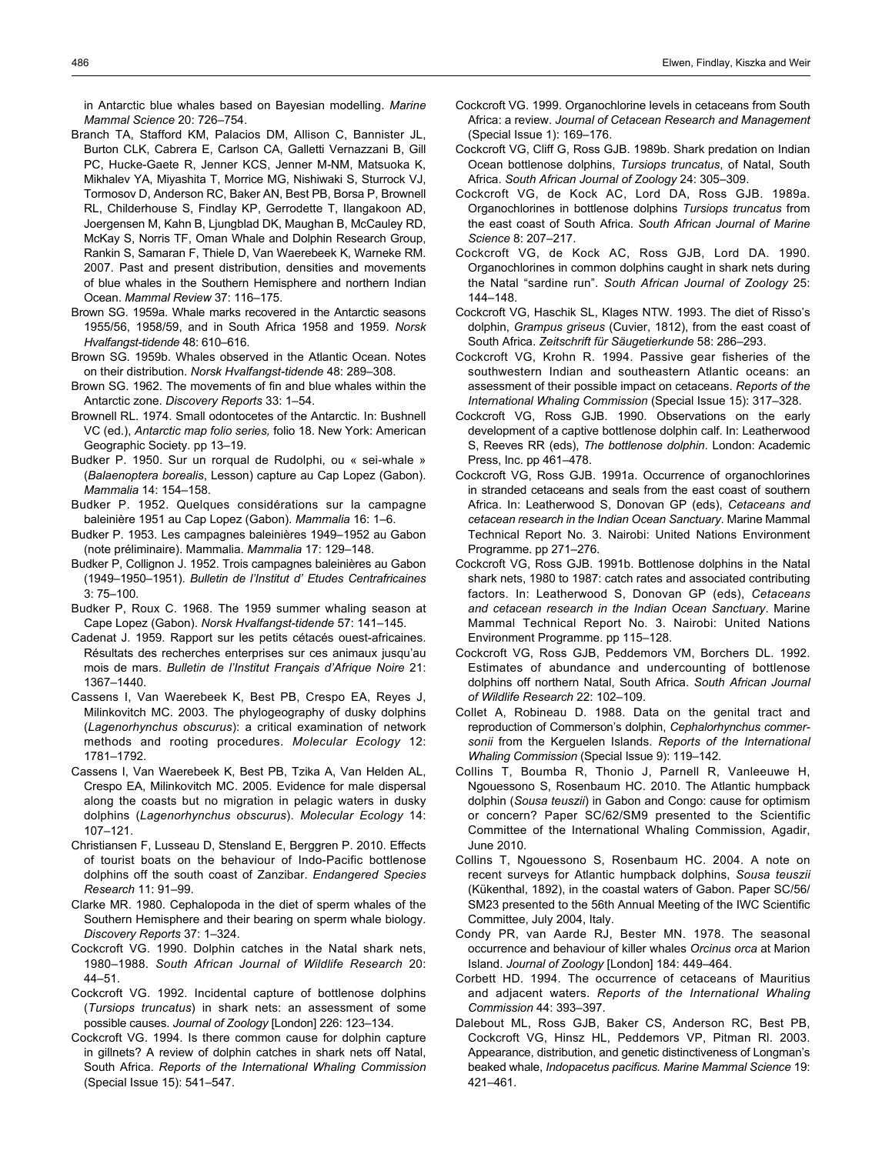in Antarctic blue whales based on Bayesian modelling. *Marine Mammal Science* 20: 726–754.

- Branch TA, Stafford KM, Palacios DM, Allison C, Bannister JL, Burton CLK, Cabrera E, Carlson CA, Galletti Vernazzani B, Gill PC, Hucke-Gaete R, Jenner KCS, Jenner M-NM, Matsuoka K, Mikhalev YA, Miyashita T, Morrice MG, Nishiwaki S, Sturrock VJ, Tormosov D, Anderson RC, Baker AN, Best PB, Borsa P, Brownell RL, Childerhouse S, Findlay KP, Gerrodette T, Ilangakoon AD, Joergensen M, Kahn B, Ljungblad DK, Maughan B, McCauley RD, McKay S, Norris TF, Oman Whale and Dolphin Research Group, Rankin S, Samaran F, Thiele D, Van Waerebeek K, Warneke RM. 2007. Past and present distribution, densities and movements of blue whales in the Southern Hemisphere and northern Indian Ocean. *Mammal Review* 37: 116–175.
- Brown SG. 1959a. Whale marks recovered in the Antarctic seasons 1955/56, 1958/59, and in South Africa 1958 and 1959. *Norsk Hvalfangst-tidende* 48: 610–616.
- Brown SG. 1959b. Whales observed in the Atlantic Ocean. Notes on their distribution. *Norsk Hvalfangst-tidende* 48: 289–308.
- Brown SG. 1962. The movements of fin and blue whales within the Antarctic zone. *Discovery Reports* 33: 1–54.
- Brownell RL. 1974. Small odontocetes of the Antarctic. In: Bushnell VC (ed.), *Antarctic map folio series,* folio 18. New York: American Geographic Society. pp 13–19.
- Budker P. 1950. Sur un rorqual de Rudolphi, ou « sei-whale » (*Balaenoptera borealis*, Lesson) capture au Cap Lopez (Gabon). *Mammalia* 14: 154–158.
- Budker P. 1952. Quelques considérations sur la campagne baleinière 1951 au Cap Lopez (Gabon). *Mammalia* 16: 1–6.
- Budker P. 1953. Les campagnes baleinières 1949–1952 au Gabon (note préliminaire). Mammalia. *Mammalia* 17: 129–148.
- Budker P, Collignon J. 1952. Trois campagnes baleinières au Gabon (1949–1950–1951). *Bulletin de l'Institut d' Etudes Centrafricaines* 3: 75–100.
- Budker P, Roux C. 1968. The 1959 summer whaling season at Cape Lopez (Gabon). *Norsk Hvalfangst-tidende* 57: 141–145.
- Cadenat J. 1959. Rapport sur les petits cétacés ouest-africaines. Résultats des recherches enterprises sur ces animaux jusqu'au mois de mars. *Bulletin de l'Institut Français d'Afrique Noire* 21: 1367–1440.
- Cassens I, Van Waerebeek K, Best PB, Crespo EA, Reyes J, Milinkovitch MC. 2003. The phylogeography of dusky dolphins (*Lagenorhynchus obscurus*): a critical examination of network methods and rooting procedures. *Molecular Ecology* 12: 1781–1792.
- Cassens I, Van Waerebeek K, Best PB, Tzika A, Van Helden AL, Crespo EA, Milinkovitch MC. 2005. Evidence for male dispersal along the coasts but no migration in pelagic waters in dusky dolphins (*Lagenorhynchus obscurus*). *Molecular Ecology* 14: 107–121.
- Christiansen F, Lusseau D, Stensland E, Berggren P. 2010. Effects of tourist boats on the behaviour of Indo-Pacific bottlenose dolphins off the south coast of Zanzibar. *Endangered Species Research* 11: 91–99.
- Clarke MR. 1980. Cephalopoda in the diet of sperm whales of the Southern Hemisphere and their bearing on sperm whale biology. *Discovery Reports* 37: 1–324.
- Cockcroft VG. 1990. Dolphin catches in the Natal shark nets, 1980–1988. *South African Journal of Wildlife Research* 20: 44–51.
- Cockcroft VG. 1992. Incidental capture of bottlenose dolphins (*Tursiops truncatus*) in shark nets: an assessment of some possible causes. *Journal of Zoology* [London] 226: 123–134.
- Cockcroft VG. 1994. Is there common cause for dolphin capture in gillnets? A review of dolphin catches in shark nets off Natal, South Africa. *Reports of the International Whaling Commission*  (Special Issue 15): 541–547.
- Cockcroft VG. 1999. Organochlorine levels in cetaceans from South Africa: a review. *Journal of Cetacean Research and Management* (Special Issue 1): 169–176.
- Cockcroft VG, Cliff G, Ross GJB. 1989b. Shark predation on Indian Ocean bottlenose dolphins, *Tursiops truncatus*, of Natal, South Africa. *South African Journal of Zoology* 24: 305–309.
- Cockcroft VG, de Kock AC, Lord DA, Ross GJB. 1989a. Organochlorines in bottlenose dolphins *Tursiops truncatus* from the east coast of South Africa. *South African Journal of Marine Science* 8: 207–217.
- Cockcroft VG, de Kock AC, Ross GJB, Lord DA. 1990. Organochlorines in common dolphins caught in shark nets during the Natal "sardine run". *South African Journal of Zoology* 25: 144–148.
- Cockcroft VG, Haschik SL, Klages NTW. 1993. The diet of Risso's dolphin, *Grampus griseus* (Cuvier, 1812), from the east coast of South Africa. *Zeitschrift für Säugetierkunde* 58: 286–293.
- Cockcroft VG, Krohn R. 1994. Passive gear fisheries of the southwestern Indian and southeastern Atlantic oceans: an assessment of their possible impact on cetaceans. *Reports of the International Whaling Commission* (Special Issue 15): 317–328.
- Cockcroft VG, Ross GJB. 1990. Observations on the early development of a captive bottlenose dolphin calf. In: Leatherwood S, Reeves RR (eds), *The bottlenose dolphin*. London: Academic Press, Inc. pp 461–478.
- Cockcroft VG, Ross GJB. 1991a. Occurrence of organochlorines in stranded cetaceans and seals from the east coast of southern Africa. In: Leatherwood S, Donovan GP (eds), *Cetaceans and cetacean research in the Indian Ocean Sanctuary*. Marine Mammal Technical Report No. 3. Nairobi: United Nations Environment Programme. pp 271–276.
- Cockcroft VG, Ross GJB. 1991b. Bottlenose dolphins in the Natal shark nets, 1980 to 1987: catch rates and associated contributing factors. In: Leatherwood S, Donovan GP (eds), *Cetaceans and cetacean research in the Indian Ocean Sanctuary*. Marine Mammal Technical Report No. 3. Nairobi: United Nations Environment Programme. pp 115–128.
- Cockcroft VG, Ross GJB, Peddemors VM, Borchers DL. 1992. Estimates of abundance and undercounting of bottlenose dolphins off northern Natal, South Africa. *South African Journal of Wildlife Research* 22: 102–109.
- Collet A, Robineau D. 1988. Data on the genital tract and reproduction of Commerson's dolphin, *Cephalorhynchus commersonii* from the Kerguelen Islands. *Reports of the International Whaling Commission* (Special Issue 9): 119–142.
- Collins T, Boumba R, Thonio J, Parnell R, Vanleeuwe H, Ngouessono S, Rosenbaum HC. 2010. The Atlantic humpback dolphin (*Sousa teuszii*) in Gabon and Congo: cause for optimism or concern? Paper SC/62/SM9 presented to the Scientific Committee of the International Whaling Commission, Agadir, June 2010.
- Collins T, Ngouessono S, Rosenbaum HC. 2004. A note on recent surveys for Atlantic humpback dolphins, *Sousa teuszii*  (Kükenthal, 1892), in the coastal waters of Gabon. Paper SC/56/ SM23 presented to the 56th Annual Meeting of the IWC Scientific Committee, July 2004, Italy.
- Condy PR, van Aarde RJ, Bester MN. 1978. The seasonal occurrence and behaviour of killer whales *Orcinus orca* at Marion Island. *Journal of Zoology* [London] 184: 449–464.
- Corbett HD. 1994. The occurrence of cetaceans of Mauritius and adjacent waters. *Reports of the International Whaling Commission* 44: 393–397.
- Dalebout ML, Ross GJB, Baker CS, Anderson RC, Best PB, Cockcroft VG, Hinsz HL, Peddemors VP, Pitman Rl. 2003. Appearance, distribution, and genetic distinctiveness of Longman's beaked whale, *Indopacetus pacificus. Marine Mammal Science* 19: 421–461.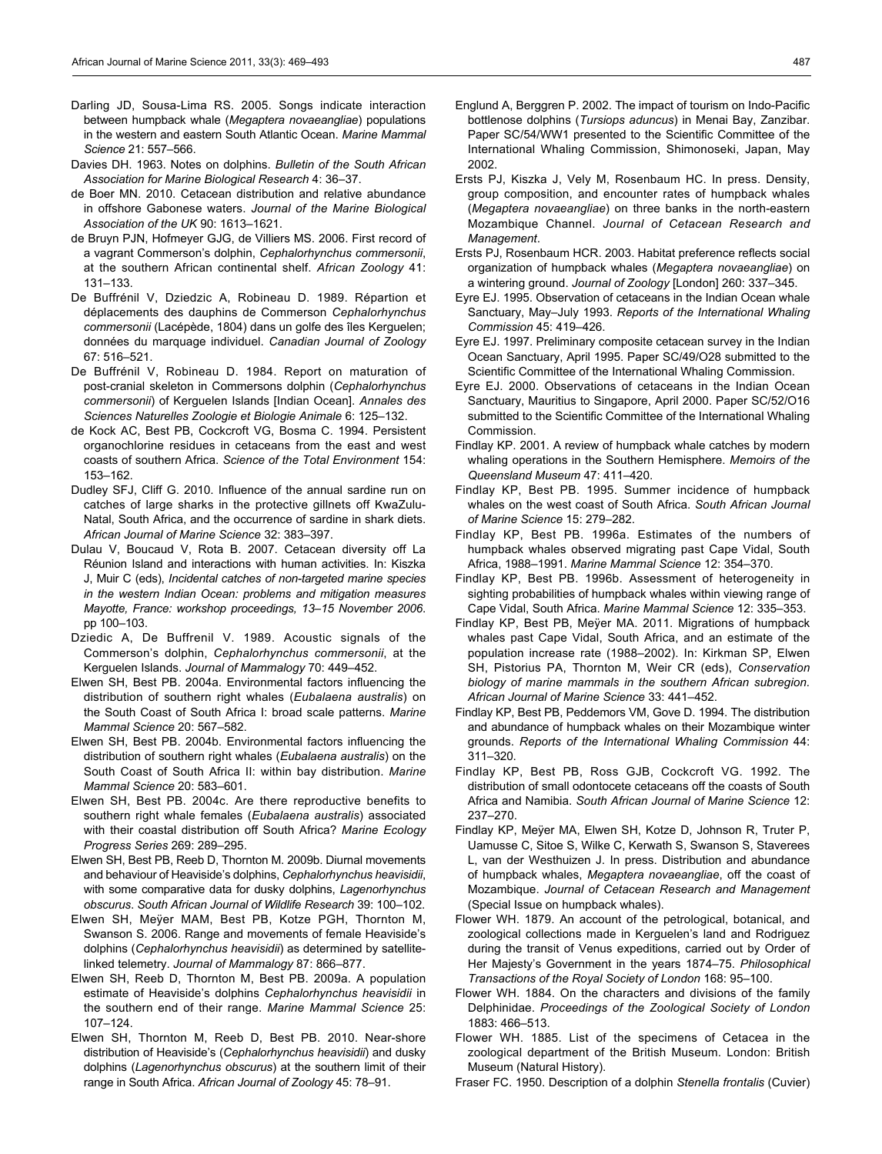- Darling JD, Sousa-Lima RS. 2005. Songs indicate interaction between humpback whale (*Megaptera novaeangliae*) populations in the western and eastern South Atlantic Ocean. *Marine Mammal Science* 21: 557–566.
- Davies DH. 1963. Notes on dolphins. *Bulletin of the South African Association for Marine Biological Research* 4: 36–37.
- de Boer MN. 2010. Cetacean distribution and relative abundance in offshore Gabonese waters. *Journal of the Marine Biological Association of the UK* 90: 1613–1621.
- de Bruyn PJN, Hofmeyer GJG, de Villiers MS. 2006. First record of a vagrant Commerson's dolphin, *Cephalorhynchus commersonii*, at the southern African continental shelf. *African Zoology* 41: 131–133.
- De Buffrénil V, Dziedzic A, Robineau D. 1989. Répartion et déplacements des dauphins de Commerson *Cephalorhynchus commersonii* (Lacépède, 1804) dans un golfe des îles Kerguelen; données du marquage individuel. *Canadian Journal of Zoology*  67: 516–521.
- De Buffrénil V, Robineau D. 1984. Report on maturation of post-cranial skeleton in Commersons dolphin (*Cephalorhynchus commersonii*) of Kerguelen Islands [Indian Ocean]. *Annales des Sciences Naturelles Zoologie et Biologie Animale* 6: 125–132.
- de Kock AC, Best PB, Cockcroft VG, Bosma C. 1994. Persistent organochlorine residues in cetaceans from the east and west coasts of southern Africa. *Science of the Total Environment* 154: 153–162.
- Dudley SFJ, Cliff G. 2010. Influence of the annual sardine run on catches of large sharks in the protective gillnets off KwaZulu-Natal, South Africa, and the occurrence of sardine in shark diets. *African Journal of Marine Science* 32: 383–397.
- Dulau V, Boucaud V, Rota B. 2007. Cetacean diversity off La Réunion Island and interactions with human activities. In: Kiszka J, Muir C (eds), *Incidental catches of non-targeted marine species in the western Indian Ocean: problems and mitigation measures Mayotte, France: workshop proceedings, 13–15 November 2006*. pp 100–103.
- Dziedic A, De Buffrenil V. 1989. Acoustic signals of the Commerson's dolphin, *Cephalorhynchus commersonii*, at the Kerguelen Islands. *Journal of Mammalogy* 70: 449–452.
- Elwen SH, Best PB. 2004a. Environmental factors influencing the distribution of southern right whales (*Eubalaena australis*) on the South Coast of South Africa I: broad scale patterns. *Marine Mammal Science* 20: 567–582.
- Elwen SH, Best PB. 2004b. Environmental factors influencing the distribution of southern right whales (*Eubalaena australis*) on the South Coast of South Africa II: within bay distribution. *Marine Mammal Science* 20: 583–601.
- Elwen SH, Best PB. 2004c. Are there reproductive benefits to southern right whale females (*Eubalaena australis*) associated with their coastal distribution off South Africa? *Marine Ecology Progress Series* 269: 289–295.
- Elwen SH, Best PB, Reeb D, Thornton M. 2009b. Diurnal movements and behaviour of Heaviside's dolphins, *Cephalorhynchus heavisidii*, with some comparative data for dusky dolphins, *Lagenorhynchus obscurus*. *South African Journal of Wildlife Research* 39: 100–102.
- Elwen SH, Meÿer MAM, Best PB, Kotze PGH, Thornton M, Swanson S. 2006. Range and movements of female Heaviside's dolphins (*Cephalorhynchus heavisidii*) as determined by satellitelinked telemetry. *Journal of Mammalogy* 87: 866–877.
- Elwen SH, Reeb D, Thornton M, Best PB. 2009a. A population estimate of Heaviside's dolphins *Cephalorhynchus heavisidii* in the southern end of their range. *Marine Mammal Science* 25: 107–124.
- Elwen SH, Thornton M, Reeb D, Best PB. 2010. Near-shore distribution of Heaviside's (*Cephalorhynchus heavisidii*) and dusky dolphins (*Lagenorhynchus obscurus*) at the southern limit of their range in South Africa. *African Journal of Zoology* 45: 78–91.
- Englund A, Berggren P. 2002. The impact of tourism on Indo-Pacific bottlenose dolphins (*Tursiops aduncus*) in Menai Bay, Zanzibar. Paper SC/54/WW1 presented to the Scientific Committee of the International Whaling Commission, Shimonoseki, Japan, May 2002.
- Ersts PJ, Kiszka J, Vely M, Rosenbaum HC. In press. Density, group composition, and encounter rates of humpback whales (*Megaptera novaeangliae*) on three banks in the north-eastern Mozambique Channel. *Journal of Cetacean Research and Management*.
- Ersts PJ, Rosenbaum HCR. 2003. Habitat preference reflects social organization of humpback whales (*Megaptera novaeangliae*) on a wintering ground. *Journal of Zoology* [London] 260: 337–345.
- Eyre EJ. 1995. Observation of cetaceans in the Indian Ocean whale Sanctuary, May–July 1993. *Reports of the International Whaling Commission* 45: 419–426.
- Eyre EJ. 1997. Preliminary composite cetacean survey in the Indian Ocean Sanctuary, April 1995. Paper SC/49/O28 submitted to the Scientific Committee of the International Whaling Commission.
- Eyre EJ. 2000. Observations of cetaceans in the Indian Ocean Sanctuary, Mauritius to Singapore, April 2000. Paper SC/52/O16 submitted to the Scientific Committee of the International Whaling Commission.
- Findlay KP. 2001. A review of humpback whale catches by modern whaling operations in the Southern Hemisphere. *Memoirs of the Queensland Museum* 47: 411–420.
- Findlay KP, Best PB. 1995. Summer incidence of humpback whales on the west coast of South Africa. *South African Journal of Marine Science* 15: 279–282.
- Findlay KP, Best PB. 1996a. Estimates of the numbers of humpback whales observed migrating past Cape Vidal, South Africa, 1988–1991. *Marine Mammal Science* 12: 354–370.
- Findlay KP, Best PB. 1996b. Assessment of heterogeneity in sighting probabilities of humpback whales within viewing range of Cape Vidal, South Africa. *Marine Mammal Science* 12: 335–353.
- Findlay KP, Best PB, Meÿer MA. 2011. Migrations of humpback whales past Cape Vidal, South Africa, and an estimate of the population increase rate (1988–2002). In: Kirkman SP, Elwen SH, Pistorius PA, Thornton M, Weir CR (eds), *Conservation biology of marine mammals in the southern African subregion. African Journal of Marine Science* 33: 441–452.
- Findlay KP, Best PB, Peddemors VM, Gove D. 1994. The distribution and abundance of humpback whales on their Mozambique winter grounds. *Reports of the International Whaling Commission* 44: 311–320.
- Findlay KP, Best PB, Ross GJB, Cockcroft VG. 1992. The distribution of small odontocete cetaceans off the coasts of South Africa and Namibia. *South African Journal of Marine Science* 12: 237–270.
- Findlay KP, Meÿer MA, Elwen SH, Kotze D, Johnson R, Truter P, Uamusse C, Sitoe S, Wilke C, Kerwath S, Swanson S, Staverees L, van der Westhuizen J. In press. Distribution and abundance of humpback whales, *Megaptera novaeangliae*, off the coast of Mozambique. *Journal of Cetacean Research and Management*  (Special Issue on humpback whales).
- Flower WH. 1879. An account of the petrological, botanical, and zoological collections made in Kerguelen's land and Rodriguez during the transit of Venus expeditions, carried out by Order of Her Majesty's Government in the years 1874–75. *Philosophical Transactions of the Royal Society of London* 168: 95–100.
- Flower WH. 1884. On the characters and divisions of the family Delphinidae. *Proceedings of the Zoological Society of London*  1883: 466–513.
- Flower WH. 1885. List of the specimens of Cetacea in the zoological department of the British Museum. London: British Museum (Natural History).
- Fraser FC. 1950. Description of a dolphin *Stenella frontalis* (Cuvier)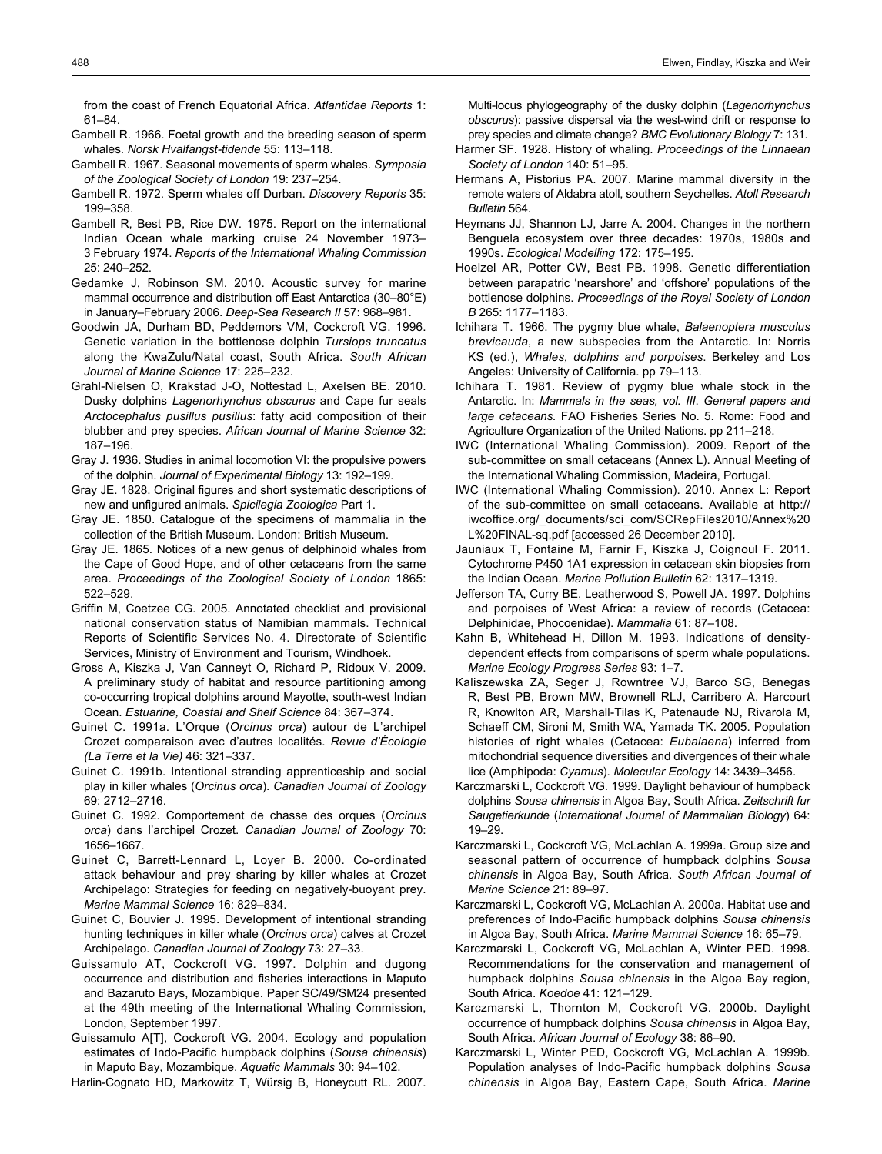from the coast of French Equatorial Africa. *Atlantidae Reports* 1: 61–84.

- Gambell R. 1966. Foetal growth and the breeding season of sperm whales. *Norsk Hvalfangst-tidende* 55: 113–118.
- Gambell R. 1967. Seasonal movements of sperm whales. *Symposia of the Zoological Society of London* 19: 237–254.
- Gambell R. 1972. Sperm whales off Durban. *Discovery Reports* 35: 199–358.
- Gambell R, Best PB, Rice DW. 1975. Report on the international Indian Ocean whale marking cruise 24 November 1973– 3 February 1974. *Reports of the International Whaling Commission*  25: 240–252.
- Gedamke J, Robinson SM. 2010. Acoustic survey for marine mammal occurrence and distribution off East Antarctica (30–80°E) in January–February 2006. *Deep-Sea Research II* 57: 968–981.
- Goodwin JA, Durham BD, Peddemors VM, Cockcroft VG. 1996. Genetic variation in the bottlenose dolphin *Tursiops truncatus*  along the KwaZulu/Natal coast, South Africa. *South African Journal of Marine Science* 17: 225–232.
- Grahl-Nielsen O, Krakstad J-O, Nottestad L, Axelsen BE. 2010. Dusky dolphins *Lagenorhynchus obscurus* and Cape fur seals *Arctocephalus pusillus pusillus*: fatty acid composition of their blubber and prey species. *African Journal of Marine Science* 32: 187–196.
- Gray J. 1936. Studies in animal locomotion VI: the propulsive powers of the dolphin. *Journal of Experimental Biology* 13: 192–199.
- Gray JE. 1828. Original figures and short systematic descriptions of new and unfigured animals. *Spicilegia Zoologica* Part 1.
- Gray JE. 1850. Catalogue of the specimens of mammalia in the collection of the British Museum. London: British Museum.
- Gray JE. 1865. Notices of a new genus of delphinoid whales from the Cape of Good Hope, and of other cetaceans from the same area. *Proceedings of the Zoological Society of London* 1865: 522–529.
- Griffin M, Coetzee CG. 2005. Annotated checklist and provisional national conservation status of Namibian mammals. Technical Reports of Scientific Services No. 4. Directorate of Scientific Services, Ministry of Environment and Tourism, Windhoek.
- Gross A, Kiszka J, Van Canneyt O, Richard P, Ridoux V. 2009. A preliminary study of habitat and resource partitioning among co-occurring tropical dolphins around Mayotte, south-west Indian Ocean. *Estuarine, Coastal and Shelf Science* 84: 367–374.
- Guinet C. 1991a. L'Orque (*Orcinus orca*) autour de L'archipel Crozet comparaison avec d'autres localités. *Revue d'Écologie (La Terre et la Vie)* 46: 321–337.
- Guinet C. 1991b. Intentional stranding apprenticeship and social play in killer whales (*Orcinus orca*). *Canadian Journal of Zoology*  69: 2712–2716.
- Guinet C. 1992. Comportement de chasse des orques (*Orcinus orca*) dans l'archipel Crozet. *Canadian Journal of Zoology* 70: 1656–1667.
- Guinet C, Barrett-Lennard L, Loyer B. 2000. Co-ordinated attack behaviour and prey sharing by killer whales at Crozet Archipelago: Strategies for feeding on negatively-buoyant prey. *Marine Mammal Science* 16: 829–834.
- Guinet C, Bouvier J. 1995. Development of intentional stranding hunting techniques in killer whale (*Orcinus orca*) calves at Crozet Archipelago. *Canadian Journal of Zoology* 73: 27–33.
- Guissamulo AT, Cockcroft VG. 1997. Dolphin and dugong occurrence and distribution and fisheries interactions in Maputo and Bazaruto Bays, Mozambique. Paper SC/49/SM24 presented at the 49th meeting of the International Whaling Commission, London, September 1997.
- Guissamulo A[T], Cockcroft VG. 2004. Ecology and population estimates of Indo-Pacific humpback dolphins (*Sousa chinensis*) in Maputo Bay, Mozambique. *Aquatic Mammals* 30: 94–102.

Harlin-Cognato HD, Markowitz T, Würsig B, Honeycutt RL. 2007.

Multi-locus phylogeography of the dusky dolphin (*Lagenorhynchus obscurus*): passive dispersal via the west-wind drift or response to prey species and climate change? *BMC Evolutionary Biology* 7: 131.

- Harmer SF. 1928. History of whaling. *Proceedings of the Linnaean Society of London* 140: 51–95.
- Hermans A, Pistorius PA. 2007. Marine mammal diversity in the remote waters of Aldabra atoll, southern Seychelles. *Atoll Research Bulletin* 564.
- Heymans JJ, Shannon LJ, Jarre A. 2004. Changes in the northern Benguela ecosystem over three decades: 1970s, 1980s and 1990s. *Ecological Modelling* 172: 175–195.
- Hoelzel AR, Potter CW, Best PB. 1998. Genetic differentiation between parapatric 'nearshore' and 'offshore' populations of the bottlenose dolphins. *Proceedings of the Royal Society of London B* 265: 1177–1183.
- Ichihara T. 1966. The pygmy blue whale, *Balaenoptera musculus brevicauda*, a new subspecies from the Antarctic. In: Norris KS (ed.), *Whales, dolphins and porpoises*. Berkeley and Los Angeles: University of California. pp 79–113.
- Ichihara T. 1981. Review of pygmy blue whale stock in the Antarctic. In: *Mammals in the seas, vol. III*. *General papers and large cetaceans.* FAO Fisheries Series No. 5. Rome: Food and Agriculture Organization of the United Nations. pp 211–218.
- IWC (International Whaling Commission). 2009. Report of the sub-committee on small cetaceans (Annex L). Annual Meeting of the International Whaling Commission, Madeira, Portugal.
- IWC (International Whaling Commission). 2010. Annex L: Report of the sub-committee on small cetaceans. Available at http:// iwcoffice.org/\_documents/sci\_com/SCRepFiles2010/Annex%20 L%20FINAL-sq.pdf [accessed 26 December 2010].
- Jauniaux T, Fontaine M, Farnir F, Kiszka J, Coignoul F. 2011. Cytochrome P450 1A1 expression in cetacean skin biopsies from the Indian Ocean. *Marine Pollution Bulletin* 62: 1317–1319.
- Jefferson TA, Curry BE, Leatherwood S, Powell JA. 1997. Dolphins and porpoises of West Africa: a review of records (Cetacea: Delphinidae, Phocoenidae). *Mammalia* 61: 87–108.
- Kahn B, Whitehead H, Dillon M. 1993. Indications of densitydependent effects from comparisons of sperm whale populations. *Marine Ecology Progress Series* 93: 1–7.
- Kaliszewska ZA, Seger J, Rowntree VJ, Barco SG, Benegas R, Best PB, Brown MW, Brownell RLJ, Carribero A, Harcourt R, Knowlton AR, Marshall-Tilas K, Patenaude NJ, Rivarola M, Schaeff CM, Sironi M, Smith WA, Yamada TK. 2005. Population histories of right whales (Cetacea: *Eubalaena*) inferred from mitochondrial sequence diversities and divergences of their whale lice (Amphipoda: *Cyamus*). *Molecular Ecology* 14: 3439–3456.
- Karczmarski L, Cockcroft VG. 1999. Daylight behaviour of humpback dolphins *Sousa chinensis* in Algoa Bay, South Africa. *Zeitschrift fur Saugetierkunde* (*International Journal of Mammalian Biology*) 64: 19–29.
- Karczmarski L, Cockcroft VG, McLachlan A. 1999a. Group size and seasonal pattern of occurrence of humpback dolphins *Sousa chinensis* in Algoa Bay, South Africa. *South African Journal of Marine Science* 21: 89–97.
- Karczmarski L, Cockcroft VG, McLachlan A. 2000a. Habitat use and preferences of Indo-Pacific humpback dolphins *Sousa chinensis*  in Algoa Bay, South Africa. *Marine Mammal Science* 16: 65–79.
- Karczmarski L, Cockcroft VG, McLachlan A, Winter PED. 1998. Recommendations for the conservation and management of humpback dolphins *Sousa chinensis* in the Algoa Bay region, South Africa. *Koedoe* 41: 121–129.
- Karczmarski L, Thornton M, Cockcroft VG. 2000b. Daylight occurrence of humpback dolphins *Sousa chinensis* in Algoa Bay, South Africa. *African Journal of Ecology* 38: 86–90.
- Karczmarski L, Winter PED, Cockcroft VG, McLachlan A. 1999b. Population analyses of Indo-Pacific humpback dolphins *Sousa chinensis* in Algoa Bay, Eastern Cape, South Africa. *Marine*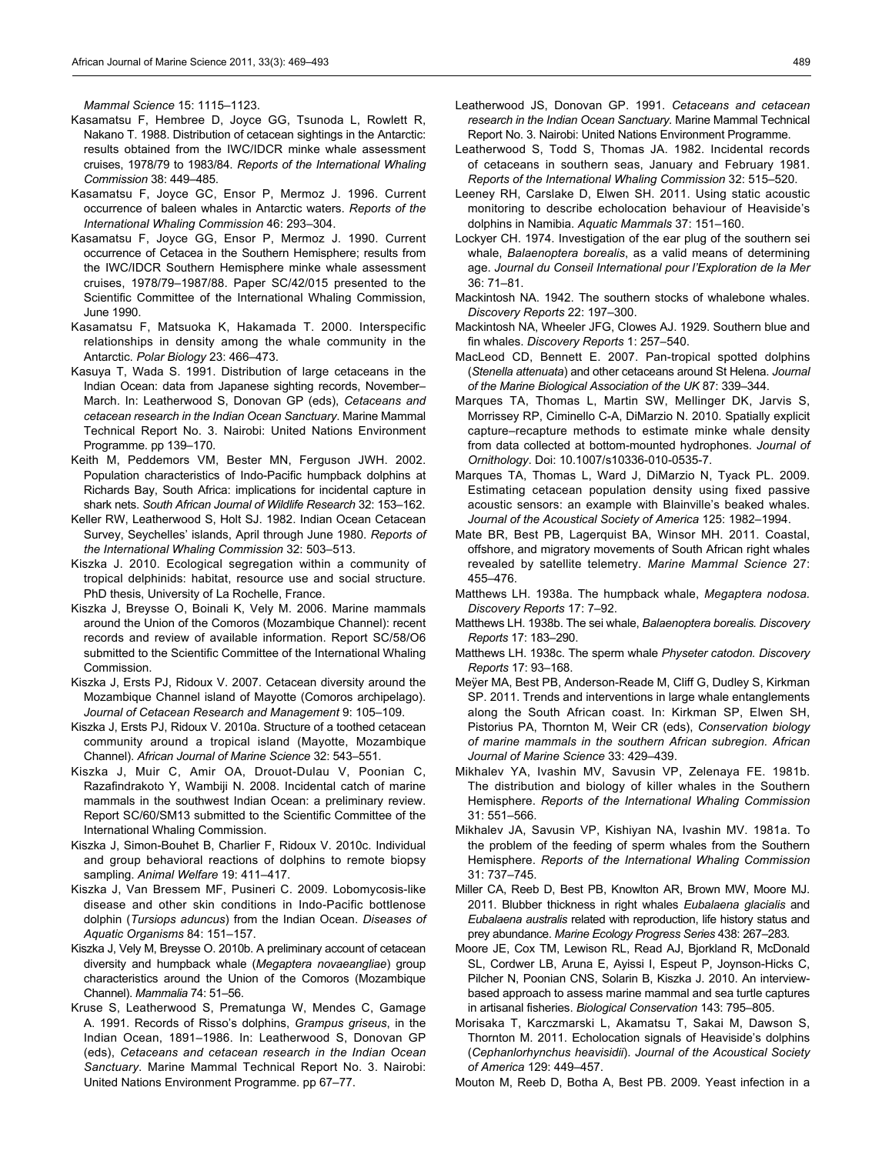*Mammal Science* 15: 1115–1123.

- Kasamatsu F, Hembree D, Joyce GG, Tsunoda L, Rowlett R, Nakano T. 1988. Distribution of cetacean sightings in the Antarctic: results obtained from the IWC/IDCR minke whale assessment cruises, 1978/79 to 1983/84. *Reports of the International Whaling Commission* 38: 449–485.
- Kasamatsu F, Joyce GC, Ensor P, Mermoz J. 1996. Current occurrence of baleen whales in Antarctic waters. *Reports of the International Whaling Commission* 46: 293–304.
- Kasamatsu F, Joyce GG, Ensor P, Mermoz J. 1990. Current occurrence of Cetacea in the Southern Hemisphere; results from the IWC/IDCR Southern Hemisphere minke whale assessment cruises, 1978/79–1987/88. Paper SC/42/015 presented to the Scientific Committee of the International Whaling Commission, June 1990.
- Kasamatsu F, Matsuoka K, Hakamada T. 2000. Interspecific relationships in density among the whale community in the Antarctic. *Polar Biology* 23: 466–473.
- Kasuya T, Wada S. 1991. Distribution of large cetaceans in the Indian Ocean: data from Japanese sighting records, November– March. In: Leatherwood S, Donovan GP (eds), *Cetaceans and cetacean research in the Indian Ocean Sanctuary*. Marine Mammal Technical Report No. 3. Nairobi: United Nations Environment Programme. pp 139–170.
- Keith M, Peddemors VM, Bester MN, Ferguson JWH. 2002. Population characteristics of Indo-Pacific humpback dolphins at Richards Bay, South Africa: implications for incidental capture in shark nets. *South African Journal of Wildlife Research* 32: 153–162.
- Keller RW, Leatherwood S, Holt SJ. 1982. Indian Ocean Cetacean Survey, Seychelles' islands, April through June 1980. *Reports of the International Whaling Commission* 32: 503–513.
- Kiszka J. 2010. Ecological segregation within a community of tropical delphinids: habitat, resource use and social structure. PhD thesis, University of La Rochelle, France.
- Kiszka J, Breysse O, Boinali K, Vely M. 2006. Marine mammals around the Union of the Comoros (Mozambique Channel): recent records and review of available information. Report SC/58/O6 submitted to the Scientific Committee of the International Whaling Commission.
- Kiszka J, Ersts PJ, Ridoux V. 2007. Cetacean diversity around the Mozambique Channel island of Mayotte (Comoros archipelago). *Journal of Cetacean Research and Management* 9: 105–109.
- Kiszka J, Ersts PJ, Ridoux V. 2010a. Structure of a toothed cetacean community around a tropical island (Mayotte, Mozambique Channel). *African Journal of Marine Science* 32: 543–551.
- Kiszka J, Muir C, Amir OA, Drouot-Dulau V, Poonian C, Razafindrakoto Y, Wambiji N. 2008. Incidental catch of marine mammals in the southwest Indian Ocean: a preliminary review. Report SC/60/SM13 submitted to the Scientific Committee of the International Whaling Commission.
- Kiszka J, Simon-Bouhet B, Charlier F, Ridoux V. 2010c. Individual and group behavioral reactions of dolphins to remote biopsy sampling. *Animal Welfare* 19: 411–417.
- Kiszka J, Van Bressem MF, Pusineri C. 2009. Lobomycosis-like disease and other skin conditions in Indo-Pacific bottlenose dolphin (*Tursiops aduncus*) from the Indian Ocean. *Diseases of Aquatic Organisms* 84: 151–157.
- Kiszka J, Vely M, Breysse O. 2010b. A preliminary account of cetacean diversity and humpback whale (*Megaptera novaeangliae*) group characteristics around the Union of the Comoros (Mozambique Channel). *Mammalia* 74: 51–56.
- Kruse S, Leatherwood S, Prematunga W, Mendes C, Gamage A. 1991. Records of Risso's dolphins, *Grampus griseus*, in the Indian Ocean, 1891–1986. In: Leatherwood S, Donovan GP (eds), *Cetaceans and cetacean research in the Indian Ocean Sanctuary*. Marine Mammal Technical Report No. 3. Nairobi: United Nations Environment Programme. pp 67–77.
- Leatherwood JS, Donovan GP. 1991. *Cetaceans and cetacean research in the Indian Ocean Sanctuary.* Marine Mammal Technical Report No. 3. Nairobi: United Nations Environment Programme.
- Leatherwood S, Todd S, Thomas JA. 1982. Incidental records of cetaceans in southern seas, January and February 1981. *Reports of the International Whaling Commission* 32: 515–520.
- Leeney RH, Carslake D, Elwen SH. 2011. Using static acoustic monitoring to describe echolocation behaviour of Heaviside's dolphins in Namibia. *Aquatic Mammals* 37: 151–160.
- Lockyer CH. 1974. Investigation of the ear plug of the southern sei whale, *Balaenoptera borealis*, as a valid means of determining age. *Journal du Conseil International pour l'Exploration de la Mer* 36: 71–81.
- Mackintosh NA. 1942. The southern stocks of whalebone whales. *Discovery Reports* 22: 197–300.
- Mackintosh NA, Wheeler JFG, Clowes AJ. 1929. Southern blue and fin whales. *Discovery Reports* 1: 257–540.
- MacLeod CD, Bennett E. 2007. Pan-tropical spotted dolphins (*Stenella attenuata*) and other cetaceans around St Helena. *Journal of the Marine Biological Association of the UK* 87: 339–344.
- Marques TA, Thomas L, Martin SW, Mellinger DK, Jarvis S, Morrissey RP, Ciminello C-A, DiMarzio N. 2010. Spatially explicit capture–recapture methods to estimate minke whale density from data collected at bottom-mounted hydrophones. *Journal of Ornithology*. Doi: 10.1007/s10336-010-0535-7.
- Marques TA, Thomas L, Ward J, DiMarzio N, Tyack PL. 2009. Estimating cetacean population density using fixed passive acoustic sensors: an example with Blainville's beaked whales. *Journal of the Acoustical Society of America* 125: 1982–1994.
- Mate BR, Best PB, Lagerquist BA, Winsor MH. 2011. Coastal, offshore, and migratory movements of South African right whales revealed by satellite telemetry. *Marine Mammal Science* 27: 455–476.
- Matthews LH. 1938a. The humpback whale, *Megaptera nodosa. Discovery Reports* 17: 7–92.
- Matthews LH. 1938b. The sei whale, *Balaenoptera borealis. Discovery Reports* 17: 183–290.
- Matthews LH. 1938c. The sperm whale *Physeter catodon. Discovery Reports* 17: 93–168.
- Meÿer MA, Best PB, Anderson-Reade M, Cliff G, Dudley S, Kirkman SP. 2011. Trends and interventions in large whale entanglements along the South African coast. In: Kirkman SP, Elwen SH, Pistorius PA, Thornton M, Weir CR (eds), *Conservation biology of marine mammals in the southern African subregion. African Journal of Marine Science* 33: 429–439.
- Mikhalev YA, Ivashin MV, Savusin VP, Zelenaya FE. 1981b. The distribution and biology of killer whales in the Southern Hemisphere. *Reports of the International Whaling Commission*  31: 551–566.
- Mikhalev JA, Savusin VP, Kishiyan NA, Ivashin MV. 1981a. To the problem of the feeding of sperm whales from the Southern Hemisphere. *Reports of the International Whaling Commission* 31: 737–745.
- Miller CA, Reeb D, Best PB, Knowlton AR, Brown MW, Moore MJ. 2011. Blubber thickness in right whales *Eubalaena glacialis* and *Eubalaena australis* related with reproduction, life history status and prey abundance. *Marine Ecology Progress Series* 438: 267–283*.*
- Moore JE, Cox TM, Lewison RL, Read AJ, Bjorkland R, McDonald SL, Cordwer LB, Aruna E, Ayissi I, Espeut P, Joynson-Hicks C, Pilcher N, Poonian CNS, Solarin B, Kiszka J. 2010. An interviewbased approach to assess marine mammal and sea turtle captures in artisanal fisheries. *Biological Conservation* 143: 795–805.
- Morisaka T, Karczmarski L, Akamatsu T, Sakai M, Dawson S, Thornton M. 2011. Echolocation signals of Heaviside's dolphins (*Cephanlorhynchus heavisidii*). *Journal of the Acoustical Society of America* 129: 449–457.

Mouton M, Reeb D, Botha A, Best PB. 2009. Yeast infection in a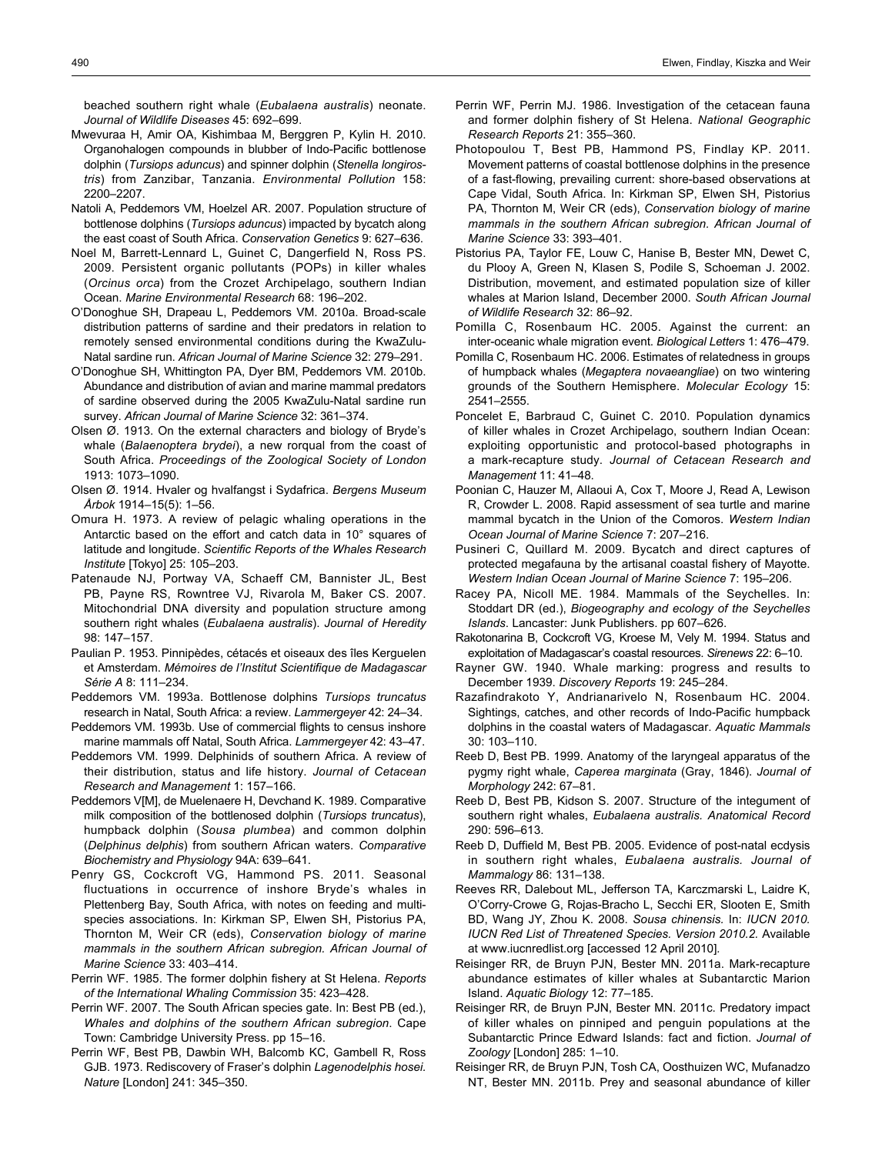beached southern right whale (*Eubalaena australis*) neonate. *Journal of Wildlife Diseases* 45: 692–699.

- Mwevuraa H, Amir OA, Kishimbaa M, Berggren P, Kylin H. 2010. Organohalogen compounds in blubber of Indo-Pacific bottlenose dolphin (*Tursiops aduncus*) and spinner dolphin (*Stenella longirostris*) from Zanzibar, Tanzania. *Environmental Pollution* 158: 2200–2207.
- Natoli A, Peddemors VM, Hoelzel AR. 2007. Population structure of bottlenose dolphins (*Tursiops aduncus*) impacted by bycatch along the east coast of South Africa. *Conservation Genetics* 9: 627–636.
- Noel M, Barrett-Lennard L, Guinet C, Dangerfield N, Ross PS. 2009. Persistent organic pollutants (POPs) in killer whales (*Orcinus orca*) from the Crozet Archipelago, southern Indian Ocean. *Marine Environmental Research* 68: 196–202.
- O'Donoghue SH, Drapeau L, Peddemors VM. 2010a. Broad-scale distribution patterns of sardine and their predators in relation to remotely sensed environmental conditions during the KwaZulu-Natal sardine run. *African Journal of Marine Science* 32: 279–291.
- O'Donoghue SH, Whittington PA, Dyer BM, Peddemors VM. 2010b. Abundance and distribution of avian and marine mammal predators of sardine observed during the 2005 KwaZulu-Natal sardine run survey. *African Journal of Marine Science* 32: 361–374.
- Olsen Ø. 1913. On the external characters and biology of Bryde's whale (*Balaenoptera brydei*), a new rorqual from the coast of South Africa. *Proceedings of the Zoological Society of London* 1913: 1073–1090.
- Olsen Ø. 1914. Hvaler og hvalfangst i Sydafrica. *Bergens Museum Årbok* 1914–15(5): 1–56.
- Omura H. 1973. A review of pelagic whaling operations in the Antarctic based on the effort and catch data in 10° squares of latitude and longitude. *Scientific Reports of the Whales Research Institute* [Tokyo] 25: 105–203.
- Patenaude NJ, Portway VA, Schaeff CM, Bannister JL, Best PB, Payne RS, Rowntree VJ, Rivarola M, Baker CS. 2007. Mitochondrial DNA diversity and population structure among southern right whales (*Eubalaena australis*). *Journal of Heredity* 98: 147–157.
- Paulian P. 1953. Pinnipèdes, cétacés et oiseaux des îles Kerguelen et Amsterdam. *Mémoires de l'Institut Scientifique de Madagascar Série A* 8: 111–234.
- Peddemors VM. 1993a. Bottlenose dolphins *Tursiops truncatus* research in Natal, South Africa: a review. *Lammergeyer* 42: 24–34.
- Peddemors VM. 1993b. Use of commercial flights to census inshore marine mammals off Natal, South Africa. *Lammergeyer* 42: 43–47.
- Peddemors VM. 1999. Delphinids of southern Africa. A review of their distribution, status and life history. *Journal of Cetacean Research and Management* 1: 157–166.
- Peddemors V[M], de Muelenaere H, Devchand K. 1989. Comparative milk composition of the bottlenosed dolphin (*Tursiops truncatus*), humpback dolphin (*Sousa plumbea*) and common dolphin (*Delphinus delphis*) from southern African waters. *Comparative Biochemistry and Physiology* 94A: 639–641.
- Penry GS, Cockcroft VG, Hammond PS. 2011. Seasonal fluctuations in occurrence of inshore Bryde's whales in Plettenberg Bay, South Africa, with notes on feeding and multispecies associations. In: Kirkman SP, Elwen SH, Pistorius PA, Thornton M, Weir CR (eds), *Conservation biology of marine mammals in the southern African subregion. African Journal of Marine Science* 33: 403–414.
- Perrin WF. 1985. The former dolphin fishery at St Helena. *Reports of the International Whaling Commission* 35: 423–428.
- Perrin WF. 2007. The South African species gate. In: Best PB (ed.), *Whales and dolphins of the southern African subregion*. Cape Town: Cambridge University Press. pp 15–16.
- Perrin WF, Best PB, Dawbin WH, Balcomb KC, Gambell R, Ross GJB. 1973. Rediscovery of Fraser's dolphin *Lagenodelphis hosei. Nature* [London] 241: 345–350.
- Perrin WF, Perrin MJ. 1986. Investigation of the cetacean fauna and former dolphin fishery of St Helena. *National Geographic Research Reports* 21: 355–360.
- Photopoulou T, Best PB, Hammond PS, Findlay KP. 2011. Movement patterns of coastal bottlenose dolphins in the presence of a fast-flowing, prevailing current: shore-based observations at Cape Vidal, South Africa. In: Kirkman SP, Elwen SH, Pistorius PA, Thornton M, Weir CR (eds), *Conservation biology of marine mammals in the southern African subregion. African Journal of Marine Science* 33: 393–401.
- Pistorius PA, Taylor FE, Louw C, Hanise B, Bester MN, Dewet C, du Plooy A, Green N, Klasen S, Podile S, Schoeman J. 2002. Distribution, movement, and estimated population size of killer whales at Marion Island, December 2000. *South African Journal of Wildlife Research* 32: 86–92.
- Pomilla C, Rosenbaum HC. 2005. Against the current: an inter-oceanic whale migration event. *Biological Letters* 1: 476–479.
- Pomilla C, Rosenbaum HC. 2006. Estimates of relatedness in groups of humpback whales (*Megaptera novaeangliae*) on two wintering grounds of the Southern Hemisphere. *Molecular Ecology* 15: 2541–2555.
- Poncelet E, Barbraud C, Guinet C. 2010. Population dynamics of killer whales in Crozet Archipelago, southern Indian Ocean: exploiting opportunistic and protocol-based photographs in a mark-recapture study. *Journal of Cetacean Research and Management* 11: 41–48.
- Poonian C, Hauzer M, Allaoui A, Cox T, Moore J, Read A, Lewison R, Crowder L. 2008. Rapid assessment of sea turtle and marine mammal bycatch in the Union of the Comoros. *Western Indian Ocean Journal of Marine Science* 7: 207–216.
- Pusineri C, Quillard M. 2009. Bycatch and direct captures of protected megafauna by the artisanal coastal fishery of Mayotte. *Western Indian Ocean Journal of Marine Science* 7: 195–206.
- Racey PA, Nicoll ME. 1984. Mammals of the Seychelles. In: Stoddart DR (ed.), *Biogeography and ecology of the Seychelles Islands*. Lancaster: Junk Publishers. pp 607–626.
- Rakotonarina B, Cockcroft VG, Kroese M, Vely M. 1994. Status and exploitation of Madagascar's coastal resources. *Sirenews* 22: 6–10.
- Rayner GW. 1940. Whale marking: progress and results to December 1939. *Discovery Reports* 19: 245–284.
- Razafindrakoto Y, Andrianarivelo N, Rosenbaum HC. 2004. Sightings, catches, and other records of Indo-Pacific humpback dolphins in the coastal waters of Madagascar. *Aquatic Mammals* 30: 103–110.
- Reeb D, Best PB. 1999. Anatomy of the laryngeal apparatus of the pygmy right whale, *Caperea marginata* (Gray, 1846). *Journal of Morphology* 242: 67–81.
- Reeb D, Best PB, Kidson S. 2007. Structure of the integument of southern right whales, *Eubalaena australis. Anatomical Record* 290: 596–613.
- Reeb D, Duffield M, Best PB. 2005. Evidence of post-natal ecdysis in southern right whales, *Eubalaena australis. Journal of Mammalogy* 86: 131–138.
- Reeves RR, Dalebout ML, Jefferson TA, Karczmarski L, Laidre K, O'Corry-Crowe G, Rojas-Bracho L, Secchi ER, Slooten E, Smith BD, Wang JY, Zhou K. 2008. *Sousa chinensis.* In: *IUCN 2010. IUCN Red List of Threatened Species. Version 2010.2.* Available at www.iucnredlist.org [accessed 12 April 2010]*.*
- Reisinger RR, de Bruyn PJN, Bester MN. 2011a. Mark-recapture abundance estimates of killer whales at Subantarctic Marion Island. *Aquatic Biology* 12: 77–185.
- Reisinger RR, de Bruyn PJN, Bester MN. 2011c. Predatory impact of killer whales on pinniped and penguin populations at the Subantarctic Prince Edward Islands: fact and fiction. *Journal of Zoology* [London] 285: 1–10.
- Reisinger RR, de Bruyn PJN, Tosh CA, Oosthuizen WC, Mufanadzo NT, Bester MN. 2011b. Prey and seasonal abundance of killer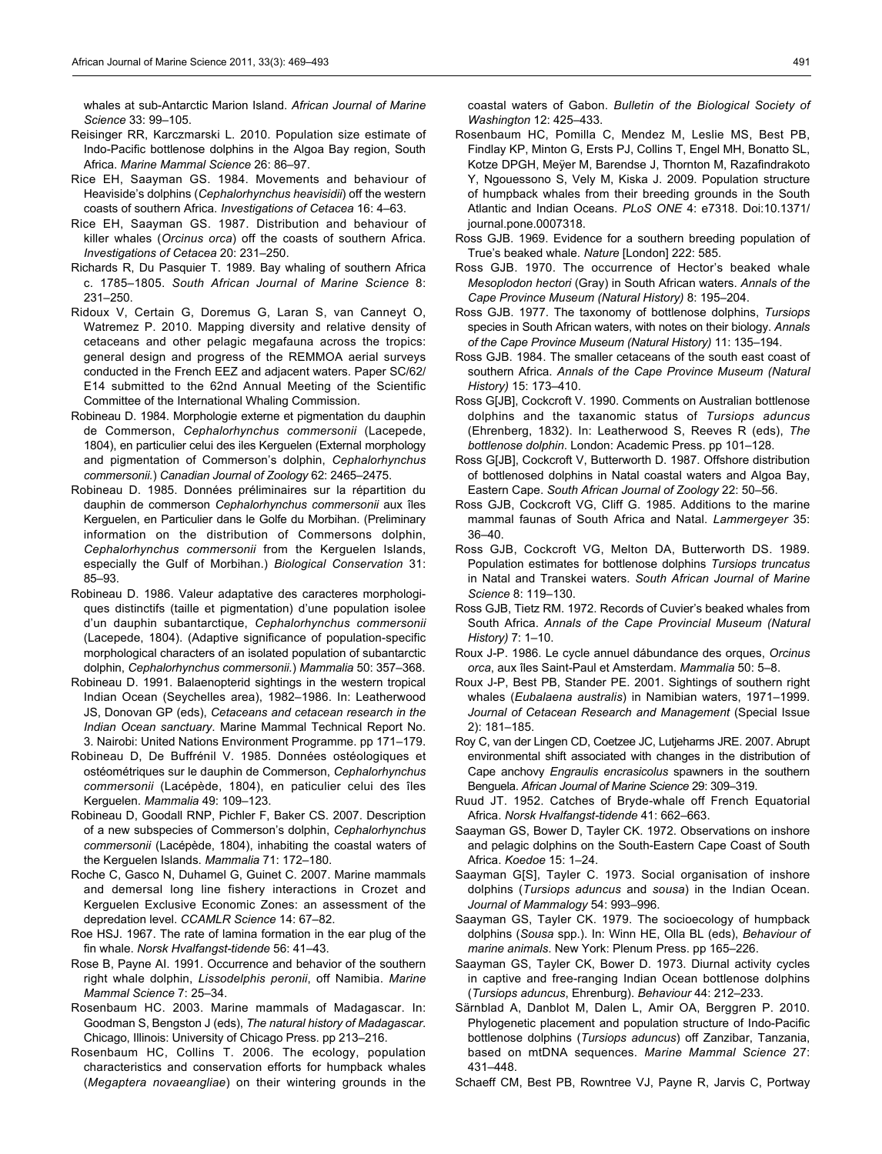whales at sub-Antarctic Marion Island. *African Journal of Marine Science* 33: 99–105.

- Reisinger RR, Karczmarski L. 2010. Population size estimate of Indo-Pacific bottlenose dolphins in the Algoa Bay region, South Africa. *Marine Mammal Science* 26: 86–97.
- Rice EH, Saayman GS. 1984. Movements and behaviour of Heaviside's dolphins (*Cephalorhynchus heavisidii*) off the western coasts of southern Africa. *Investigations of Cetacea* 16: 4–63.
- Rice EH, Saayman GS. 1987. Distribution and behaviour of killer whales (*Orcinus orca*) off the coasts of southern Africa. *Investigations of Cetacea* 20: 231–250.
- Richards R, Du Pasquier T. 1989. Bay whaling of southern Africa c. 1785–1805. *South African Journal of Marine Science* 8: 231–250.
- Ridoux V, Certain G, Doremus G, Laran S, van Canneyt O, Watremez P. 2010. Mapping diversity and relative density of cetaceans and other pelagic megafauna across the tropics: general design and progress of the REMMOA aerial surveys conducted in the French EEZ and adjacent waters. Paper SC/62/ E14 submitted to the 62nd Annual Meeting of the Scientific Committee of the International Whaling Commission.
- Robineau D. 1984. Morphologie externe et pigmentation du dauphin de Commerson, *Cephalorhynchus commersonii* (Lacepede, 1804), en particulier celui des iles Kerguelen (External morphology and pigmentation of Commerson's dolphin, *Cephalorhynchus commersonii.*) *Canadian Journal of Zoology* 62: 2465–2475.
- Robineau D. 1985. Données préliminaires sur la répartition du dauphin de commerson *Cephalorhynchus commersonii* aux îles Kerguelen, en Particulier dans le Golfe du Morbihan. (Preliminary information on the distribution of Commersons dolphin, *Cephalorhynchus commersonii* from the Kerguelen Islands, especially the Gulf of Morbihan.) *Biological Conservation* 31: 85–93.
- Robineau D. 1986. Valeur adaptative des caracteres morphologiques distinctifs (taille et pigmentation) d'une population isolee d'un dauphin subantarctique, *Cephalorhynchus commersonii* (Lacepede, 1804). (Adaptive significance of population-specific morphological characters of an isolated population of subantarctic dolphin, *Cephalorhynchus commersonii.*) *Mammalia* 50: 357–368.
- Robineau D. 1991. Balaenopterid sightings in the western tropical Indian Ocean (Seychelles area), 1982–1986. In: Leatherwood JS, Donovan GP (eds), *Cetaceans and cetacean research in the Indian Ocean sanctuary*. Marine Mammal Technical Report No. 3. Nairobi: United Nations Environment Programme. pp 171–179.
- Robineau D, De Buffrénil V. 1985. Données ostéologiques et ostéométriques sur le dauphin de Commerson, *Cephalorhynchus commersonii* (Lacépède, 1804), en paticulier celui des îles Kerguelen. *Mammalia* 49: 109–123.
- Robineau D, Goodall RNP, Pichler F, Baker CS. 2007. Description of a new subspecies of Commerson's dolphin, *Cephalorhynchus commersonii* (Lacépède, 1804), inhabiting the coastal waters of the Kerguelen Islands. *Mammalia* 71: 172–180.
- Roche C, Gasco N, Duhamel G, Guinet C. 2007. Marine mammals and demersal long line fishery interactions in Crozet and Kerguelen Exclusive Economic Zones: an assessment of the depredation level. *CCAMLR Science* 14: 67–82.
- Roe HSJ. 1967. The rate of lamina formation in the ear plug of the fin whale. *Norsk Hvalfangst-tidende* 56: 41–43.
- Rose B, Payne AI. 1991. Occurrence and behavior of the southern right whale dolphin, *Lissodelphis peronii*, off Namibia. *Marine Mammal Science* 7: 25–34.
- Rosenbaum HC. 2003. Marine mammals of Madagascar. In: Goodman S, Bengston J (eds), *The natural history of Madagascar*. Chicago, Illinois: University of Chicago Press. pp 213–216.
- Rosenbaum HC, Collins T. 2006. The ecology, population characteristics and conservation efforts for humpback whales (*Megaptera novaeangliae*) on their wintering grounds in the

coastal waters of Gabon. *Bulletin of the Biological Society of Washington* 12: 425–433.

- Rosenbaum HC, Pomilla C, Mendez M, Leslie MS, Best PB, Findlay KP, Minton G, Ersts PJ, Collins T, Engel MH, Bonatto SL, Kotze DPGH, Meÿer M, Barendse J, Thornton M, Razafindrakoto Y, Ngouessono S, Vely M, Kiska J. 2009. Population structure of humpback whales from their breeding grounds in the South Atlantic and Indian Oceans. *PLoS ONE* 4: e7318. Doi:10.1371/ journal.pone.0007318.
- Ross GJB. 1969. Evidence for a southern breeding population of True's beaked whale. *Nature* [London] 222: 585.
- Ross GJB. 1970. The occurrence of Hector's beaked whale *Mesoplodon hectori* (Gray) in South African waters. *Annals of the Cape Province Museum (Natural History)* 8: 195–204.
- Ross GJB. 1977. The taxonomy of bottlenose dolphins, *Tursiops*  species in South African waters, with notes on their biology. *Annals of the Cape Province Museum (Natural History)* 11: 135–194.
- Ross GJB. 1984. The smaller cetaceans of the south east coast of southern Africa. *Annals of the Cape Province Museum (Natural History)* 15: 173–410.
- Ross G[JB], Cockcroft V. 1990. Comments on Australian bottlenose dolphins and the taxanomic status of *Tursiops aduncus*  (Ehrenberg, 1832). In: Leatherwood S, Reeves R (eds), *The bottlenose dolphin*. London: Academic Press. pp 101–128.
- Ross G[JB], Cockcroft V, Butterworth D. 1987. Offshore distribution of bottlenosed dolphins in Natal coastal waters and Algoa Bay, Eastern Cape. *South African Journal of Zoology* 22: 50–56.
- Ross GJB, Cockcroft VG, Cliff G. 1985. Additions to the marine mammal faunas of South Africa and Natal. *Lammergeyer* 35: 36–40.
- Ross GJB, Cockcroft VG, Melton DA, Butterworth DS. 1989. Population estimates for bottlenose dolphins *Tursiops truncatus*  in Natal and Transkei waters. *South African Journal of Marine Science* 8: 119–130.
- Ross GJB, Tietz RM. 1972. Records of Cuvier's beaked whales from South Africa. *Annals of the Cape Provincial Museum (Natural History)* 7: 1–10.
- Roux J-P. 1986. Le cycle annuel dábundance des orques, *Orcinus orca*, aux îles Saint-Paul et Amsterdam. *Mammalia* 50: 5–8.
- Roux J-P, Best PB, Stander PE. 2001. Sightings of southern right whales (*Eubalaena australis*) in Namibian waters, 1971–1999. *Journal of Cetacean Research and Management* (Special Issue 2): 181–185.
- Roy C, van der Lingen CD, Coetzee JC, Lutjeharms JRE. 2007. Abrupt environmental shift associated with changes in the distribution of Cape anchovy *Engraulis encrasicolus* spawners in the southern Benguela. *African Journal of Marine Science* 29: 309–319.
- Ruud JT. 1952. Catches of Bryde-whale off French Equatorial Africa. *Norsk Hvalfangst-tidende* 41: 662–663.
- Saayman GS, Bower D, Tayler CK. 1972. Observations on inshore and pelagic dolphins on the South-Eastern Cape Coast of South Africa. *Koedoe* 15: 1–24.
- Saayman G[S], Tayler C. 1973. Social organisation of inshore dolphins (*Tursiops aduncus* and *sousa*) in the Indian Ocean. *Journal of Mammalogy* 54: 993–996.
- Saayman GS, Tayler CK. 1979. The socioecology of humpback dolphins (*Sousa* spp.). In: Winn HE, Olla BL (eds), *Behaviour of marine animals*. New York: Plenum Press. pp 165–226.
- Saayman GS, Tayler CK, Bower D. 1973. Diurnal activity cycles in captive and free-ranging Indian Ocean bottlenose dolphins (*Tursiops aduncus*, Ehrenburg). *Behaviour* 44: 212–233.
- Särnblad A, Danblot M, Dalen L, Amir OA, Berggren P. 2010. Phylogenetic placement and population structure of Indo-Pacific bottlenose dolphins (*Tursiops aduncus*) off Zanzibar, Tanzania, based on mtDNA sequences. *Marine Mammal Science* 27: 431–448.
- Schaeff CM, Best PB, Rowntree VJ, Payne R, Jarvis C, Portway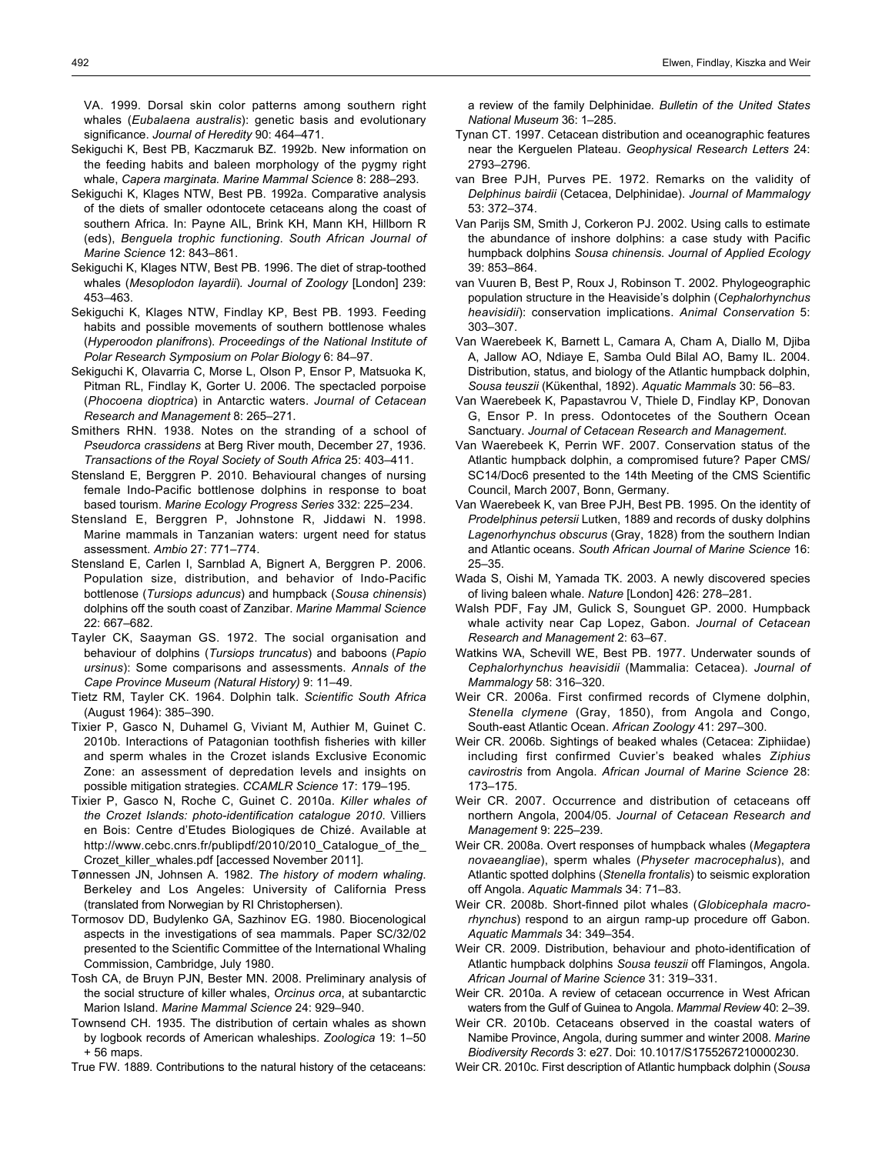VA. 1999. Dorsal skin color patterns among southern right whales (*Eubalaena australis*): genetic basis and evolutionary significance. *Journal of Heredity* 90: 464–471.

- Sekiguchi K, Best PB, Kaczmaruk BZ. 1992b. New information on the feeding habits and baleen morphology of the pygmy right whale, *Capera marginata. Marine Mammal Science* 8: 288–293.
- Sekiguchi K, Klages NTW, Best PB. 1992a. Comparative analysis of the diets of smaller odontocete cetaceans along the coast of southern Africa. In: Payne AIL, Brink KH, Mann KH, Hillborn R (eds), *Benguela trophic functioning*. *South African Journal of Marine Science* 12: 843–861.
- Sekiguchi K, Klages NTW, Best PB. 1996. The diet of strap-toothed whales (*Mesoplodon layardii*)*. Journal of Zoology* [London] 239: 453–463.
- Sekiguchi K, Klages NTW, Findlay KP, Best PB. 1993. Feeding habits and possible movements of southern bottlenose whales (*Hyperoodon planifrons*). *Proceedings of the National Institute of Polar Research Symposium on Polar Biology* 6: 84–97.
- Sekiguchi K, Olavarria C, Morse L, Olson P, Ensor P, Matsuoka K, Pitman RL, Findlay K, Gorter U. 2006. The spectacled porpoise (*Phocoena dioptrica*) in Antarctic waters. *Journal of Cetacean Research and Management* 8: 265–271.
- Smithers RHN. 1938. Notes on the stranding of a school of *Pseudorca crassidens* at Berg River mouth, December 27, 1936. *Transactions of the Royal Society of South Africa* 25: 403–411.
- Stensland E, Berggren P. 2010. Behavioural changes of nursing female Indo-Pacific bottlenose dolphins in response to boat based tourism. *Marine Ecology Progress Series* 332: 225–234.

Stensland E, Berggren P, Johnstone R, Jiddawi N. 1998. Marine mammals in Tanzanian waters: urgent need for status assessment. *Ambio* 27: 771–774.

- Stensland E, Carlen I, Sarnblad A, Bignert A, Berggren P. 2006. Population size, distribution, and behavior of Indo-Pacific bottlenose (*Tursiops aduncus*) and humpback (*Sousa chinensis*) dolphins off the south coast of Zanzibar. *Marine Mammal Science* 22: 667–682.
- Tayler CK, Saayman GS. 1972. The social organisation and behaviour of dolphins (*Tursiops truncatus*) and baboons (*Papio ursinus*): Some comparisons and assessments. *Annals of the Cape Province Museum (Natural History)* 9: 11–49.
- Tietz RM, Tayler CK. 1964. Dolphin talk. *Scientific South Africa* (August 1964): 385–390.
- Tixier P, Gasco N, Duhamel G, Viviant M, Authier M, Guinet C. 2010b. Interactions of Patagonian toothfish fisheries with killer and sperm whales in the Crozet islands Exclusive Economic Zone: an assessment of depredation levels and insights on possible mitigation strategies. *CCAMLR Science* 17: 179–195.
- Tixier P, Gasco N, Roche C, Guinet C. 2010a. *Killer whales of the Crozet Islands: photo-identification catalogue 2010*. Villiers en Bois: Centre d'Etudes Biologiques de Chizé. Available at http://www.cebc.cnrs.fr/publipdf/2010/2010\_Catalogue\_of\_the\_ Crozet\_killer\_whales.pdf [accessed November 2011].
- Tønnessen JN, Johnsen A. 1982. *The history of modern whaling*. Berkeley and Los Angeles: University of California Press (translated from Norwegian by RI Christophersen).
- Tormosov DD, Budylenko GA, Sazhinov EG. 1980. Biocenological aspects in the investigations of sea mammals. Paper SC/32/02 presented to the Scientific Committee of the International Whaling Commission, Cambridge, July 1980.
- Tosh CA, de Bruyn PJN, Bester MN. 2008. Preliminary analysis of the social structure of killer whales, *Orcinus orca*, at subantarctic Marion Island. *Marine Mammal Science* 24: 929–940.
- Townsend CH. 1935. The distribution of certain whales as shown by logbook records of American whaleships. *Zoologica* 19: 1–50 + 56 maps.
- True FW. 1889. Contributions to the natural history of the cetaceans:

a review of the family Delphinidae*. Bulletin of the United States National Museum* 36: 1–285.

- Tynan CT. 1997. Cetacean distribution and oceanographic features near the Kerguelen Plateau. *Geophysical Research Letters* 24: 2793–2796.
- van Bree PJH, Purves PE. 1972. Remarks on the validity of *Delphinus bairdii* (Cetacea, Delphinidae). *Journal of Mammalogy* 53: 372–374.
- Van Parijs SM, Smith J, Corkeron PJ. 2002. Using calls to estimate the abundance of inshore dolphins: a case study with Pacific humpback dolphins *Sousa chinensis*. *Journal of Applied Ecology*  39: 853–864.
- van Vuuren B, Best P, Roux J, Robinson T. 2002. Phylogeographic population structure in the Heaviside's dolphin (*Cephalorhynchus heavisidii*): conservation implications. *Animal Conservation* 5: 303–307.
- Van Waerebeek K, Barnett L, Camara A, Cham A, Diallo M, Djiba A, Jallow AO, Ndiaye E, Samba Ould Bilal AO, Bamy IL. 2004. Distribution, status, and biology of the Atlantic humpback dolphin, *Sousa teuszii* (Kükenthal, 1892). *Aquatic Mammals* 30: 56–83.
- Van Waerebeek K, Papastavrou V, Thiele D, Findlay KP, Donovan G, Ensor P. In press. Odontocetes of the Southern Ocean Sanctuary. *Journal of Cetacean Research and Management*.
- Van Waerebeek K, Perrin WF. 2007. Conservation status of the Atlantic humpback dolphin, a compromised future? Paper CMS/ SC14/Doc6 presented to the 14th Meeting of the CMS Scientific Council, March 2007, Bonn, Germany.
- Van Waerebeek K, van Bree PJH, Best PB. 1995. On the identity of *Prodelphinus petersii* Lutken, 1889 and records of dusky dolphins *Lagenorhynchus obscurus* (Gray, 1828) from the southern Indian and Atlantic oceans. *South African Journal of Marine Science* 16: 25–35.
- Wada S, Oishi M, Yamada TK. 2003. A newly discovered species of living baleen whale. *Nature* [London] 426: 278–281.
- Walsh PDF, Fay JM, Gulick S, Sounguet GP. 2000. Humpback whale activity near Cap Lopez, Gabon. *Journal of Cetacean Research and Management* 2: 63–67.
- Watkins WA, Schevill WE, Best PB. 1977. Underwater sounds of *Cephalorhynchus heavisidii* (Mammalia: Cetacea). *Journal of Mammalogy* 58: 316–320.
- Weir CR. 2006a. First confirmed records of Clymene dolphin, *Stenella clymene* (Gray, 1850), from Angola and Congo, South-east Atlantic Ocean. *African Zoology* 41: 297–300.
- Weir CR. 2006b. Sightings of beaked whales (Cetacea: Ziphiidae) including first confirmed Cuvier's beaked whales *Ziphius cavirostris* from Angola. *African Journal of Marine Science* 28: 173–175.
- Weir CR. 2007. Occurrence and distribution of cetaceans off northern Angola, 2004/05. *Journal of Cetacean Research and Management* 9: 225–239.
- Weir CR. 2008a. Overt responses of humpback whales (*Megaptera novaeangliae*), sperm whales (*Physeter macrocephalus*), and Atlantic spotted dolphins (*Stenella frontalis*) to seismic exploration off Angola. *Aquatic Mammals* 34: 71–83.
- Weir CR. 2008b. Short-finned pilot whales (*Globicephala macrorhynchus*) respond to an airgun ramp-up procedure off Gabon. *Aquatic Mammals* 34: 349–354.
- Weir CR. 2009. Distribution, behaviour and photo-identification of Atlantic humpback dolphins *Sousa teuszii* off Flamingos, Angola. *African Journal of Marine Science* 31: 319–331.
- Weir CR. 2010a. A review of cetacean occurrence in West African waters from the Gulf of Guinea to Angola. *Mammal Review* 40: 2–39.
- Weir CR. 2010b. Cetaceans observed in the coastal waters of Namibe Province, Angola, during summer and winter 2008. *Marine Biodiversity Records* 3: e27. Doi: 10.1017/S1755267210000230.
- Weir CR. 2010c. First description of Atlantic humpback dolphin (*Sousa*